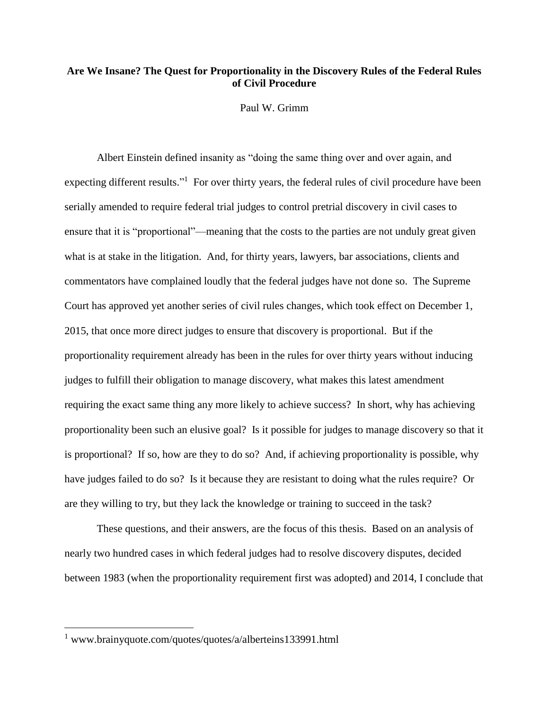## **Are We Insane? The Quest for Proportionality in the Discovery Rules of the Federal Rules of Civil Procedure**

Paul W. Grimm

Albert Einstein defined insanity as "doing the same thing over and over again, and expecting different results."<sup>1</sup> For over thirty years, the federal rules of civil procedure have been serially amended to require federal trial judges to control pretrial discovery in civil cases to ensure that it is "proportional"—meaning that the costs to the parties are not unduly great given what is at stake in the litigation. And, for thirty years, lawyers, bar associations, clients and commentators have complained loudly that the federal judges have not done so. The Supreme Court has approved yet another series of civil rules changes, which took effect on December 1, 2015, that once more direct judges to ensure that discovery is proportional. But if the proportionality requirement already has been in the rules for over thirty years without inducing judges to fulfill their obligation to manage discovery, what makes this latest amendment requiring the exact same thing any more likely to achieve success? In short, why has achieving proportionality been such an elusive goal? Is it possible for judges to manage discovery so that it is proportional? If so, how are they to do so? And, if achieving proportionality is possible, why have judges failed to do so? Is it because they are resistant to doing what the rules require? Or are they willing to try, but they lack the knowledge or training to succeed in the task?

These questions, and their answers, are the focus of this thesis. Based on an analysis of nearly two hundred cases in which federal judges had to resolve discovery disputes, decided between 1983 (when the proportionality requirement first was adopted) and 2014, I conclude that

<sup>&</sup>lt;sup>1</sup> www.brainyquote.com/quotes/quotes/a/alberteins133991.html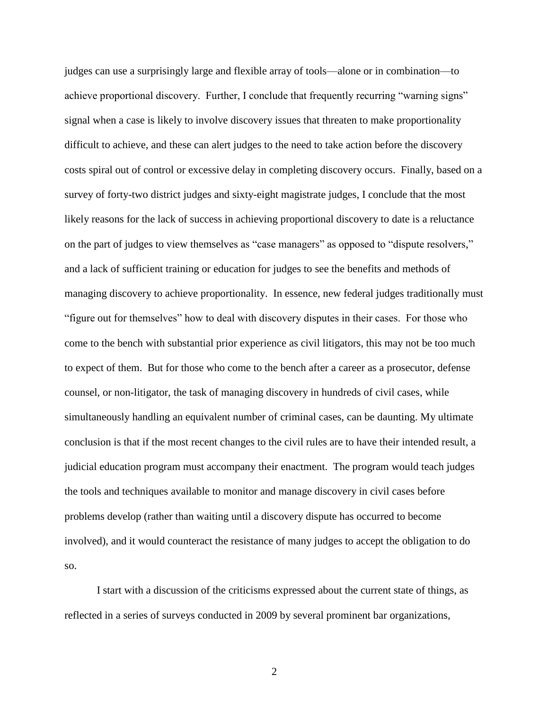judges can use a surprisingly large and flexible array of tools—alone or in combination—to achieve proportional discovery. Further, I conclude that frequently recurring "warning signs" signal when a case is likely to involve discovery issues that threaten to make proportionality difficult to achieve, and these can alert judges to the need to take action before the discovery costs spiral out of control or excessive delay in completing discovery occurs. Finally, based on a survey of forty-two district judges and sixty-eight magistrate judges, I conclude that the most likely reasons for the lack of success in achieving proportional discovery to date is a reluctance on the part of judges to view themselves as "case managers" as opposed to "dispute resolvers," and a lack of sufficient training or education for judges to see the benefits and methods of managing discovery to achieve proportionality. In essence, new federal judges traditionally must "figure out for themselves" how to deal with discovery disputes in their cases. For those who come to the bench with substantial prior experience as civil litigators, this may not be too much to expect of them. But for those who come to the bench after a career as a prosecutor, defense counsel, or non-litigator, the task of managing discovery in hundreds of civil cases, while simultaneously handling an equivalent number of criminal cases, can be daunting. My ultimate conclusion is that if the most recent changes to the civil rules are to have their intended result, a judicial education program must accompany their enactment. The program would teach judges the tools and techniques available to monitor and manage discovery in civil cases before problems develop (rather than waiting until a discovery dispute has occurred to become involved), and it would counteract the resistance of many judges to accept the obligation to do so.

I start with a discussion of the criticisms expressed about the current state of things, as reflected in a series of surveys conducted in 2009 by several prominent bar organizations,

2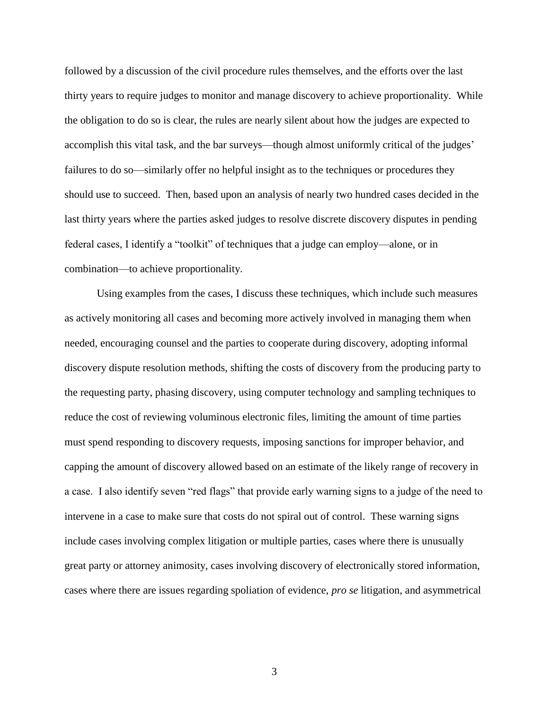followed by a discussion of the civil procedure rules themselves, and the efforts over the last thirty years to require judges to monitor and manage discovery to achieve proportionality. While the obligation to do so is clear, the rules are nearly silent about how the judges are expected to accomplish this vital task, and the bar surveys—though almost uniformly critical of the judges' failures to do so—similarly offer no helpful insight as to the techniques or procedures they should use to succeed. Then, based upon an analysis of nearly two hundred cases decided in the last thirty years where the parties asked judges to resolve discrete discovery disputes in pending federal cases, I identify a "toolkit" of techniques that a judge can employ—alone, or in combination—to achieve proportionality.

Using examples from the cases, I discuss these techniques, which include such measures as actively monitoring all cases and becoming more actively involved in managing them when needed, encouraging counsel and the parties to cooperate during discovery, adopting informal discovery dispute resolution methods, shifting the costs of discovery from the producing party to the requesting party, phasing discovery, using computer technology and sampling techniques to reduce the cost of reviewing voluminous electronic files, limiting the amount of time parties must spend responding to discovery requests, imposing sanctions for improper behavior, and capping the amount of discovery allowed based on an estimate of the likely range of recovery in a case. I also identify seven "red flags" that provide early warning signs to a judge of the need to intervene in a case to make sure that costs do not spiral out of control. These warning signs include cases involving complex litigation or multiple parties, cases where there is unusually great party or attorney animosity, cases involving discovery of electronically stored information, cases where there are issues regarding spoliation of evidence, *pro se* litigation, and asymmetrical

3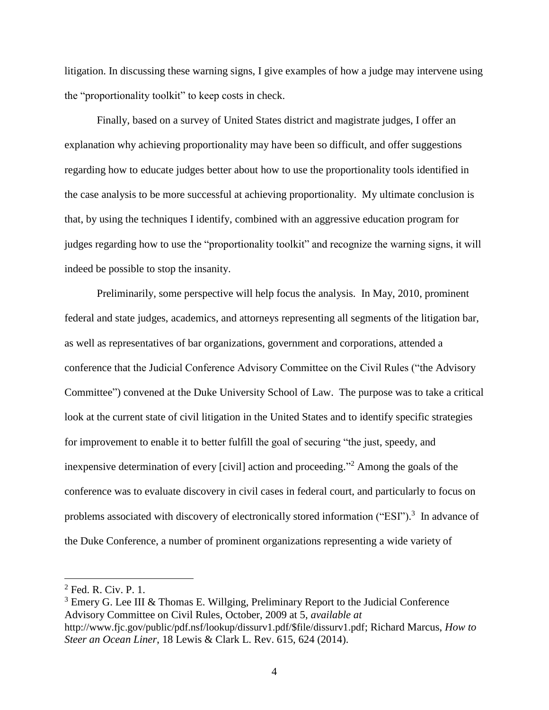litigation. In discussing these warning signs, I give examples of how a judge may intervene using the "proportionality toolkit" to keep costs in check.

Finally, based on a survey of United States district and magistrate judges, I offer an explanation why achieving proportionality may have been so difficult, and offer suggestions regarding how to educate judges better about how to use the proportionality tools identified in the case analysis to be more successful at achieving proportionality. My ultimate conclusion is that, by using the techniques I identify, combined with an aggressive education program for judges regarding how to use the "proportionality toolkit" and recognize the warning signs, it will indeed be possible to stop the insanity.

Preliminarily, some perspective will help focus the analysis. In May, 2010, prominent federal and state judges, academics, and attorneys representing all segments of the litigation bar, as well as representatives of bar organizations, government and corporations, attended a conference that the Judicial Conference Advisory Committee on the Civil Rules ("the Advisory Committee") convened at the Duke University School of Law. The purpose was to take a critical look at the current state of civil litigation in the United States and to identify specific strategies for improvement to enable it to better fulfill the goal of securing "the just, speedy, and inexpensive determination of every [civil] action and proceeding." <sup>2</sup> Among the goals of the conference was to evaluate discovery in civil cases in federal court, and particularly to focus on problems associated with discovery of electronically stored information ("ESI").<sup>3</sup> In advance of the Duke Conference, a number of prominent organizations representing a wide variety of

<span id="page-3-0"></span><sup>2</sup> Fed. R. Civ. P. 1.

<sup>3</sup> Emery G. Lee III & Thomas E. Willging, Preliminary Report to the Judicial Conference Advisory Committee on Civil Rules, October, 2009 at 5, *available at* http://www.fjc.gov/public/pdf.nsf/lookup/dissurv1.pdf/\$file/dissurv1.pdf; Richard Marcus, *How to Steer an Ocean Liner*, 18 Lewis & Clark L. Rev. 615, 624 (2014).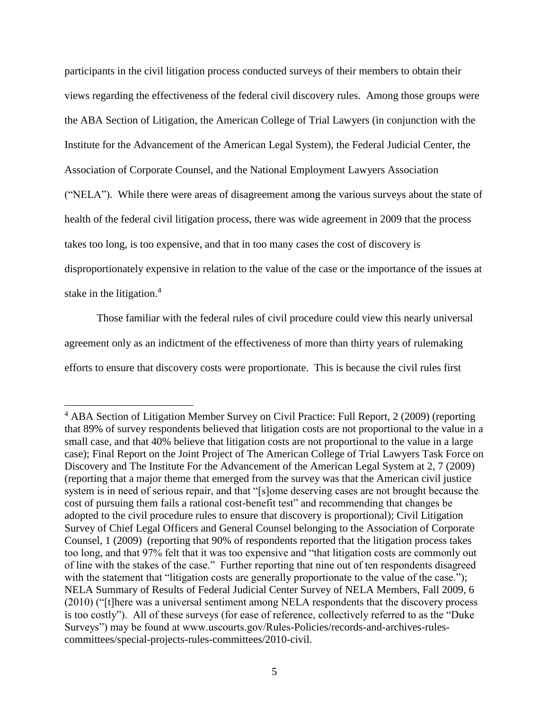participants in the civil litigation process conducted surveys of their members to obtain their views regarding the effectiveness of the federal civil discovery rules. Among those groups were the ABA Section of Litigation, the American College of Trial Lawyers (in conjunction with the Institute for the Advancement of the American Legal System), the Federal Judicial Center, the Association of Corporate Counsel, and the National Employment Lawyers Association ("NELA"). While there were areas of disagreement among the various surveys about the state of health of the federal civil litigation process, there was wide agreement in 2009 that the process takes too long, is too expensive, and that in too many cases the cost of discovery is disproportionately expensive in relation to the value of the case or the importance of the issues at stake in the litigation.<sup>4</sup>

<span id="page-4-0"></span>Those familiar with the federal rules of civil procedure could view this nearly universal agreement only as an indictment of the effectiveness of more than thirty years of rulemaking efforts to ensure that discovery costs were proportionate. This is because the civil rules first

<sup>&</sup>lt;sup>4</sup> ABA Section of Litigation Member Survey on Civil Practice: Full Report, 2 (2009) (reporting that 89% of survey respondents believed that litigation costs are not proportional to the value in a small case, and that 40% believe that litigation costs are not proportional to the value in a large case); Final Report on the Joint Project of The American College of Trial Lawyers Task Force on Discovery and The Institute For the Advancement of the American Legal System at 2, 7 (2009) (reporting that a major theme that emerged from the survey was that the American civil justice system is in need of serious repair, and that "[s]ome deserving cases are not brought because the cost of pursuing them fails a rational cost-benefit test" and recommending that changes be adopted to the civil procedure rules to ensure that discovery is proportional); Civil Litigation Survey of Chief Legal Officers and General Counsel belonging to the Association of Corporate Counsel, 1 (2009) (reporting that 90% of respondents reported that the litigation process takes too long, and that 97% felt that it was too expensive and "that litigation costs are commonly out of line with the stakes of the case." Further reporting that nine out of ten respondents disagreed with the statement that "litigation costs are generally proportionate to the value of the case."); NELA Summary of Results of Federal Judicial Center Survey of NELA Members, Fall 2009, 6 (2010) ("[t]here was a universal sentiment among NELA respondents that the discovery process is too costly"). All of these surveys (for ease of reference, collectively referred to as the "Duke Surveys") may be found at www.uscourts.gov/Rules-Policies/records-and-archives-rulescommittees/special-projects-rules-committees/2010-civil.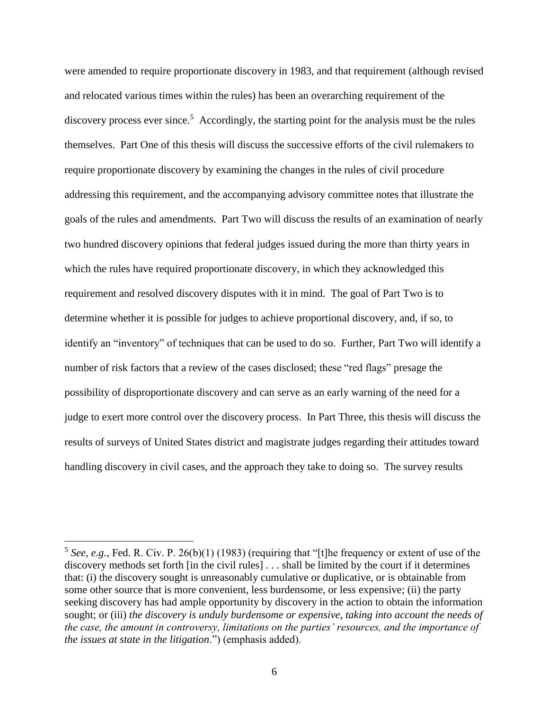were amended to require proportionate discovery in 1983, and that requirement (although revised and relocated various times within the rules) has been an overarching requirement of the discovery process ever since.<sup>5</sup> Accordingly, the starting point for the analysis must be the rules themselves. Part One of this thesis will discuss the successive efforts of the civil rulemakers to require proportionate discovery by examining the changes in the rules of civil procedure addressing this requirement, and the accompanying advisory committee notes that illustrate the goals of the rules and amendments. Part Two will discuss the results of an examination of nearly two hundred discovery opinions that federal judges issued during the more than thirty years in which the rules have required proportionate discovery, in which they acknowledged this requirement and resolved discovery disputes with it in mind. The goal of Part Two is to determine whether it is possible for judges to achieve proportional discovery, and, if so, to identify an "inventory" of techniques that can be used to do so. Further, Part Two will identify a number of risk factors that a review of the cases disclosed; these "red flags" presage the possibility of disproportionate discovery and can serve as an early warning of the need for a judge to exert more control over the discovery process. In Part Three, this thesis will discuss the results of surveys of United States district and magistrate judges regarding their attitudes toward handling discovery in civil cases, and the approach they take to doing so. The survey results

<sup>&</sup>lt;sup>5</sup> See, e.g., Fed. R. Civ. P. 26(b)(1) (1983) (requiring that "[t]he frequency or extent of use of the discovery methods set forth [in the civil rules] . . . shall be limited by the court if it determines that: (i) the discovery sought is unreasonably cumulative or duplicative, or is obtainable from some other source that is more convenient, less burdensome, or less expensive; (ii) the party seeking discovery has had ample opportunity by discovery in the action to obtain the information sought; or (iii) *the discovery is unduly burdensome or expensive, taking into account the needs of the case, the amount in controversy, limitations on the parties' resources, and the importance of the issues at state in the litigation*.") (emphasis added).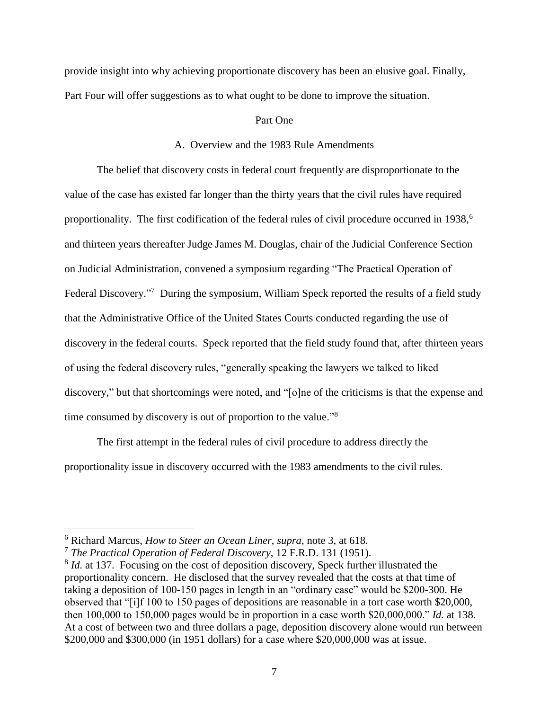provide insight into why achieving proportionate discovery has been an elusive goal. Finally, Part Four will offer suggestions as to what ought to be done to improve the situation.

## Part One

### A. Overview and the 1983 Rule Amendments

The belief that discovery costs in federal court frequently are disproportionate to the value of the case has existed far longer than the thirty years that the civil rules have required proportionality. The first codification of the federal rules of civil procedure occurred in 1938,<sup>6</sup> and thirteen years thereafter Judge James M. Douglas, chair of the Judicial Conference Section on Judicial Administration, convened a symposium regarding "The Practical Operation of Federal Discovery."<sup>7</sup> During the symposium, William Speck reported the results of a field study that the Administrative Office of the United States Courts conducted regarding the use of discovery in the federal courts. Speck reported that the field study found that, after thirteen years of using the federal discovery rules, "generally speaking the lawyers we talked to liked discovery," but that shortcomings were noted, and "[o]ne of the criticisms is that the expense and time consumed by discovery is out of proportion to the value."<sup>8</sup>

The first attempt in the federal rules of civil procedure to address directly the proportionality issue in discovery occurred with the 1983 amendments to the civil rules.

<sup>6</sup> Richard Marcus, *How to Steer an Ocean Liner*, *supra*, note [3,](#page-3-0) at 618.

<sup>7</sup> *The Practical Operation of Federal Discovery*, 12 F.R.D. 131 (1951).

<sup>&</sup>lt;sup>8</sup> *Id.* at 137. Focusing on the cost of deposition discovery, Speck further illustrated the proportionality concern. He disclosed that the survey revealed that the costs at that time of taking a deposition of 100-150 pages in length in an "ordinary case" would be \$200-300. He observed that "[i]f 100 to 150 pages of depositions are reasonable in a tort case worth \$20,000, then 100,000 to 150,000 pages would be in proportion in a case worth \$20,000,000." *Id.* at 138. At a cost of between two and three dollars a page, deposition discovery alone would run between \$200,000 and \$300,000 (in 1951 dollars) for a case where \$20,000,000 was at issue.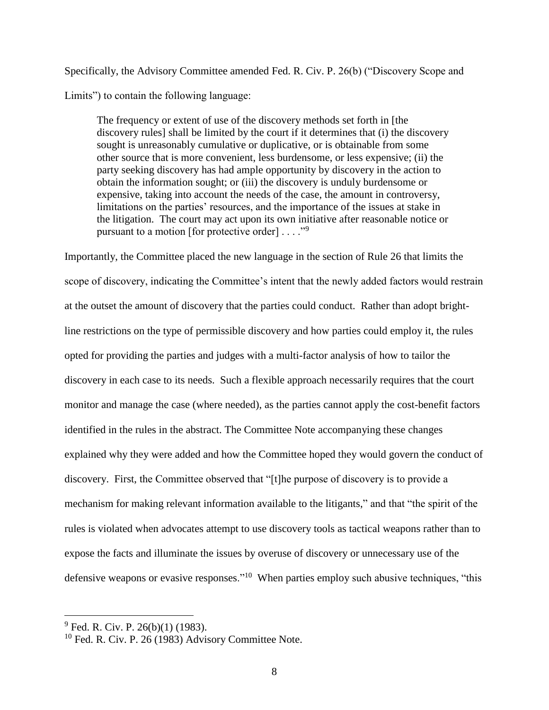Specifically, the Advisory Committee amended Fed. R. Civ. P. 26(b) ("Discovery Scope and Limits") to contain the following language:

The frequency or extent of use of the discovery methods set forth in [the discovery rules] shall be limited by the court if it determines that (i) the discovery sought is unreasonably cumulative or duplicative, or is obtainable from some other source that is more convenient, less burdensome, or less expensive; (ii) the party seeking discovery has had ample opportunity by discovery in the action to obtain the information sought; or (iii) the discovery is unduly burdensome or expensive, taking into account the needs of the case, the amount in controversy, limitations on the parties' resources, and the importance of the issues at stake in the litigation. The court may act upon its own initiative after reasonable notice or pursuant to a motion [for protective order]  $\dots$ ."<sup>9</sup>

Importantly, the Committee placed the new language in the section of Rule 26 that limits the scope of discovery, indicating the Committee's intent that the newly added factors would restrain at the outset the amount of discovery that the parties could conduct. Rather than adopt brightline restrictions on the type of permissible discovery and how parties could employ it, the rules opted for providing the parties and judges with a multi-factor analysis of how to tailor the discovery in each case to its needs. Such a flexible approach necessarily requires that the court monitor and manage the case (where needed), as the parties cannot apply the cost-benefit factors identified in the rules in the abstract. The Committee Note accompanying these changes explained why they were added and how the Committee hoped they would govern the conduct of discovery. First, the Committee observed that "[t]he purpose of discovery is to provide a mechanism for making relevant information available to the litigants," and that "the spirit of the rules is violated when advocates attempt to use discovery tools as tactical weapons rather than to expose the facts and illuminate the issues by overuse of discovery or unnecessary use of the defensive weapons or evasive responses."<sup>10</sup> When parties employ such abusive techniques, "this

 $^{9}$  Fed. R. Civ. P. 26(b)(1) (1983).

 $10$  Fed. R. Civ. P. 26 (1983) Advisory Committee Note.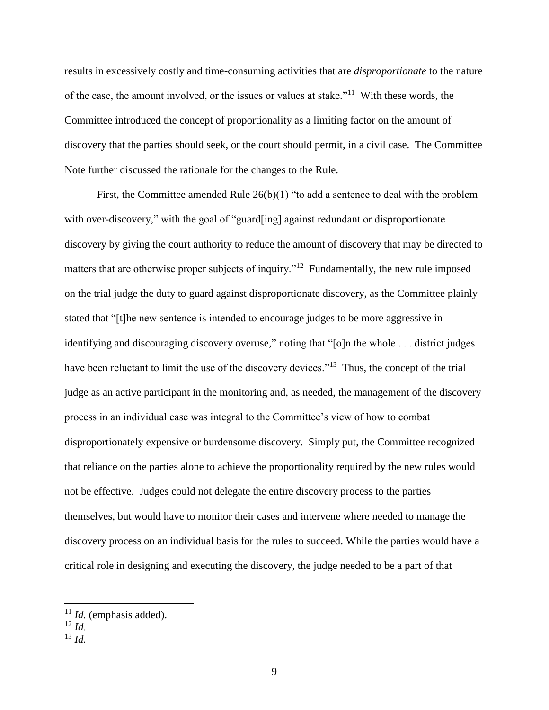results in excessively costly and time-consuming activities that are *disproportionate* to the nature of the case, the amount involved, or the issues or values at stake."<sup>11</sup> With these words, the Committee introduced the concept of proportionality as a limiting factor on the amount of discovery that the parties should seek, or the court should permit, in a civil case. The Committee Note further discussed the rationale for the changes to the Rule.

First, the Committee amended Rule  $26(b)(1)$  "to add a sentence to deal with the problem with over-discovery," with the goal of "guard[ing] against redundant or disproportionate discovery by giving the court authority to reduce the amount of discovery that may be directed to matters that are otherwise proper subjects of inquiry."<sup>12</sup> Fundamentally, the new rule imposed on the trial judge the duty to guard against disproportionate discovery, as the Committee plainly stated that "[t]he new sentence is intended to encourage judges to be more aggressive in identifying and discouraging discovery overuse," noting that "[o]n the whole ... district judges have been reluctant to limit the use of the discovery devices."<sup>13</sup> Thus, the concept of the trial judge as an active participant in the monitoring and, as needed, the management of the discovery process in an individual case was integral to the Committee's view of how to combat disproportionately expensive or burdensome discovery. Simply put, the Committee recognized that reliance on the parties alone to achieve the proportionality required by the new rules would not be effective. Judges could not delegate the entire discovery process to the parties themselves, but would have to monitor their cases and intervene where needed to manage the discovery process on an individual basis for the rules to succeed. While the parties would have a critical role in designing and executing the discovery, the judge needed to be a part of that

<sup>11</sup> *Id.* (emphasis added).

 $12 \, Id.$ 

<sup>13</sup> *Id.*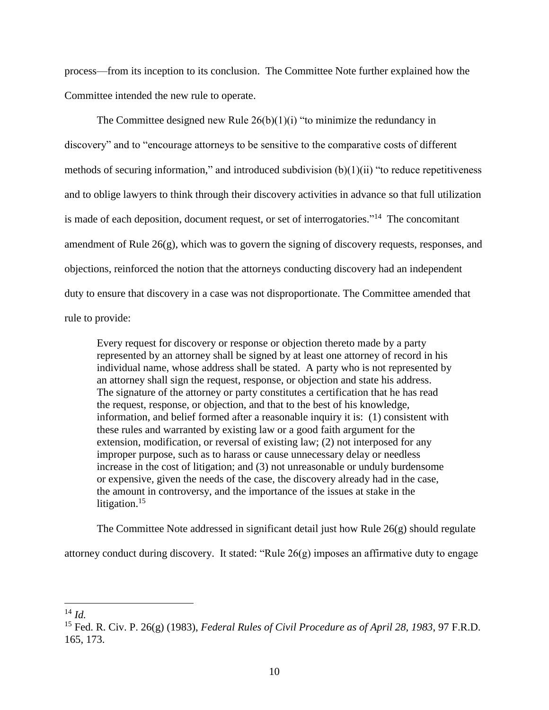process—from its inception to its conclusion. The Committee Note further explained how the Committee intended the new rule to operate.

The Committee designed new Rule  $26(b)(1)(i)$  "to minimize the redundancy in discovery" and to "encourage attorneys to be sensitive to the comparative costs of different methods of securing information," and introduced subdivision (b)(1)(ii) "to reduce repetitiveness and to oblige lawyers to think through their discovery activities in advance so that full utilization is made of each deposition, document request, or set of interrogatories."<sup>14</sup> The concomitant amendment of Rule 26(g), which was to govern the signing of discovery requests, responses, and objections, reinforced the notion that the attorneys conducting discovery had an independent duty to ensure that discovery in a case was not disproportionate. The Committee amended that rule to provide:

Every request for discovery or response or objection thereto made by a party represented by an attorney shall be signed by at least one attorney of record in his individual name, whose address shall be stated. A party who is not represented by an attorney shall sign the request, response, or objection and state his address. The signature of the attorney or party constitutes a certification that he has read the request, response, or objection, and that to the best of his knowledge, information, and belief formed after a reasonable inquiry it is: (1) consistent with these rules and warranted by existing law or a good faith argument for the extension, modification, or reversal of existing law; (2) not interposed for any improper purpose, such as to harass or cause unnecessary delay or needless increase in the cost of litigation; and (3) not unreasonable or unduly burdensome or expensive, given the needs of the case, the discovery already had in the case, the amount in controversy, and the importance of the issues at stake in the litigation.<sup>15</sup>

The Committee Note addressed in significant detail just how Rule  $26(g)$  should regulate

attorney conduct during discovery. It stated: "Rule  $26(g)$  imposes an affirmative duty to engage

<sup>14</sup> *Id.*

<sup>15</sup> Fed. R. Civ. P. 26(g) (1983), *Federal Rules of Civil Procedure as of April 28, 1983*, 97 F.R.D. 165, 173.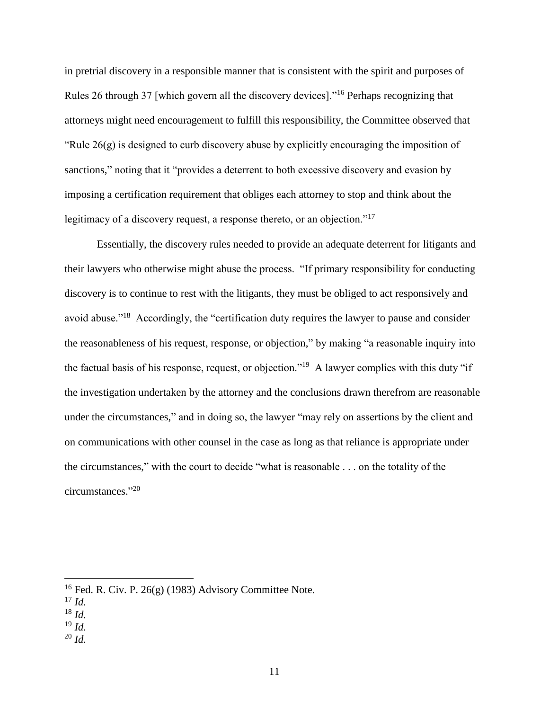in pretrial discovery in a responsible manner that is consistent with the spirit and purposes of Rules 26 through 37 [which govern all the discovery devices]."<sup>16</sup> Perhaps recognizing that attorneys might need encouragement to fulfill this responsibility, the Committee observed that "Rule  $26(g)$  is designed to curb discovery abuse by explicitly encouraging the imposition of sanctions," noting that it "provides a deterrent to both excessive discovery and evasion by imposing a certification requirement that obliges each attorney to stop and think about the legitimacy of a discovery request, a response thereto, or an objection."<sup>17</sup>

Essentially, the discovery rules needed to provide an adequate deterrent for litigants and their lawyers who otherwise might abuse the process. "If primary responsibility for conducting discovery is to continue to rest with the litigants, they must be obliged to act responsively and avoid abuse."<sup>18</sup> Accordingly, the "certification duty requires the lawyer to pause and consider the reasonableness of his request, response, or objection," by making "a reasonable inquiry into the factual basis of his response, request, or objection."<sup>19</sup> A lawyer complies with this duty "if the investigation undertaken by the attorney and the conclusions drawn therefrom are reasonable under the circumstances," and in doing so, the lawyer "may rely on assertions by the client and on communications with other counsel in the case as long as that reliance is appropriate under the circumstances," with the court to decide "what is reasonable . . . on the totality of the circumstances." 20

 $\overline{a}$ 

<sup>20</sup> *Id.*

<sup>&</sup>lt;sup>16</sup> Fed. R. Civ. P. 26(g) (1983) Advisory Committee Note.

<sup>17</sup> *Id.*

<sup>18</sup> *Id.*

<sup>19</sup> *Id.*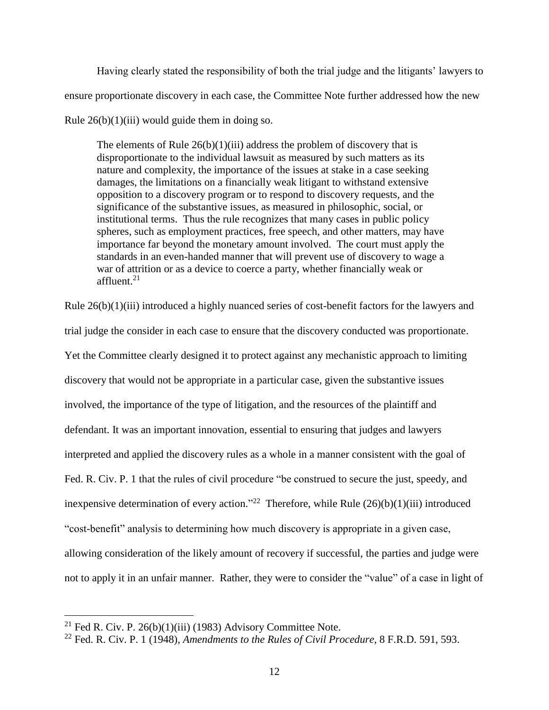Having clearly stated the responsibility of both the trial judge and the litigants' lawyers to ensure proportionate discovery in each case, the Committee Note further addressed how the new Rule  $26(b)(1)(iii)$  would guide them in doing so.

The elements of Rule  $26(b)(1)(iii)$  address the problem of discovery that is disproportionate to the individual lawsuit as measured by such matters as its nature and complexity, the importance of the issues at stake in a case seeking damages, the limitations on a financially weak litigant to withstand extensive opposition to a discovery program or to respond to discovery requests, and the significance of the substantive issues, as measured in philosophic, social, or institutional terms. Thus the rule recognizes that many cases in public policy spheres, such as employment practices, free speech, and other matters, may have importance far beyond the monetary amount involved. The court must apply the standards in an even-handed manner that will prevent use of discovery to wage a war of attrition or as a device to coerce a party, whether financially weak or affluent. $21$ 

Rule 26(b)(1)(iii) introduced a highly nuanced series of cost-benefit factors for the lawyers and trial judge the consider in each case to ensure that the discovery conducted was proportionate. Yet the Committee clearly designed it to protect against any mechanistic approach to limiting discovery that would not be appropriate in a particular case, given the substantive issues involved, the importance of the type of litigation, and the resources of the plaintiff and defendant. It was an important innovation, essential to ensuring that judges and lawyers interpreted and applied the discovery rules as a whole in a manner consistent with the goal of Fed. R. Civ. P. 1 that the rules of civil procedure "be construed to secure the just, speedy, and inexpensive determination of every action."<sup>22</sup> Therefore, while Rule  $(26)(b)(1)(iii)$  introduced "cost-benefit" analysis to determining how much discovery is appropriate in a given case, allowing consideration of the likely amount of recovery if successful, the parties and judge were not to apply it in an unfair manner. Rather, they were to consider the "value" of a case in light of

<sup>&</sup>lt;sup>21</sup> Fed R. Civ. P. 26(b)(1)(iii) (1983) Advisory Committee Note.

<sup>22</sup> Fed. R. Civ. P. 1 (1948), *Amendments to the Rules of Civil Procedure*, 8 F.R.D. 591, 593.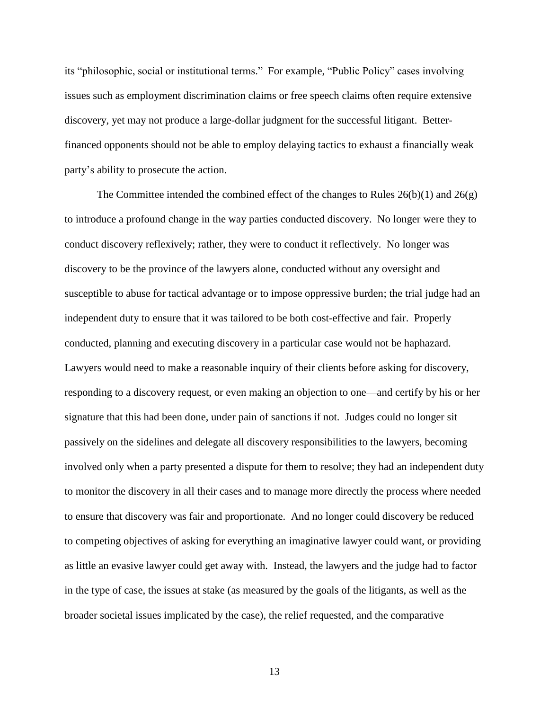its "philosophic, social or institutional terms." For example, "Public Policy" cases involving issues such as employment discrimination claims or free speech claims often require extensive discovery, yet may not produce a large-dollar judgment for the successful litigant. Betterfinanced opponents should not be able to employ delaying tactics to exhaust a financially weak party's ability to prosecute the action.

The Committee intended the combined effect of the changes to Rules  $26(b)(1)$  and  $26(g)$ to introduce a profound change in the way parties conducted discovery. No longer were they to conduct discovery reflexively; rather, they were to conduct it reflectively. No longer was discovery to be the province of the lawyers alone, conducted without any oversight and susceptible to abuse for tactical advantage or to impose oppressive burden; the trial judge had an independent duty to ensure that it was tailored to be both cost-effective and fair. Properly conducted, planning and executing discovery in a particular case would not be haphazard. Lawyers would need to make a reasonable inquiry of their clients before asking for discovery, responding to a discovery request, or even making an objection to one—and certify by his or her signature that this had been done, under pain of sanctions if not. Judges could no longer sit passively on the sidelines and delegate all discovery responsibilities to the lawyers, becoming involved only when a party presented a dispute for them to resolve; they had an independent duty to monitor the discovery in all their cases and to manage more directly the process where needed to ensure that discovery was fair and proportionate. And no longer could discovery be reduced to competing objectives of asking for everything an imaginative lawyer could want, or providing as little an evasive lawyer could get away with. Instead, the lawyers and the judge had to factor in the type of case, the issues at stake (as measured by the goals of the litigants, as well as the broader societal issues implicated by the case), the relief requested, and the comparative

13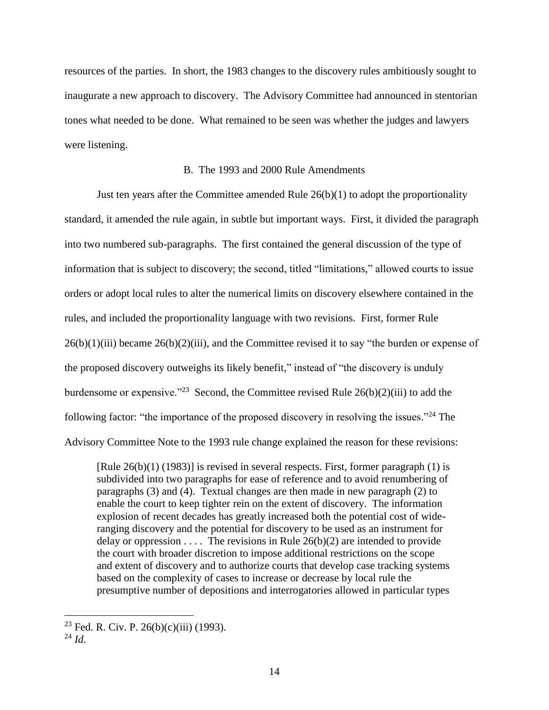resources of the parties. In short, the 1983 changes to the discovery rules ambitiously sought to inaugurate a new approach to discovery. The Advisory Committee had announced in stentorian tones what needed to be done. What remained to be seen was whether the judges and lawyers were listening.

#### B. The 1993 and 2000 Rule Amendments

Just ten years after the Committee amended Rule 26(b)(1) to adopt the proportionality standard, it amended the rule again, in subtle but important ways. First, it divided the paragraph into two numbered sub-paragraphs. The first contained the general discussion of the type of information that is subject to discovery; the second, titled "limitations," allowed courts to issue orders or adopt local rules to alter the numerical limits on discovery elsewhere contained in the rules, and included the proportionality language with two revisions. First, former Rule  $26(b)(1)(iii)$  became  $26(b)(2)(iii)$ , and the Committee revised it to say "the burden or expense of the proposed discovery outweighs its likely benefit," instead of "the discovery is unduly burdensome or expensive."<sup>23</sup> Second, the Committee revised Rule  $26(b)(2)(iii)$  to add the following factor: "the importance of the proposed discovery in resolving the issues."<sup>24</sup> The Advisory Committee Note to the 1993 rule change explained the reason for these revisions:

[Rule 26(b)(1) (1983)] is revised in several respects. First, former paragraph (1) is subdivided into two paragraphs for ease of reference and to avoid renumbering of paragraphs (3) and (4). Textual changes are then made in new paragraph (2) to enable the court to keep tighter rein on the extent of discovery. The information explosion of recent decades has greatly increased both the potential cost of wideranging discovery and the potential for discovery to be used as an instrument for delay or oppression . . . . The revisions in Rule  $26(b)(2)$  are intended to provide the court with broader discretion to impose additional restrictions on the scope and extent of discovery and to authorize courts that develop case tracking systems based on the complexity of cases to increase or decrease by local rule the presumptive number of depositions and interrogatories allowed in particular types

<sup>&</sup>lt;sup>23</sup> Fed. R. Civ. P. 26(b)(c)(iii) (1993).

<sup>24</sup> *Id.*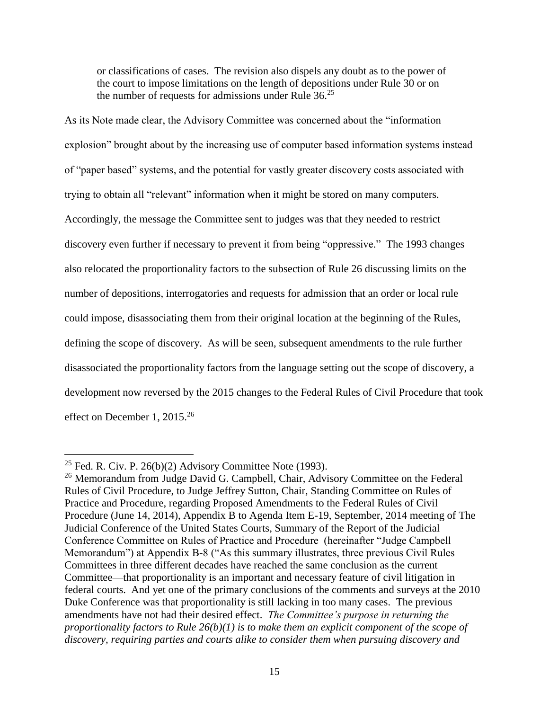or classifications of cases. The revision also dispels any doubt as to the power of the court to impose limitations on the length of depositions under Rule 30 or on the number of requests for admissions under Rule 36.<sup>25</sup>

As its Note made clear, the Advisory Committee was concerned about the "information explosion" brought about by the increasing use of computer based information systems instead of "paper based" systems, and the potential for vastly greater discovery costs associated with trying to obtain all "relevant" information when it might be stored on many computers. Accordingly, the message the Committee sent to judges was that they needed to restrict discovery even further if necessary to prevent it from being "oppressive." The 1993 changes also relocated the proportionality factors to the subsection of Rule 26 discussing limits on the number of depositions, interrogatories and requests for admission that an order or local rule could impose, disassociating them from their original location at the beginning of the Rules, defining the scope of discovery. As will be seen, subsequent amendments to the rule further disassociated the proportionality factors from the language setting out the scope of discovery, a development now reversed by the 2015 changes to the Federal Rules of Civil Procedure that took effect on December 1, 2015.<sup>26</sup>

<span id="page-14-0"></span><sup>&</sup>lt;sup>25</sup> Fed. R. Civ. P. 26(b)(2) Advisory Committee Note (1993).

<sup>&</sup>lt;sup>26</sup> Memorandum from Judge David G. Campbell, Chair, Advisory Committee on the Federal Rules of Civil Procedure, to Judge Jeffrey Sutton, Chair, Standing Committee on Rules of Practice and Procedure, regarding Proposed Amendments to the Federal Rules of Civil Procedure (June 14, 2014), Appendix B to Agenda Item E-19, September, 2014 meeting of The Judicial Conference of the United States Courts, Summary of the Report of the Judicial Conference Committee on Rules of Practice and Procedure (hereinafter "Judge Campbell Memorandum") at Appendix B-8 ("As this summary illustrates, three previous Civil Rules Committees in three different decades have reached the same conclusion as the current Committee—that proportionality is an important and necessary feature of civil litigation in federal courts. And yet one of the primary conclusions of the comments and surveys at the 2010 Duke Conference was that proportionality is still lacking in too many cases. The previous amendments have not had their desired effect. *The Committee's purpose in returning the proportionality factors to Rule 26(b)(1) is to make them an explicit component of the scope of discovery, requiring parties and courts alike to consider them when pursuing discovery and*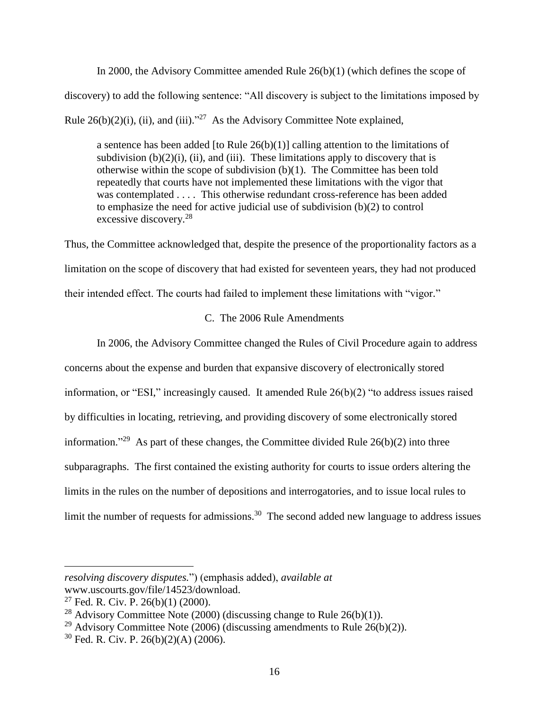In 2000, the Advisory Committee amended Rule 26(b)(1) (which defines the scope of discovery) to add the following sentence: "All discovery is subject to the limitations imposed by Rule  $26(b)(2)(i)$ , (ii), and (iii)."<sup>27</sup> As the Advisory Committee Note explained,

a sentence has been added [to Rule  $26(b)(1)$ ] calling attention to the limitations of subdivision  $(b)(2)(i)$ ,  $(ii)$ , and  $(iii)$ . These limitations apply to discovery that is otherwise within the scope of subdivision (b)(1). The Committee has been told repeatedly that courts have not implemented these limitations with the vigor that was contemplated . . . . This otherwise redundant cross-reference has been added to emphasize the need for active judicial use of subdivision (b)(2) to control excessive discovery.<sup>28</sup>

Thus, the Committee acknowledged that, despite the presence of the proportionality factors as a limitation on the scope of discovery that had existed for seventeen years, they had not produced their intended effect. The courts had failed to implement these limitations with "vigor."

# C. The 2006 Rule Amendments

In 2006, the Advisory Committee changed the Rules of Civil Procedure again to address concerns about the expense and burden that expansive discovery of electronically stored information, or "ESI," increasingly caused. It amended Rule 26(b)(2) "to address issues raised by difficulties in locating, retrieving, and providing discovery of some electronically stored information."<sup>29</sup> As part of these changes, the Committee divided Rule  $26(b)(2)$  into three subparagraphs. The first contained the existing authority for courts to issue orders altering the limits in the rules on the number of depositions and interrogatories, and to issue local rules to limit the number of requests for admissions.<sup>30</sup> The second added new language to address issues

*resolving discovery disputes.*") (emphasis added), *available at*

www.uscourts.gov/file/14523/download.

<sup>27</sup> Fed. R. Civ. P. 26(b)(1) (2000).

<sup>&</sup>lt;sup>28</sup> Advisory Committee Note (2000) (discussing change to Rule 26(b)(1)).

<sup>&</sup>lt;sup>29</sup> Advisory Committee Note (2006) (discussing amendments to Rule 26(b)(2)).

 $30$  Fed. R. Civ. P. 26(b)(2)(A) (2006).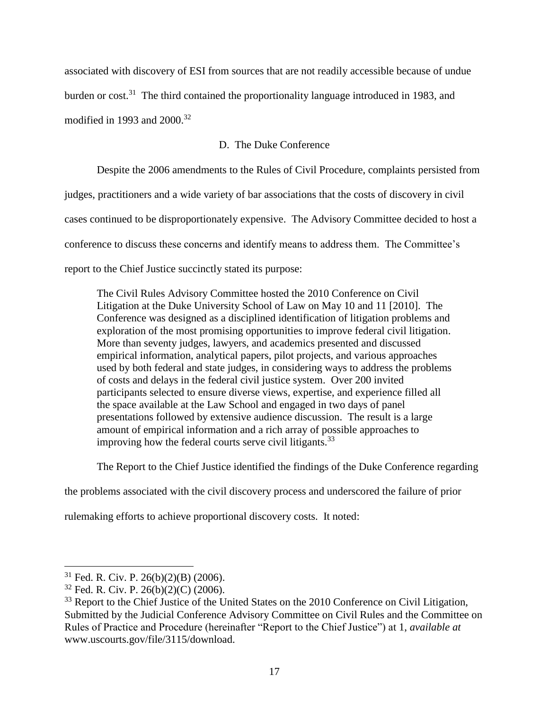associated with discovery of ESI from sources that are not readily accessible because of undue burden or cost.<sup>31</sup> The third contained the proportionality language introduced in 1983, and modified in 1993 and 2000. 32

# D. The Duke Conference

Despite the 2006 amendments to the Rules of Civil Procedure, complaints persisted from judges, practitioners and a wide variety of bar associations that the costs of discovery in civil cases continued to be disproportionately expensive. The Advisory Committee decided to host a conference to discuss these concerns and identify means to address them. The Committee's report to the Chief Justice succinctly stated its purpose:

The Civil Rules Advisory Committee hosted the 2010 Conference on Civil Litigation at the Duke University School of Law on May 10 and 11 [2010]. The Conference was designed as a disciplined identification of litigation problems and exploration of the most promising opportunities to improve federal civil litigation. More than seventy judges, lawyers, and academics presented and discussed empirical information, analytical papers, pilot projects, and various approaches used by both federal and state judges, in considering ways to address the problems of costs and delays in the federal civil justice system. Over 200 invited participants selected to ensure diverse views, expertise, and experience filled all the space available at the Law School and engaged in two days of panel presentations followed by extensive audience discussion. The result is a large amount of empirical information and a rich array of possible approaches to improving how the federal courts serve civil litigants.<sup>33</sup>

The Report to the Chief Justice identified the findings of the Duke Conference regarding

the problems associated with the civil discovery process and underscored the failure of prior

rulemaking efforts to achieve proportional discovery costs. It noted:

 $31$  Fed. R. Civ. P. 26(b)(2)(B) (2006).

 $32$  Fed. R. Civ. P. 26(b)(2)(C) (2006).

<sup>&</sup>lt;sup>33</sup> Report to the Chief Justice of the United States on the 2010 Conference on Civil Litigation, Submitted by the Judicial Conference Advisory Committee on Civil Rules and the Committee on Rules of Practice and Procedure (hereinafter "Report to the Chief Justice") at 1, *available at* www.uscourts.gov/file/3115/download.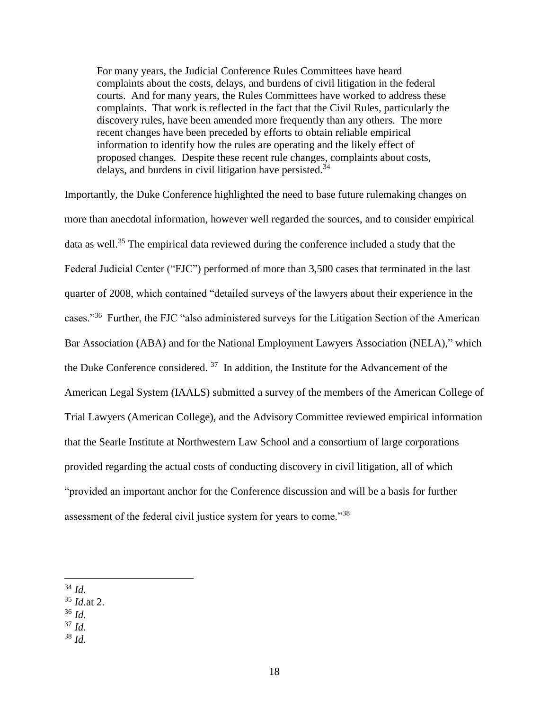For many years, the Judicial Conference Rules Committees have heard complaints about the costs, delays, and burdens of civil litigation in the federal courts. And for many years, the Rules Committees have worked to address these complaints. That work is reflected in the fact that the Civil Rules, particularly the discovery rules, have been amended more frequently than any others. The more recent changes have been preceded by efforts to obtain reliable empirical information to identify how the rules are operating and the likely effect of proposed changes. Despite these recent rule changes, complaints about costs, delays, and burdens in civil litigation have persisted. $34$ 

Importantly, the Duke Conference highlighted the need to base future rulemaking changes on more than anecdotal information, however well regarded the sources, and to consider empirical data as well.<sup>35</sup> The empirical data reviewed during the conference included a study that the Federal Judicial Center ("FJC") performed of more than 3,500 cases that terminated in the last quarter of 2008, which contained "detailed surveys of the lawyers about their experience in the cases."<sup>36</sup> Further, the FJC "also administered surveys for the Litigation Section of the American Bar Association (ABA) and for the National Employment Lawyers Association (NELA)," which the Duke Conference considered.  $37$  In addition, the Institute for the Advancement of the American Legal System (IAALS) submitted a survey of the members of the American College of Trial Lawyers (American College), and the Advisory Committee reviewed empirical information that the Searle Institute at Northwestern Law School and a consortium of large corporations provided regarding the actual costs of conducting discovery in civil litigation, all of which "provided an important anchor for the Conference discussion and will be a basis for further assessment of the federal civil justice system for years to come."<sup>38</sup>

- <sup>35</sup> *Id.*at 2.
- <sup>36</sup> *Id.*
- <sup>37</sup> *Id.*
- <sup>38</sup> *Id.*

<sup>34</sup> *Id.*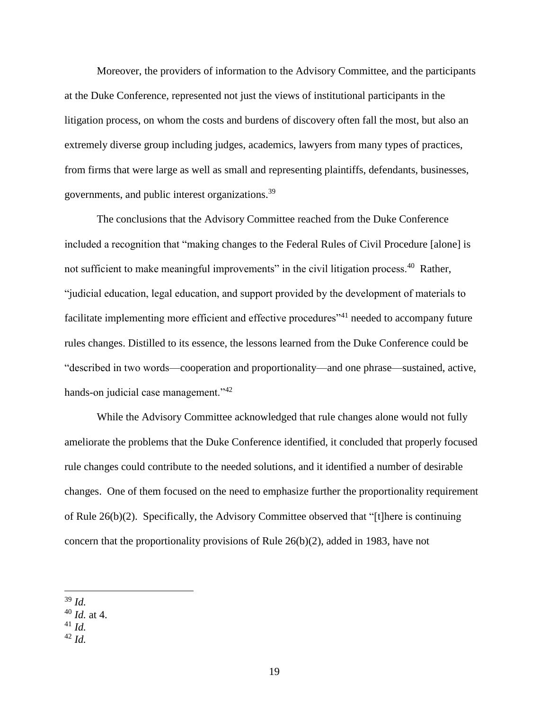Moreover, the providers of information to the Advisory Committee, and the participants at the Duke Conference, represented not just the views of institutional participants in the litigation process, on whom the costs and burdens of discovery often fall the most, but also an extremely diverse group including judges, academics, lawyers from many types of practices, from firms that were large as well as small and representing plaintiffs, defendants, businesses, governments, and public interest organizations.<sup>39</sup>

The conclusions that the Advisory Committee reached from the Duke Conference included a recognition that "making changes to the Federal Rules of Civil Procedure [alone] is not sufficient to make meaningful improvements" in the civil litigation process.<sup>40</sup> Rather, "judicial education, legal education, and support provided by the development of materials to facilitate implementing more efficient and effective procedures<sup>341</sup> needed to accompany future rules changes. Distilled to its essence, the lessons learned from the Duke Conference could be "described in two words—cooperation and proportionality—and one phrase—sustained, active, hands-on judicial case management."<sup>42</sup>

While the Advisory Committee acknowledged that rule changes alone would not fully ameliorate the problems that the Duke Conference identified, it concluded that properly focused rule changes could contribute to the needed solutions, and it identified a number of desirable changes. One of them focused on the need to emphasize further the proportionality requirement of Rule 26(b)(2). Specifically, the Advisory Committee observed that "[t]here is continuing concern that the proportionality provisions of Rule 26(b)(2), added in 1983, have not

 $\overline{a}$ <sup>39</sup> *Id.*

- <sup>40</sup> *Id.* at 4.
- <sup>41</sup> *Id.*
- <sup>42</sup> *Id.*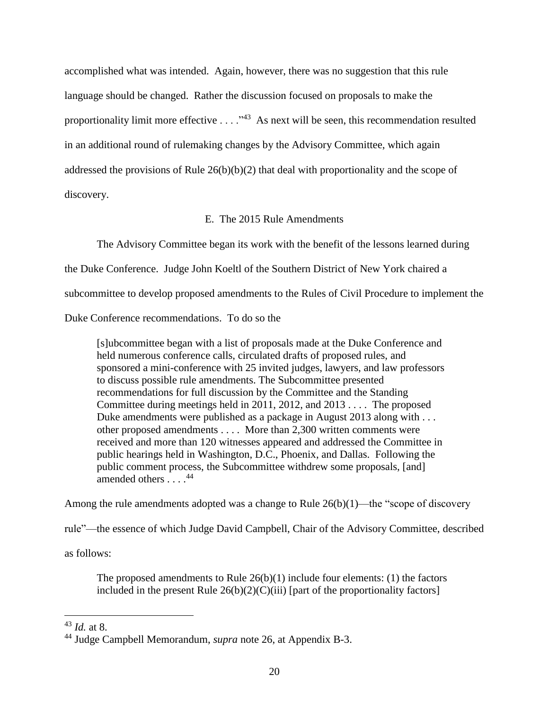accomplished what was intended. Again, however, there was no suggestion that this rule language should be changed. Rather the discussion focused on proposals to make the proportionality limit more effective  $\dots$ ."<sup>43</sup> As next will be seen, this recommendation resulted in an additional round of rulemaking changes by the Advisory Committee, which again addressed the provisions of Rule 26(b)(b)(2) that deal with proportionality and the scope of discovery.

### E. The 2015 Rule Amendments

The Advisory Committee began its work with the benefit of the lessons learned during the Duke Conference. Judge John Koeltl of the Southern District of New York chaired a subcommittee to develop proposed amendments to the Rules of Civil Procedure to implement the Duke Conference recommendations. To do so the

[s]ubcommittee began with a list of proposals made at the Duke Conference and held numerous conference calls, circulated drafts of proposed rules, and sponsored a mini-conference with 25 invited judges, lawyers, and law professors to discuss possible rule amendments. The Subcommittee presented recommendations for full discussion by the Committee and the Standing Committee during meetings held in 2011, 2012, and 2013 . . . . The proposed Duke amendments were published as a package in August 2013 along with . . . other proposed amendments . . . . More than 2,300 written comments were received and more than 120 witnesses appeared and addressed the Committee in public hearings held in Washington, D.C., Phoenix, and Dallas. Following the public comment process, the Subcommittee withdrew some proposals, [and] amended others  $\ldots$ <sup>44</sup>

Among the rule amendments adopted was a change to Rule  $26(b)(1)$ —the "scope of discovery"

rule"—the essence of which Judge David Campbell, Chair of the Advisory Committee, described

as follows:

The proposed amendments to Rule  $26(b)(1)$  include four elements: (1) the factors included in the present Rule  $26(b)(2)(C)(iii)$  [part of the proportionality factors]

<sup>43</sup> *Id.* at 8.

<sup>44</sup> Judge Campbell Memorandum, *supra* note [26,](#page-14-0) at Appendix B-3.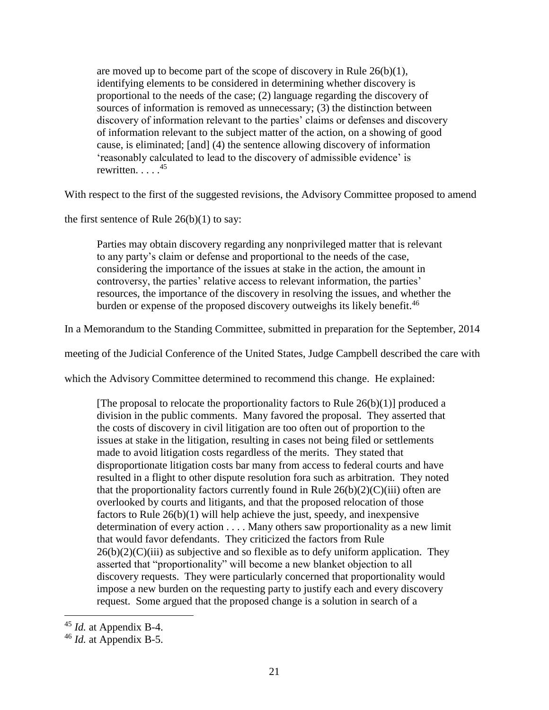are moved up to become part of the scope of discovery in Rule  $26(b)(1)$ , identifying elements to be considered in determining whether discovery is proportional to the needs of the case; (2) language regarding the discovery of sources of information is removed as unnecessary; (3) the distinction between discovery of information relevant to the parties' claims or defenses and discovery of information relevant to the subject matter of the action, on a showing of good cause, is eliminated; [and] (4) the sentence allowing discovery of information 'reasonably calculated to lead to the discovery of admissible evidence' is rewritten.  $\ldots$ .<sup>45</sup>

With respect to the first of the suggested revisions, the Advisory Committee proposed to amend

the first sentence of Rule  $26(b)(1)$  to say:

Parties may obtain discovery regarding any nonprivileged matter that is relevant to any party's claim or defense and proportional to the needs of the case, considering the importance of the issues at stake in the action, the amount in controversy, the parties' relative access to relevant information, the parties' resources, the importance of the discovery in resolving the issues, and whether the burden or expense of the proposed discovery outweighs its likely benefit.<sup>46</sup>

In a Memorandum to the Standing Committee, submitted in preparation for the September, 2014

meeting of the Judicial Conference of the United States, Judge Campbell described the care with

which the Advisory Committee determined to recommend this change. He explained:

[The proposal to relocate the proportionality factors to Rule  $26(b)(1)$ ] produced a division in the public comments. Many favored the proposal. They asserted that the costs of discovery in civil litigation are too often out of proportion to the issues at stake in the litigation, resulting in cases not being filed or settlements made to avoid litigation costs regardless of the merits. They stated that disproportionate litigation costs bar many from access to federal courts and have resulted in a flight to other dispute resolution fora such as arbitration. They noted that the proportionality factors currently found in Rule  $26(b)(2)(C)(iii)$  often are overlooked by courts and litigants, and that the proposed relocation of those factors to Rule 26(b)(1) will help achieve the just, speedy, and inexpensive determination of every action . . . . Many others saw proportionality as a new limit that would favor defendants. They criticized the factors from Rule  $26(b)(2)(C)(iii)$  as subjective and so flexible as to defy uniform application. They asserted that "proportionality" will become a new blanket objection to all discovery requests. They were particularly concerned that proportionality would impose a new burden on the requesting party to justify each and every discovery request. Some argued that the proposed change is a solution in search of a

<sup>45</sup> *Id.* at Appendix B-4.

<sup>46</sup> *Id.* at Appendix B-5.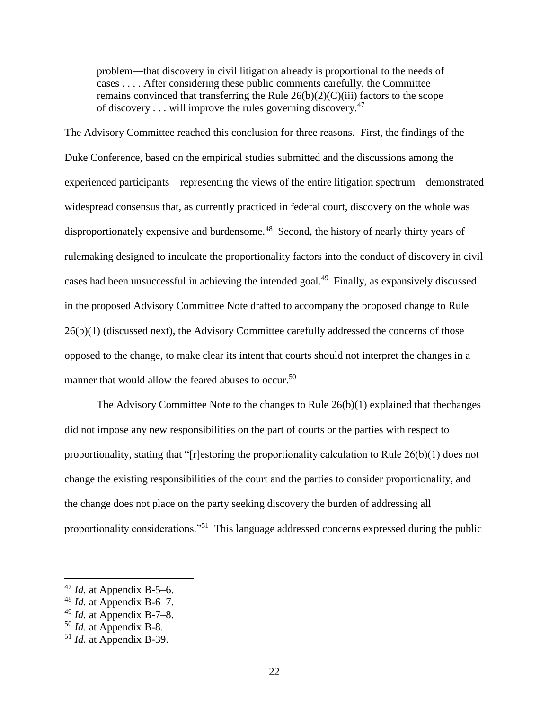problem—that discovery in civil litigation already is proportional to the needs of cases . . . . After considering these public comments carefully, the Committee remains convinced that transferring the Rule  $26(b)(2)(C)(iii)$  factors to the scope of discovery  $\dots$  will improve the rules governing discovery.<sup>47</sup>

The Advisory Committee reached this conclusion for three reasons. First, the findings of the Duke Conference, based on the empirical studies submitted and the discussions among the experienced participants—representing the views of the entire litigation spectrum—demonstrated widespread consensus that, as currently practiced in federal court, discovery on the whole was disproportionately expensive and burdensome.<sup>48</sup> Second, the history of nearly thirty years of rulemaking designed to inculcate the proportionality factors into the conduct of discovery in civil cases had been unsuccessful in achieving the intended goal.<sup>49</sup> Finally, as expansively discussed in the proposed Advisory Committee Note drafted to accompany the proposed change to Rule 26(b)(1) (discussed next), the Advisory Committee carefully addressed the concerns of those opposed to the change, to make clear its intent that courts should not interpret the changes in a manner that would allow the feared abuses to occur.<sup>50</sup>

The Advisory Committee Note to the changes to Rule 26(b)(1) explained that thechanges did not impose any new responsibilities on the part of courts or the parties with respect to proportionality, stating that "[r]estoring the proportionality calculation to Rule 26(b)(1) does not change the existing responsibilities of the court and the parties to consider proportionality, and the change does not place on the party seeking discovery the burden of addressing all proportionality considerations."<sup>51</sup> This language addressed concerns expressed during the public

<sup>47</sup> *Id.* at Appendix B-5–6.

<sup>48</sup> *Id.* at Appendix B-6–7.

<sup>49</sup> *Id.* at Appendix B-7–8.

<sup>50</sup> *Id.* at Appendix B-8.

<sup>51</sup> *Id.* at Appendix B-39.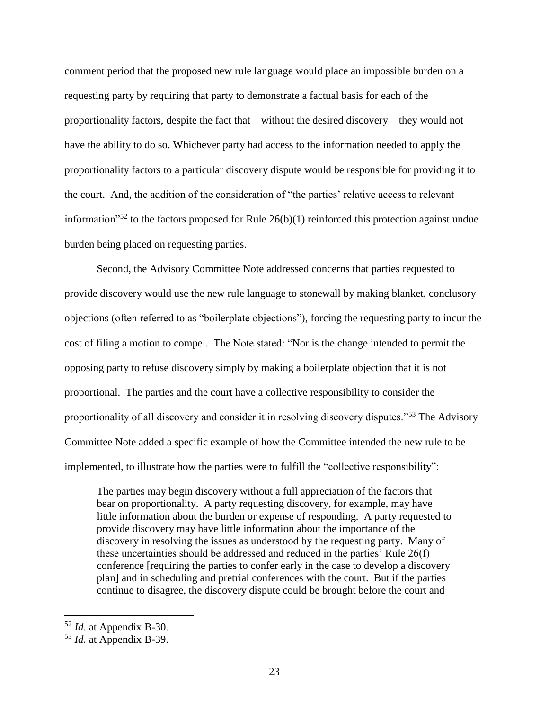comment period that the proposed new rule language would place an impossible burden on a requesting party by requiring that party to demonstrate a factual basis for each of the proportionality factors, despite the fact that—without the desired discovery—they would not have the ability to do so. Whichever party had access to the information needed to apply the proportionality factors to a particular discovery dispute would be responsible for providing it to the court. And, the addition of the consideration of "the parties' relative access to relevant information<sup>"52</sup> to the factors proposed for Rule  $26(b)(1)$  reinforced this protection against undue burden being placed on requesting parties.

Second, the Advisory Committee Note addressed concerns that parties requested to provide discovery would use the new rule language to stonewall by making blanket, conclusory objections (often referred to as "boilerplate objections"), forcing the requesting party to incur the cost of filing a motion to compel. The Note stated: "Nor is the change intended to permit the opposing party to refuse discovery simply by making a boilerplate objection that it is not proportional. The parties and the court have a collective responsibility to consider the proportionality of all discovery and consider it in resolving discovery disputes."<sup>53</sup> The Advisory Committee Note added a specific example of how the Committee intended the new rule to be implemented, to illustrate how the parties were to fulfill the "collective responsibility":

The parties may begin discovery without a full appreciation of the factors that bear on proportionality. A party requesting discovery, for example, may have little information about the burden or expense of responding. A party requested to provide discovery may have little information about the importance of the discovery in resolving the issues as understood by the requesting party. Many of these uncertainties should be addressed and reduced in the parties' Rule 26(f) conference [requiring the parties to confer early in the case to develop a discovery plan] and in scheduling and pretrial conferences with the court. But if the parties continue to disagree, the discovery dispute could be brought before the court and

<sup>52</sup> *Id.* at Appendix B-30.

<sup>53</sup> *Id.* at Appendix B-39.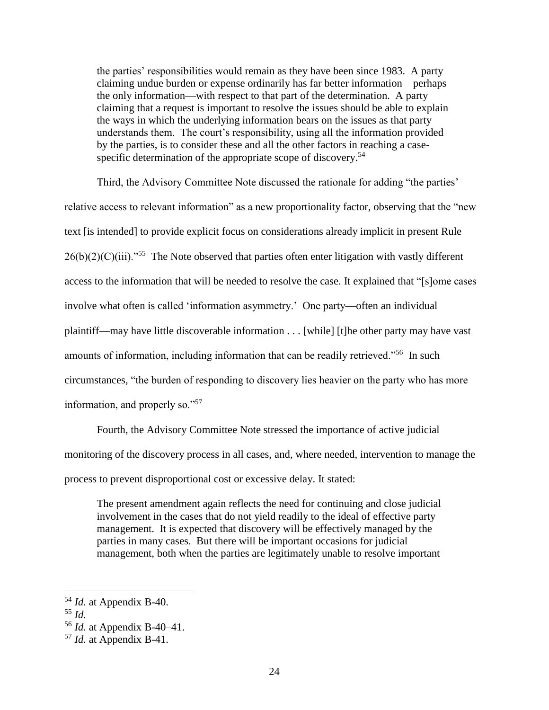the parties' responsibilities would remain as they have been since 1983. A party claiming undue burden or expense ordinarily has far better information—perhaps the only information—with respect to that part of the determination. A party claiming that a request is important to resolve the issues should be able to explain the ways in which the underlying information bears on the issues as that party understands them. The court's responsibility, using all the information provided by the parties, is to consider these and all the other factors in reaching a casespecific determination of the appropriate scope of discovery.<sup>54</sup>

Third, the Advisory Committee Note discussed the rationale for adding "the parties' relative access to relevant information" as a new proportionality factor, observing that the "new text [is intended] to provide explicit focus on considerations already implicit in present Rule  $26(b)(2)(C)(iii)$ ."<sup>55</sup> The Note observed that parties often enter litigation with vastly different access to the information that will be needed to resolve the case. It explained that "[s]ome cases involve what often is called 'information asymmetry.' One party—often an individual plaintiff—may have little discoverable information . . . [while] [t]he other party may have vast amounts of information, including information that can be readily retrieved."<sup>56</sup> In such circumstances, "the burden of responding to discovery lies heavier on the party who has more information, and properly so."<sup>57</sup>

Fourth, the Advisory Committee Note stressed the importance of active judicial monitoring of the discovery process in all cases, and, where needed, intervention to manage the process to prevent disproportional cost or excessive delay. It stated:

The present amendment again reflects the need for continuing and close judicial involvement in the cases that do not yield readily to the ideal of effective party management. It is expected that discovery will be effectively managed by the parties in many cases. But there will be important occasions for judicial management, both when the parties are legitimately unable to resolve important

<sup>54</sup> *Id.* at Appendix B-40.

<sup>55</sup> *Id.*

<sup>56</sup> *Id.* at Appendix B-40–41.

<sup>57</sup> *Id.* at Appendix B-41.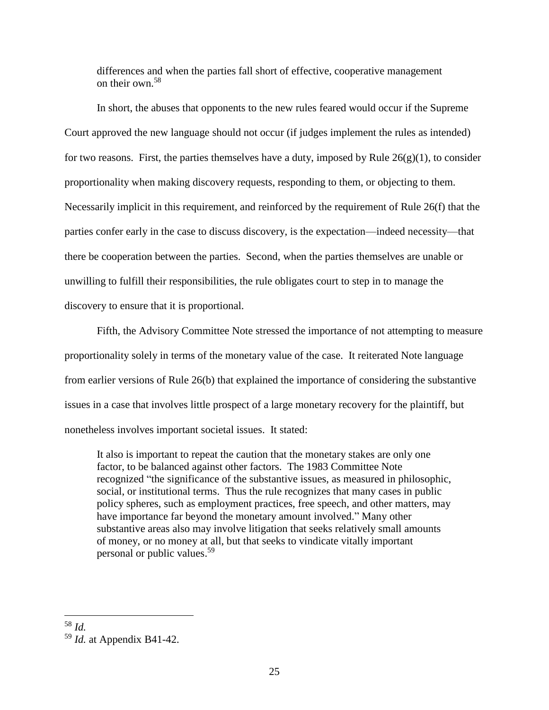differences and when the parties fall short of effective, cooperative management on their own.<sup>58</sup>

In short, the abuses that opponents to the new rules feared would occur if the Supreme Court approved the new language should not occur (if judges implement the rules as intended) for two reasons. First, the parties themselves have a duty, imposed by Rule  $26(g)(1)$ , to consider proportionality when making discovery requests, responding to them, or objecting to them. Necessarily implicit in this requirement, and reinforced by the requirement of Rule 26(f) that the parties confer early in the case to discuss discovery, is the expectation—indeed necessity—that there be cooperation between the parties. Second, when the parties themselves are unable or unwilling to fulfill their responsibilities, the rule obligates court to step in to manage the discovery to ensure that it is proportional.

Fifth, the Advisory Committee Note stressed the importance of not attempting to measure proportionality solely in terms of the monetary value of the case. It reiterated Note language from earlier versions of Rule 26(b) that explained the importance of considering the substantive issues in a case that involves little prospect of a large monetary recovery for the plaintiff, but nonetheless involves important societal issues. It stated:

It also is important to repeat the caution that the monetary stakes are only one factor, to be balanced against other factors. The 1983 Committee Note recognized "the significance of the substantive issues, as measured in philosophic, social, or institutional terms. Thus the rule recognizes that many cases in public policy spheres, such as employment practices, free speech, and other matters, may have importance far beyond the monetary amount involved." Many other substantive areas also may involve litigation that seeks relatively small amounts of money, or no money at all, but that seeks to vindicate vitally important personal or public values. 59

<sup>58</sup> *Id.*

<sup>59</sup> *Id.* at Appendix B41-42.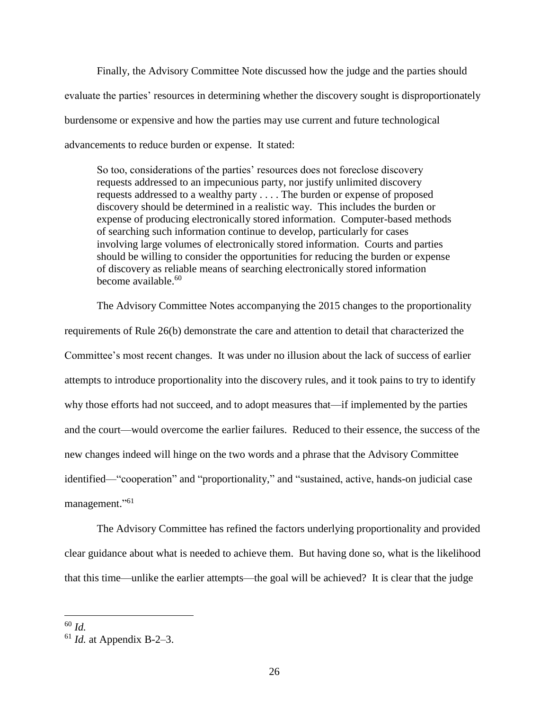Finally, the Advisory Committee Note discussed how the judge and the parties should evaluate the parties' resources in determining whether the discovery sought is disproportionately burdensome or expensive and how the parties may use current and future technological advancements to reduce burden or expense. It stated:

So too, considerations of the parties' resources does not foreclose discovery requests addressed to an impecunious party, nor justify unlimited discovery requests addressed to a wealthy party . . . . The burden or expense of proposed discovery should be determined in a realistic way. This includes the burden or expense of producing electronically stored information. Computer-based methods of searching such information continue to develop, particularly for cases involving large volumes of electronically stored information. Courts and parties should be willing to consider the opportunities for reducing the burden or expense of discovery as reliable means of searching electronically stored information become available.<sup>60</sup>

The Advisory Committee Notes accompanying the 2015 changes to the proportionality requirements of Rule 26(b) demonstrate the care and attention to detail that characterized the Committee's most recent changes. It was under no illusion about the lack of success of earlier attempts to introduce proportionality into the discovery rules, and it took pains to try to identify why those efforts had not succeed, and to adopt measures that—if implemented by the parties and the court—would overcome the earlier failures. Reduced to their essence, the success of the new changes indeed will hinge on the two words and a phrase that the Advisory Committee identified—"cooperation" and "proportionality," and "sustained, active, hands-on judicial case management."<sup>61</sup>

The Advisory Committee has refined the factors underlying proportionality and provided clear guidance about what is needed to achieve them. But having done so, what is the likelihood that this time—unlike the earlier attempts—the goal will be achieved? It is clear that the judge

<sup>60</sup> *Id.*

<sup>61</sup> *Id.* at Appendix B-2–3.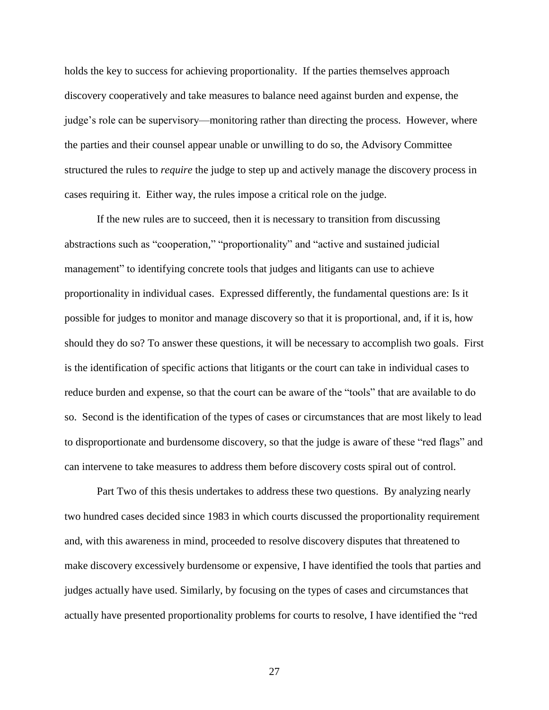holds the key to success for achieving proportionality. If the parties themselves approach discovery cooperatively and take measures to balance need against burden and expense, the judge's role can be supervisory—monitoring rather than directing the process. However, where the parties and their counsel appear unable or unwilling to do so, the Advisory Committee structured the rules to *require* the judge to step up and actively manage the discovery process in cases requiring it. Either way, the rules impose a critical role on the judge.

If the new rules are to succeed, then it is necessary to transition from discussing abstractions such as "cooperation," "proportionality" and "active and sustained judicial management" to identifying concrete tools that judges and litigants can use to achieve proportionality in individual cases. Expressed differently, the fundamental questions are: Is it possible for judges to monitor and manage discovery so that it is proportional, and, if it is, how should they do so? To answer these questions, it will be necessary to accomplish two goals. First is the identification of specific actions that litigants or the court can take in individual cases to reduce burden and expense, so that the court can be aware of the "tools" that are available to do so. Second is the identification of the types of cases or circumstances that are most likely to lead to disproportionate and burdensome discovery, so that the judge is aware of these "red flags" and can intervene to take measures to address them before discovery costs spiral out of control.

Part Two of this thesis undertakes to address these two questions. By analyzing nearly two hundred cases decided since 1983 in which courts discussed the proportionality requirement and, with this awareness in mind, proceeded to resolve discovery disputes that threatened to make discovery excessively burdensome or expensive, I have identified the tools that parties and judges actually have used. Similarly, by focusing on the types of cases and circumstances that actually have presented proportionality problems for courts to resolve, I have identified the "red

27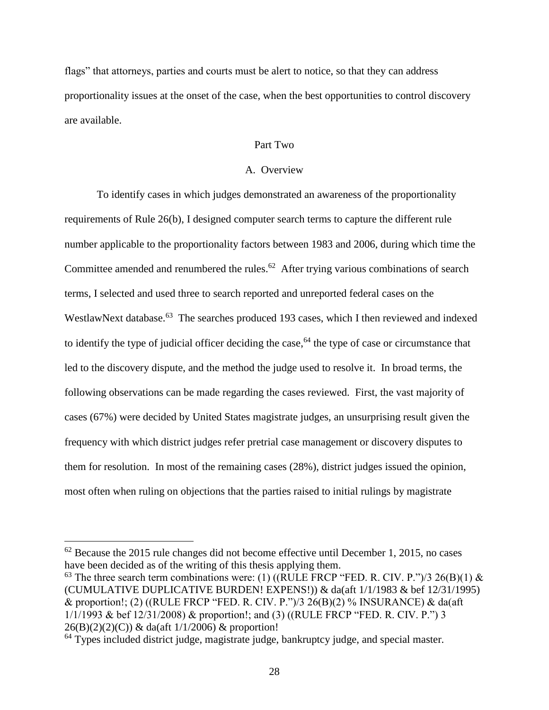flags" that attorneys, parties and courts must be alert to notice, so that they can address proportionality issues at the onset of the case, when the best opportunities to control discovery are available.

### Part Two

### A. Overview

To identify cases in which judges demonstrated an awareness of the proportionality requirements of Rule 26(b), I designed computer search terms to capture the different rule number applicable to the proportionality factors between 1983 and 2006, during which time the Committee amended and renumbered the rules.<sup>62</sup> After trying various combinations of search terms, I selected and used three to search reported and unreported federal cases on the WestlawNext database.<sup>63</sup> The searches produced 193 cases, which I then reviewed and indexed to identify the type of judicial officer deciding the case, <sup>64</sup> the type of case or circumstance that led to the discovery dispute, and the method the judge used to resolve it. In broad terms, the following observations can be made regarding the cases reviewed. First, the vast majority of cases (67%) were decided by United States magistrate judges, an unsurprising result given the frequency with which district judges refer pretrial case management or discovery disputes to them for resolution. In most of the remaining cases (28%), district judges issued the opinion, most often when ruling on objections that the parties raised to initial rulings by magistrate

 $\overline{a}$ 

<sup>63</sup> The three search term combinations were: (1) ((RULE FRCP "FED. R. CIV. P.")/3 26(B)(1) & (CUMULATIVE DUPLICATIVE BURDEN! EXPENS!)) & da(aft 1/1/1983 & bef 12/31/1995) & proportion!; (2) ((RULE FRCP "FED. R. CIV. P.")/3 26(B)(2) % INSURANCE) & da(aft 1/1/1993 & bef 12/31/2008) & proportion!; and (3) ((RULE FRCP "FED. R. CIV. P.") 3  $26(B)(2)(2)(C)$  & da(aft  $1/1/2006$ ) & proportion!

<sup>64</sup> Types included district judge, magistrate judge, bankruptcy judge, and special master.

 $62$  Because the 2015 rule changes did not become effective until December 1, 2015, no cases have been decided as of the writing of this thesis applying them.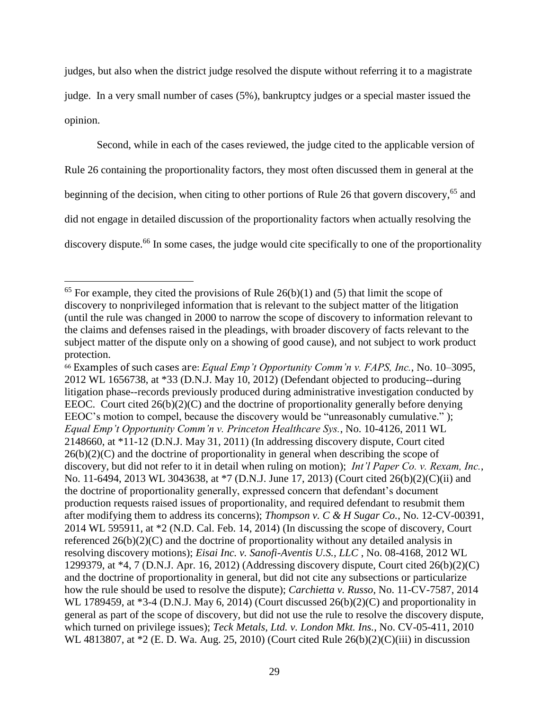judges, but also when the district judge resolved the dispute without referring it to a magistrate judge. In a very small number of cases (5%), bankruptcy judges or a special master issued the opinion.

Second, while in each of the cases reviewed, the judge cited to the applicable version of Rule 26 containing the proportionality factors, they most often discussed them in general at the beginning of the decision, when citing to other portions of Rule 26 that govern discovery,<sup>65</sup> and did not engage in detailed discussion of the proportionality factors when actually resolving the discovery dispute.<sup>66</sup> In some cases, the judge would cite specifically to one of the proportionality

 $\overline{a}$ 

<sup>66</sup> Examples of such cases are: *Equal Emp't Opportunity Comm'n v. FAPS, Inc.*, No. 10–3095, 2012 WL 1656738, at \*33 (D.N.J. May 10, 2012) (Defendant objected to producing--during litigation phase--records previously produced during administrative investigation conducted by EEOC. Court cited  $26(b)(2)(C)$  and the doctrine of proportionality generally before denying EEOC's motion to compel, because the discovery would be "unreasonably cumulative." ); *Equal Emp't Opportunity Comm'n v. Princeton Healthcare Sys.*, No. 10-4126, 2011 WL 2148660, at \*11-12 (D.N.J. May 31, 2011) (In addressing discovery dispute, Court cited  $26(b)(2)(C)$  and the doctrine of proportionality in general when describing the scope of discovery, but did not refer to it in detail when ruling on motion); *Int'l Paper Co. v. Rexam, Inc.*, No. 11-6494, 2013 WL 3043638, at \*7 (D.N.J. June 17, 2013) (Court cited 26(b)(2)(C)(ii) and the doctrine of proportionality generally, expressed concern that defendant's document production requests raised issues of proportionality, and required defendant to resubmit them after modifying them to address its concerns); *Thompson v. C & H Sugar Co.*, No. 12-CV-00391, 2014 WL 595911, at \*2 (N.D. Cal. Feb. 14, 2014) (In discussing the scope of discovery, Court referenced 26(b)(2)(C) and the doctrine of proportionality without any detailed analysis in resolving discovery motions); *Eisai Inc. v. Sanofi-Aventis U.S., LLC* , No. 08-4168, 2012 WL 1299379, at \*4, 7 (D.N.J. Apr. 16, 2012) (Addressing discovery dispute, Court cited 26(b)(2)(C) and the doctrine of proportionality in general, but did not cite any subsections or particularize how the rule should be used to resolve the dispute); *Carchietta v. Russo*, No. 11-CV-7587, 2014 WL 1789459, at \*3-4 (D.N.J. May 6, 2014) (Court discussed  $26(b)(2)(C)$  and proportionality in general as part of the scope of discovery, but did not use the rule to resolve the discovery dispute, which turned on privilege issues); *Teck Metals, Ltd. v. London Mkt. Ins.*, No. CV-05-411, 2010 WL 4813807, at \*2 (E. D. Wa. Aug. 25, 2010) (Court cited Rule 26(b)(2)(C)(iii) in discussion

 $65$  For example, they cited the provisions of Rule 26(b)(1) and (5) that limit the scope of discovery to nonprivileged information that is relevant to the subject matter of the litigation (until the rule was changed in 2000 to narrow the scope of discovery to information relevant to the claims and defenses raised in the pleadings, with broader discovery of facts relevant to the subject matter of the dispute only on a showing of good cause), and not subject to work product protection.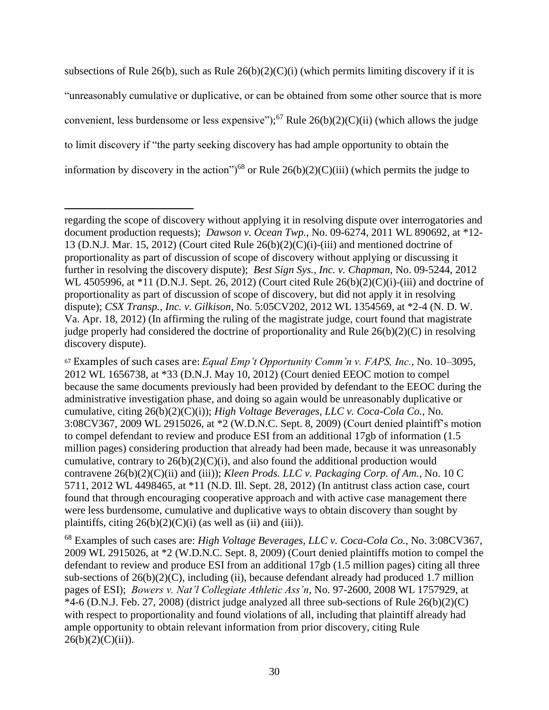subsections of Rule 26(b), such as Rule  $26(b)(2)(C)(i)$  (which permits limiting discovery if it is "unreasonably cumulative or duplicative, or can be obtained from some other source that is more convenient, less burdensome or less expensive");<sup>67</sup> Rule  $26(b)(2)(C)(ii)$  (which allows the judge to limit discovery if "the party seeking discovery has had ample opportunity to obtain the information by discovery in the action")<sup>68</sup> or Rule  $26(b)(2)(C)(iii)$  (which permits the judge to

 $\overline{a}$ 

<sup>68</sup> Examples of such cases are: *High Voltage Beverages, LLC v. Coca-Cola Co.*, No. 3:08CV367, 2009 WL 2915026, at \*2 (W.D.N.C. Sept. 8, 2009) (Court denied plaintiffs motion to compel the defendant to review and produce ESI from an additional 17gb (1.5 million pages) citing all three sub-sections of  $26(b)(2)(C)$ , including (ii), because defendant already had produced 1.7 million pages of ESI); *Bowers v. Nat'l Collegiate Athletic Ass'n*, No. 97-2600, 2008 WL 1757929, at  $*4-6$  (D.N.J. Feb. 27, 2008) (district judge analyzed all three sub-sections of Rule  $26(b)(2)(C)$ with respect to proportionality and found violations of all, including that plaintiff already had ample opportunity to obtain relevant information from prior discovery, citing Rule  $26(b)(2)(C)(ii)$ ).

regarding the scope of discovery without applying it in resolving dispute over interrogatories and document production requests); *Dawson v. Ocean Twp.*, No. 09-6274, 2011 WL 890692, at \*12- 13 (D.N.J. Mar. 15, 2012) (Court cited Rule  $26(b)(2)(C)(i)$ -(iii) and mentioned doctrine of proportionality as part of discussion of scope of discovery without applying or discussing it further in resolving the discovery dispute); *Best Sign Sys., Inc. v. Chapman*, No. 09-5244, 2012 WL 4505996, at \*11 (D.N.J. Sept. 26, 2012) (Court cited Rule 26(b)(2)(C)(i)-(iii) and doctrine of proportionality as part of discussion of scope of discovery, but did not apply it in resolving dispute); *CSX Transp., Inc. v. Gilkison*, No. 5:05CV202, 2012 WL 1354569, at \*2-4 (N. D. W. Va. Apr. 18, 2012) (In affirming the ruling of the magistrate judge, court found that magistrate judge properly had considered the doctrine of proportionality and Rule 26(b)(2)(C) in resolving discovery dispute).

<sup>67</sup> Examples of such cases are: *Equal Emp't Opportunity Comm'n v. FAPS, Inc.*, No. 10–3095, 2012 WL 1656738, at \*33 (D.N.J. May 10, 2012) (Court denied EEOC motion to compel because the same documents previously had been provided by defendant to the EEOC during the administrative investigation phase, and doing so again would be unreasonably duplicative or cumulative, citing 26(b)(2)(C)(i)); *High Voltage Beverages, LLC v. Coca-Cola Co.*, No. 3:08CV367, 2009 WL 2915026, at \*2 (W.D.N.C. Sept. 8, 2009) (Court denied plaintiff's motion to compel defendant to review and produce ESI from an additional 17gb of information (1.5 million pages) considering production that already had been made, because it was unreasonably cumulative, contrary to  $26(b)(2)(C)(i)$ , and also found the additional production would contravene 26(b)(2)(C)(ii) and (iii)); *Kleen Prods. LLC v. Packaging Corp. of Am.*, No. 10 C 5711, 2012 WL 4498465, at \*11 (N.D. Ill. Sept. 28, 2012) (In antitrust class action case, court found that through encouraging cooperative approach and with active case management there were less burdensome, cumulative and duplicative ways to obtain discovery than sought by plaintiffs, citing  $26(b)(2)(C)(i)$  (as well as (ii) and (iii)).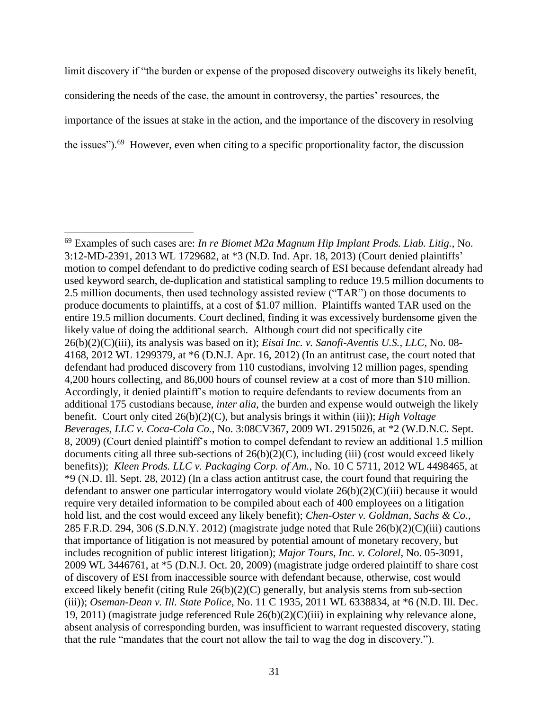limit discovery if "the burden or expense of the proposed discovery outweighs its likely benefit, considering the needs of the case, the amount in controversy, the parties' resources, the importance of the issues at stake in the action, and the importance of the discovery in resolving the issues").<sup>69</sup> However, even when citing to a specific proportionality factor, the discussion

<sup>69</sup> Examples of such cases are: *In re Biomet M2a Magnum Hip Implant Prods. Liab. Litig.*, No. 3:12-MD-2391, 2013 WL 1729682, at \*3 (N.D. Ind. Apr. 18, 2013) (Court denied plaintiffs' motion to compel defendant to do predictive coding search of ESI because defendant already had used keyword search, de-duplication and statistical sampling to reduce 19.5 million documents to 2.5 million documents, then used technology assisted review ("TAR") on those documents to produce documents to plaintiffs, at a cost of \$1.07 million. Plaintiffs wanted TAR used on the entire 19.5 million documents. Court declined, finding it was excessively burdensome given the likely value of doing the additional search. Although court did not specifically cite 26(b)(2)(C)(iii), its analysis was based on it); *Eisai Inc. v. Sanofi-Aventis U.S., LLC*, No. 08- 4168, 2012 WL 1299379, at \*6 (D.N.J. Apr. 16, 2012) (In an antitrust case, the court noted that defendant had produced discovery from 110 custodians, involving 12 million pages, spending 4,200 hours collecting, and 86,000 hours of counsel review at a cost of more than \$10 million. Accordingly, it denied plaintiff's motion to require defendants to review documents from an additional 175 custodians because, *inter alia*, the burden and expense would outweigh the likely benefit. Court only cited 26(b)(2)(C), but analysis brings it within (iii)); *High Voltage Beverages, LLC v. Coca-Cola Co.*, No. 3:08CV367, 2009 WL 2915026, at \*2 (W.D.N.C. Sept. 8, 2009) (Court denied plaintiff's motion to compel defendant to review an additional 1.5 million documents citing all three sub-sections of 26(b)(2)(C), including (iii) (cost would exceed likely benefits)); *Kleen Prods. LLC v. Packaging Corp. of Am.*, No. 10 C 5711, 2012 WL 4498465, at \*9 (N.D. Ill. Sept. 28, 2012) (In a class action antitrust case, the court found that requiring the defendant to answer one particular interrogatory would violate 26(b)(2)(C)(iii) because it would require very detailed information to be compiled about each of 400 employees on a litigation hold list, and the cost would exceed any likely benefit); *Chen-Oster v. Goldman, Sachs & Co.*, 285 F.R.D. 294, 306 (S.D.N.Y. 2012) (magistrate judge noted that Rule 26(b)(2)(C)(iii) cautions that importance of litigation is not measured by potential amount of monetary recovery, but includes recognition of public interest litigation); *Major Tours, Inc. v. Colorel*, No. 05-3091, 2009 WL 3446761, at \*5 (D.N.J. Oct. 20, 2009) (magistrate judge ordered plaintiff to share cost of discovery of ESI from inaccessible source with defendant because, otherwise, cost would exceed likely benefit (citing Rule 26(b)(2)(C) generally, but analysis stems from sub-section (iii)); *Oseman-Dean v. Ill. State Police*, No. 11 C 1935, 2011 WL 6338834, at \*6 (N.D. Ill. Dec. 19, 2011) (magistrate judge referenced Rule 26(b)(2)(C)(iii) in explaining why relevance alone, absent analysis of corresponding burden, was insufficient to warrant requested discovery, stating that the rule "mandates that the court not allow the tail to wag the dog in discovery.").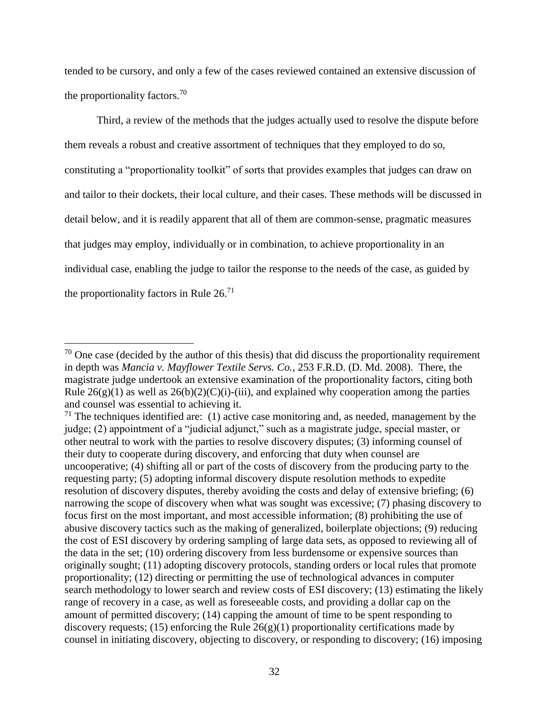tended to be cursory, and only a few of the cases reviewed contained an extensive discussion of the proportionality factors.<sup>70</sup>

Third, a review of the methods that the judges actually used to resolve the dispute before them reveals a robust and creative assortment of techniques that they employed to do so, constituting a "proportionality toolkit" of sorts that provides examples that judges can draw on and tailor to their dockets, their local culture, and their cases. These methods will be discussed in detail below, and it is readily apparent that all of them are common-sense, pragmatic measures that judges may employ, individually or in combination, to achieve proportionality in an individual case, enabling the judge to tailor the response to the needs of the case, as guided by the proportionality factors in Rule  $26$ <sup>71</sup>

 $70$  One case (decided by the author of this thesis) that did discuss the proportionality requirement in depth was *Mancia v. Mayflower Textile Servs. Co.*, 253 F.R.D. (D. Md. 2008). There, the magistrate judge undertook an extensive examination of the proportionality factors, citing both Rule  $26(g)(1)$  as well as  $26(b)(2)(C)(i)$ -(iii), and explained why cooperation among the parties and counsel was essential to achieving it.

 $71$  The techniques identified are: (1) active case monitoring and, as needed, management by the judge; (2) appointment of a "judicial adjunct," such as a magistrate judge, special master, or other neutral to work with the parties to resolve discovery disputes; (3) informing counsel of their duty to cooperate during discovery, and enforcing that duty when counsel are uncooperative; (4) shifting all or part of the costs of discovery from the producing party to the requesting party; (5) adopting informal discovery dispute resolution methods to expedite resolution of discovery disputes, thereby avoiding the costs and delay of extensive briefing; (6) narrowing the scope of discovery when what was sought was excessive; (7) phasing discovery to focus first on the most important, and most accessible information; (8) prohibiting the use of abusive discovery tactics such as the making of generalized, boilerplate objections; (9) reducing the cost of ESI discovery by ordering sampling of large data sets, as opposed to reviewing all of the data in the set; (10) ordering discovery from less burdensome or expensive sources than originally sought; (11) adopting discovery protocols, standing orders or local rules that promote proportionality; (12) directing or permitting the use of technological advances in computer search methodology to lower search and review costs of ESI discovery; (13) estimating the likely range of recovery in a case, as well as foreseeable costs, and providing a dollar cap on the amount of permitted discovery; (14) capping the amount of time to be spent responding to discovery requests; (15) enforcing the Rule  $26(g)(1)$  proportionality certifications made by counsel in initiating discovery, objecting to discovery, or responding to discovery; (16) imposing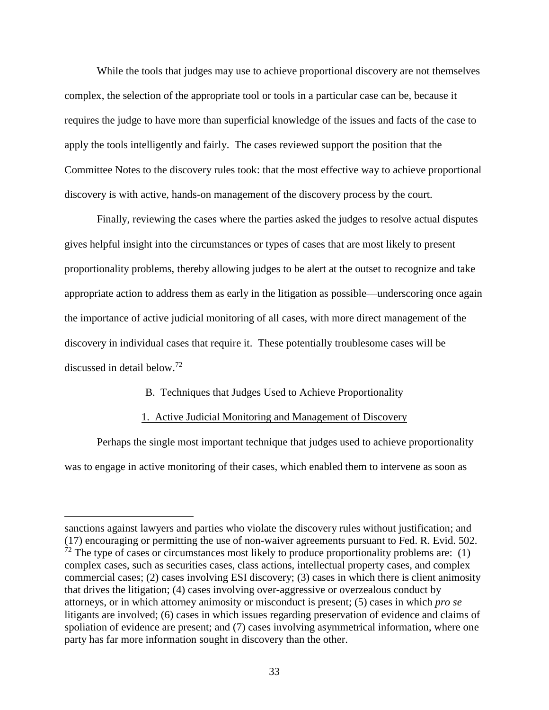While the tools that judges may use to achieve proportional discovery are not themselves complex, the selection of the appropriate tool or tools in a particular case can be, because it requires the judge to have more than superficial knowledge of the issues and facts of the case to apply the tools intelligently and fairly. The cases reviewed support the position that the Committee Notes to the discovery rules took: that the most effective way to achieve proportional discovery is with active, hands-on management of the discovery process by the court.

Finally, reviewing the cases where the parties asked the judges to resolve actual disputes gives helpful insight into the circumstances or types of cases that are most likely to present proportionality problems, thereby allowing judges to be alert at the outset to recognize and take appropriate action to address them as early in the litigation as possible—underscoring once again the importance of active judicial monitoring of all cases, with more direct management of the discovery in individual cases that require it. These potentially troublesome cases will be discussed in detail below.<sup>72</sup>

#### B. Techniques that Judges Used to Achieve Proportionality

#### 1. Active Judicial Monitoring and Management of Discovery

Perhaps the single most important technique that judges used to achieve proportionality was to engage in active monitoring of their cases, which enabled them to intervene as soon as

sanctions against lawyers and parties who violate the discovery rules without justification; and (17) encouraging or permitting the use of non-waiver agreements pursuant to Fed. R. Evid. 502.  $72$  The type of cases or circumstances most likely to produce proportionality problems are: (1) complex cases, such as securities cases, class actions, intellectual property cases, and complex commercial cases; (2) cases involving ESI discovery; (3) cases in which there is client animosity that drives the litigation; (4) cases involving over-aggressive or overzealous conduct by attorneys, or in which attorney animosity or misconduct is present; (5) cases in which *pro se* litigants are involved; (6) cases in which issues regarding preservation of evidence and claims of spoliation of evidence are present; and (7) cases involving asymmetrical information, where one party has far more information sought in discovery than the other.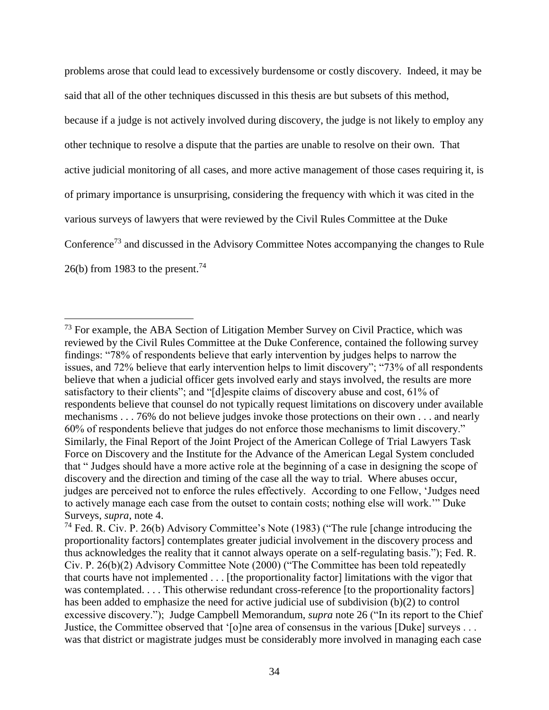problems arose that could lead to excessively burdensome or costly discovery. Indeed, it may be said that all of the other techniques discussed in this thesis are but subsets of this method, because if a judge is not actively involved during discovery, the judge is not likely to employ any other technique to resolve a dispute that the parties are unable to resolve on their own. That active judicial monitoring of all cases, and more active management of those cases requiring it, is of primary importance is unsurprising, considering the frequency with which it was cited in the various surveys of lawyers that were reviewed by the Civil Rules Committee at the Duke Conference<sup>73</sup> and discussed in the Advisory Committee Notes accompanying the changes to Rule  $26(b)$  from 1983 to the present.<sup>74</sup>

<sup>&</sup>lt;sup>73</sup> For example, the ABA Section of Litigation Member Survey on Civil Practice, which was reviewed by the Civil Rules Committee at the Duke Conference, contained the following survey findings: "78% of respondents believe that early intervention by judges helps to narrow the issues, and 72% believe that early intervention helps to limit discovery"; "73% of all respondents believe that when a judicial officer gets involved early and stays involved, the results are more satisfactory to their clients"; and "[d]espite claims of discovery abuse and cost, 61% of respondents believe that counsel do not typically request limitations on discovery under available mechanisms . . . 76% do not believe judges invoke those protections on their own . . . and nearly 60% of respondents believe that judges do not enforce those mechanisms to limit discovery." Similarly, the Final Report of the Joint Project of the American College of Trial Lawyers Task Force on Discovery and the Institute for the Advance of the American Legal System concluded that " Judges should have a more active role at the beginning of a case in designing the scope of discovery and the direction and timing of the case all the way to trial. Where abuses occur, judges are perceived not to enforce the rules effectively. According to one Fellow, 'Judges need to actively manage each case from the outset to contain costs; nothing else will work.'" Duke Surveys, *supra*, note [4.](#page-4-0)

<sup>&</sup>lt;sup>74</sup> Fed. R. Civ. P. 26(b) Advisory Committee's Note (1983) ("The rule [change introducing the proportionality factors] contemplates greater judicial involvement in the discovery process and thus acknowledges the reality that it cannot always operate on a self-regulating basis."); Fed. R. Civ. P. 26(b)(2) Advisory Committee Note (2000) ("The Committee has been told repeatedly that courts have not implemented . . . [the proportionality factor] limitations with the vigor that was contemplated. . . . This otherwise redundant cross-reference [to the proportionality factors] has been added to emphasize the need for active judicial use of subdivision (b)(2) to control excessive discovery."); Judge Campbell Memorandum, *supra* note [26](#page-14-0) ("In its report to the Chief Justice, the Committee observed that '[o]ne area of consensus in the various [Duke] surveys . . . was that district or magistrate judges must be considerably more involved in managing each case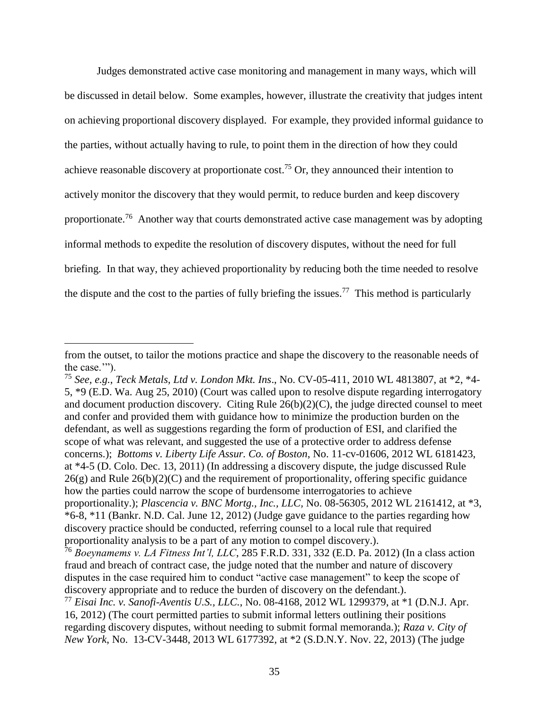Judges demonstrated active case monitoring and management in many ways, which will be discussed in detail below. Some examples, however, illustrate the creativity that judges intent on achieving proportional discovery displayed. For example, they provided informal guidance to the parties, without actually having to rule, to point them in the direction of how they could achieve reasonable discovery at proportionate cost.<sup>75</sup> Or, they announced their intention to actively monitor the discovery that they would permit, to reduce burden and keep discovery proportionate.<sup>76</sup> Another way that courts demonstrated active case management was by adopting informal methods to expedite the resolution of discovery disputes, without the need for full briefing. In that way, they achieved proportionality by reducing both the time needed to resolve the dispute and the cost to the parties of fully briefing the issues.<sup>77</sup> This method is particularly

from the outset, to tailor the motions practice and shape the discovery to the reasonable needs of the case."").

<sup>75</sup> *See, e.g.*, *Teck Metals, Ltd v. London Mkt. Ins*., No. CV-05-411, 2010 WL 4813807, at \*2, \*4- 5, \*9 (E.D. Wa. Aug 25, 2010) (Court was called upon to resolve dispute regarding interrogatory and document production discovery. Citing Rule  $26(b)(2)(C)$ , the judge directed counsel to meet and confer and provided them with guidance how to minimize the production burden on the defendant, as well as suggestions regarding the form of production of ESI, and clarified the scope of what was relevant, and suggested the use of a protective order to address defense concerns.); *Bottoms v. Liberty Life Assur. Co. of Boston*, No. 11-cv-01606, 2012 WL 6181423, at \*4-5 (D. Colo. Dec. 13, 2011) (In addressing a discovery dispute, the judge discussed Rule  $26(g)$  and Rule  $26(b)(2)(C)$  and the requirement of proportionality, offering specific guidance how the parties could narrow the scope of burdensome interrogatories to achieve proportionality.); *Plascencia v. BNC Mortg., Inc., LLC,* No. 08-56305, 2012 WL 2161412, at \*3, \*6-8, \*11 (Bankr. N.D. Cal. June 12, 2012) (Judge gave guidance to the parties regarding how discovery practice should be conducted, referring counsel to a local rule that required proportionality analysis to be a part of any motion to compel discovery.).

<sup>76</sup> *Boeynamems v. LA Fitness Int'l, LLC*, 285 F.R.D. 331, 332 (E.D. Pa. 2012) (In a class action fraud and breach of contract case, the judge noted that the number and nature of discovery disputes in the case required him to conduct "active case management" to keep the scope of discovery appropriate and to reduce the burden of discovery on the defendant.). <sup>77</sup> *Eisai Inc. v. Sanofi-Aventis U.S., LLC.*, No. 08-4168, 2012 WL 1299379, at \*1 (D.N.J. Apr.

<sup>16, 2012) (</sup>The court permitted parties to submit informal letters outlining their positions regarding discovery disputes, without needing to submit formal memoranda.); *Raza v. City of New York*, No. 13-CV-3448, 2013 WL 6177392, at \*2 (S.D.N.Y. Nov. 22, 2013) (The judge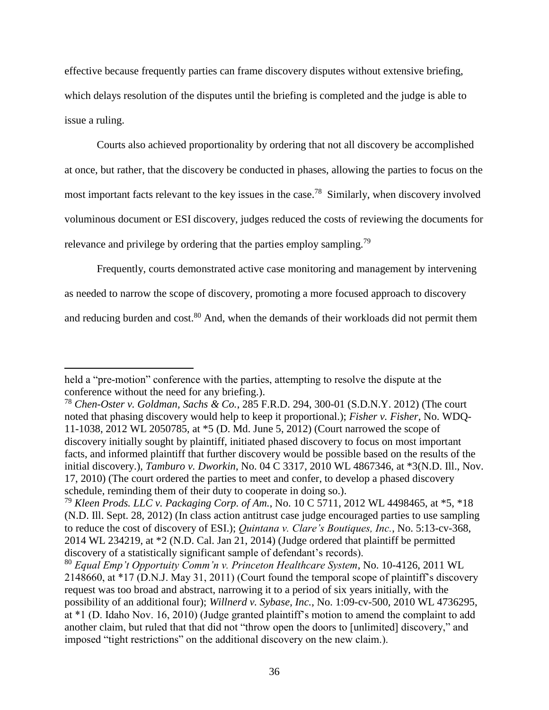effective because frequently parties can frame discovery disputes without extensive briefing, which delays resolution of the disputes until the briefing is completed and the judge is able to issue a ruling.

Courts also achieved proportionality by ordering that not all discovery be accomplished at once, but rather, that the discovery be conducted in phases, allowing the parties to focus on the most important facts relevant to the key issues in the case.<sup>78</sup> Similarly, when discovery involved voluminous document or ESI discovery, judges reduced the costs of reviewing the documents for relevance and privilege by ordering that the parties employ sampling.<sup>79</sup>

Frequently, courts demonstrated active case monitoring and management by intervening as needed to narrow the scope of discovery, promoting a more focused approach to discovery and reducing burden and cost.<sup>80</sup> And, when the demands of their workloads did not permit them

held a "pre-motion" conference with the parties, attempting to resolve the dispute at the conference without the need for any briefing.).

<sup>78</sup> *Chen-Oster v. Goldman, Sachs & Co.*, 285 F.R.D. 294, 300-01 (S.D.N.Y. 2012) (The court noted that phasing discovery would help to keep it proportional.); *Fisher v. Fisher*, No. WDQ-11-1038, 2012 WL 2050785, at \*5 (D. Md. June 5, 2012) (Court narrowed the scope of discovery initially sought by plaintiff, initiated phased discovery to focus on most important facts, and informed plaintiff that further discovery would be possible based on the results of the initial discovery.), *Tamburo v. Dworkin*, No. 04 C 3317, 2010 WL 4867346, at \*3(N.D. Ill., Nov. 17, 2010) (The court ordered the parties to meet and confer, to develop a phased discovery schedule, reminding them of their duty to cooperate in doing so.).

<sup>79</sup> *Kleen Prods. LLC v. Packaging Corp. of Am.*, No. 10 C 5711, 2012 WL 4498465, at \*5, \*18 (N.D. Ill. Sept. 28, 2012) (In class action antitrust case judge encouraged parties to use sampling to reduce the cost of discovery of ESI.); *Quintana v. Clare's Boutiques, Inc.*, No. 5:13-cv-368, 2014 WL 234219, at \*2 (N.D. Cal. Jan 21, 2014) (Judge ordered that plaintiff be permitted discovery of a statistically significant sample of defendant's records).

<sup>80</sup> *Equal Emp't Opportuity Comm'n v. Princeton Healthcare System*, No. 10-4126, 2011 WL 2148660, at \*17 (D.N.J. May 31, 2011) (Court found the temporal scope of plaintiff's discovery request was too broad and abstract, narrowing it to a period of six years initially, with the possibility of an additional four); *Willnerd v. Sybase, Inc.*, No. 1:09-cv-500, 2010 WL 4736295, at \*1 (D. Idaho Nov. 16, 2010) (Judge granted plaintiff's motion to amend the complaint to add another claim, but ruled that that did not "throw open the doors to [unlimited] discovery," and imposed "tight restrictions" on the additional discovery on the new claim.).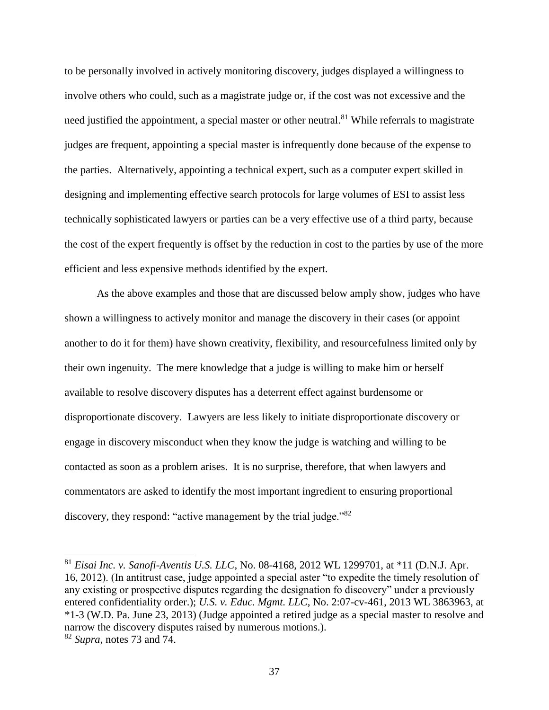to be personally involved in actively monitoring discovery, judges displayed a willingness to involve others who could, such as a magistrate judge or, if the cost was not excessive and the need justified the appointment, a special master or other neutral.<sup>81</sup> While referrals to magistrate judges are frequent, appointing a special master is infrequently done because of the expense to the parties. Alternatively, appointing a technical expert, such as a computer expert skilled in designing and implementing effective search protocols for large volumes of ESI to assist less technically sophisticated lawyers or parties can be a very effective use of a third party, because the cost of the expert frequently is offset by the reduction in cost to the parties by use of the more efficient and less expensive methods identified by the expert.

As the above examples and those that are discussed below amply show, judges who have shown a willingness to actively monitor and manage the discovery in their cases (or appoint another to do it for them) have shown creativity, flexibility, and resourcefulness limited only by their own ingenuity. The mere knowledge that a judge is willing to make him or herself available to resolve discovery disputes has a deterrent effect against burdensome or disproportionate discovery. Lawyers are less likely to initiate disproportionate discovery or engage in discovery misconduct when they know the judge is watching and willing to be contacted as soon as a problem arises. It is no surprise, therefore, that when lawyers and commentators are asked to identify the most important ingredient to ensuring proportional discovery, they respond: "active management by the trial judge."<sup>82</sup>

<sup>81</sup> *Eisai Inc. v. Sanofi-Aventis U.S. LLC*, No. 08-4168, 2012 WL 1299701, at \*11 (D.N.J. Apr. 16, 2012). (In antitrust case, judge appointed a special aster "to expedite the timely resolution of any existing or prospective disputes regarding the designation fo discovery" under a previously entered confidentiality order.); *U.S. v. Educ. Mgmt. LLC*, No. 2:07-cv-461, 2013 WL 3863963, at \*1-3 (W.D. Pa. June 23, 2013) (Judge appointed a retired judge as a special master to resolve and narrow the discovery disputes raised by numerous motions.).

<sup>82</sup> *Supra*, notes [73](#page-33-0) and [74.](#page-33-1)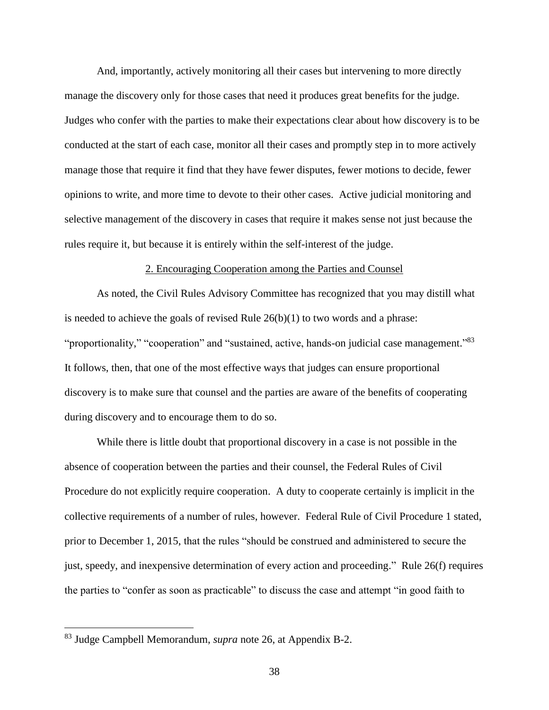And, importantly, actively monitoring all their cases but intervening to more directly manage the discovery only for those cases that need it produces great benefits for the judge. Judges who confer with the parties to make their expectations clear about how discovery is to be conducted at the start of each case, monitor all their cases and promptly step in to more actively manage those that require it find that they have fewer disputes, fewer motions to decide, fewer opinions to write, and more time to devote to their other cases. Active judicial monitoring and selective management of the discovery in cases that require it makes sense not just because the rules require it, but because it is entirely within the self-interest of the judge.

#### 2. Encouraging Cooperation among the Parties and Counsel

As noted, the Civil Rules Advisory Committee has recognized that you may distill what is needed to achieve the goals of revised Rule  $26(b)(1)$  to two words and a phrase: "proportionality," "cooperation" and "sustained, active, hands-on judicial case management."<sup>83</sup> It follows, then, that one of the most effective ways that judges can ensure proportional discovery is to make sure that counsel and the parties are aware of the benefits of cooperating during discovery and to encourage them to do so.

While there is little doubt that proportional discovery in a case is not possible in the absence of cooperation between the parties and their counsel, the Federal Rules of Civil Procedure do not explicitly require cooperation. A duty to cooperate certainly is implicit in the collective requirements of a number of rules, however. Federal Rule of Civil Procedure 1 stated, prior to December 1, 2015, that the rules "should be construed and administered to secure the just, speedy, and inexpensive determination of every action and proceeding." Rule 26(f) requires the parties to "confer as soon as practicable" to discuss the case and attempt "in good faith to

<sup>83</sup> Judge Campbell Memorandum, *supra* note [26,](#page-14-0) at Appendix B-2.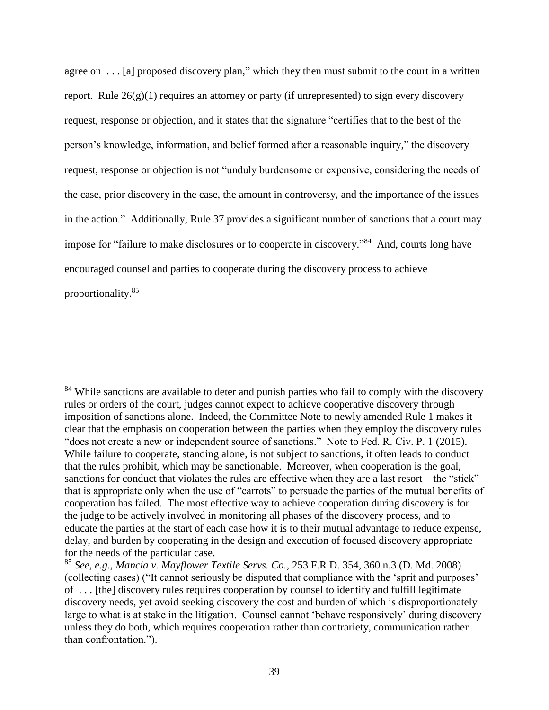agree on ... [a] proposed discovery plan," which they then must submit to the court in a written report. Rule  $26(g)(1)$  requires an attorney or party (if unrepresented) to sign every discovery request, response or objection, and it states that the signature "certifies that to the best of the person's knowledge, information, and belief formed after a reasonable inquiry," the discovery request, response or objection is not "unduly burdensome or expensive, considering the needs of the case, prior discovery in the case, the amount in controversy, and the importance of the issues in the action." Additionally, Rule 37 provides a significant number of sanctions that a court may impose for "failure to make disclosures or to cooperate in discovery."<sup>84</sup> And, courts long have encouraged counsel and parties to cooperate during the discovery process to achieve proportionality.<sup>85</sup>

<sup>&</sup>lt;sup>84</sup> While sanctions are available to deter and punish parties who fail to comply with the discovery rules or orders of the court, judges cannot expect to achieve cooperative discovery through imposition of sanctions alone. Indeed, the Committee Note to newly amended Rule 1 makes it clear that the emphasis on cooperation between the parties when they employ the discovery rules "does not create a new or independent source of sanctions." Note to Fed. R. Civ. P. 1 (2015). While failure to cooperate, standing alone, is not subject to sanctions, it often leads to conduct that the rules prohibit, which may be sanctionable. Moreover, when cooperation is the goal, sanctions for conduct that violates the rules are effective when they are a last resort—the "stick" that is appropriate only when the use of "carrots" to persuade the parties of the mutual benefits of cooperation has failed. The most effective way to achieve cooperation during discovery is for the judge to be actively involved in monitoring all phases of the discovery process, and to educate the parties at the start of each case how it is to their mutual advantage to reduce expense, delay, and burden by cooperating in the design and execution of focused discovery appropriate for the needs of the particular case.

<sup>85</sup> *See, e.g.*, *Mancia v. Mayflower Textile Servs. Co.,* 253 F.R.D. 354, 360 n.3 (D. Md. 2008) (collecting cases) ("It cannot seriously be disputed that compliance with the 'sprit and purposes' of . . . [the] discovery rules requires cooperation by counsel to identify and fulfill legitimate discovery needs, yet avoid seeking discovery the cost and burden of which is disproportionately large to what is at stake in the litigation. Counsel cannot 'behave responsively' during discovery unless they do both, which requires cooperation rather than contrariety, communication rather than confrontation.").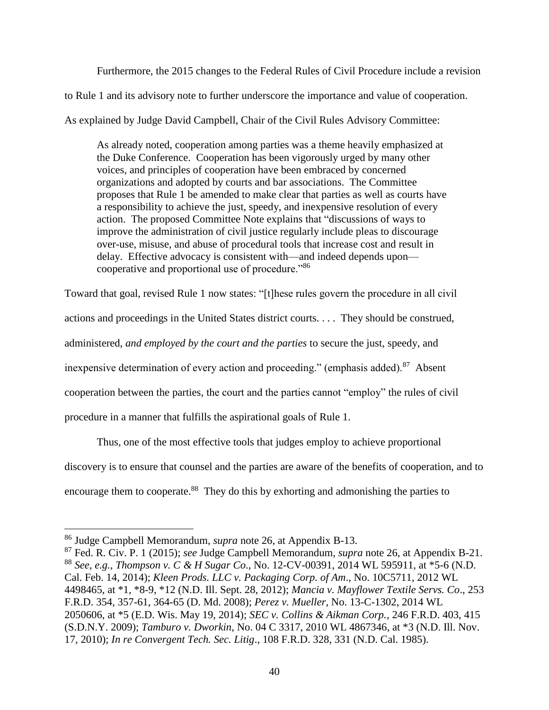Furthermore, the 2015 changes to the Federal Rules of Civil Procedure include a revision to Rule 1 and its advisory note to further underscore the importance and value of cooperation. As explained by Judge David Campbell, Chair of the Civil Rules Advisory Committee:

As already noted, cooperation among parties was a theme heavily emphasized at the Duke Conference. Cooperation has been vigorously urged by many other voices, and principles of cooperation have been embraced by concerned organizations and adopted by courts and bar associations. The Committee proposes that Rule 1 be amended to make clear that parties as well as courts have a responsibility to achieve the just, speedy, and inexpensive resolution of every action. The proposed Committee Note explains that "discussions of ways to improve the administration of civil justice regularly include pleas to discourage over-use, misuse, and abuse of procedural tools that increase cost and result in delay. Effective advocacy is consistent with—and indeed depends upon cooperative and proportional use of procedure."<sup>86</sup>

Toward that goal, revised Rule 1 now states: "[t]hese rules govern the procedure in all civil actions and proceedings in the United States district courts. . . . They should be construed, administered, *and employed by the court and the parties* to secure the just, speedy, and inexpensive determination of every action and proceeding." (emphasis added). $87$  Absent cooperation between the parties, the court and the parties cannot "employ" the rules of civil procedure in a manner that fulfills the aspirational goals of Rule 1.

Thus, one of the most effective tools that judges employ to achieve proportional discovery is to ensure that counsel and the parties are aware of the benefits of cooperation, and to encourage them to cooperate.<sup>88</sup> They do this by exhorting and admonishing the parties to

<sup>86</sup> Judge Campbell Memorandum, *supra* note [26,](#page-14-0) at Appendix B-13.

<sup>87</sup> Fed. R. Civ. P. 1 (2015); *see* Judge Campbell Memorandum, *supra* note [26,](#page-14-0) at Appendix B-21. <sup>88</sup> *See, e.g.*, *Thompson v. C & H Sugar Co*., No. 12-CV-00391, 2014 WL 595911, at \*5-6 (N.D. Cal. Feb. 14, 2014); *Kleen Prods. LLC v. Packaging Corp. of Am*., No. 10C5711, 2012 WL 4498465, at \*1, \*8-9, \*12 (N.D. Ill. Sept. 28, 2012); *Mancia v. Mayflower Textile Servs. Co*., 253 F.R.D. 354, 357-61, 364-65 (D. Md. 2008); *Perez v. Mueller*, No. 13-C-1302, 2014 WL 2050606, at \*5 (E.D. Wis. May 19, 2014); *SEC v. Collins & Aikman Corp.,* 246 F.R.D. 403, 415 (S.D.N.Y. 2009); *Tamburo v. Dworkin*, No. 04 C 3317, 2010 WL 4867346, at \*3 (N.D. Ill. Nov. 17, 2010); *In re Convergent Tech. Sec. Litig*., 108 F.R.D. 328, 331 (N.D. Cal. 1985).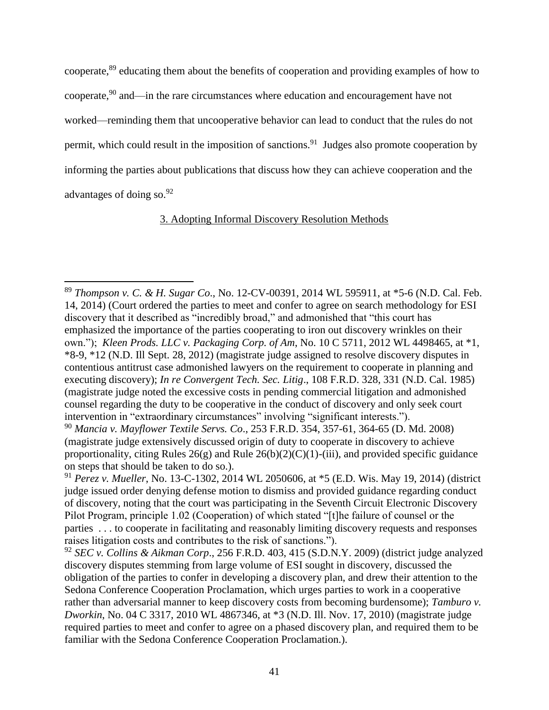cooperate, <sup>89</sup> educating them about the benefits of cooperation and providing examples of how to cooperate, <sup>90</sup> and—in the rare circumstances where education and encouragement have not worked—reminding them that uncooperative behavior can lead to conduct that the rules do not permit, which could result in the imposition of sanctions.<sup>91</sup> Judges also promote cooperation by informing the parties about publications that discuss how they can achieve cooperation and the advantages of doing so.<sup>92</sup>

# 3. Adopting Informal Discovery Resolution Methods

<sup>89</sup> *Thompson v. C. & H. Sugar Co*., No. 12-CV-00391, 2014 WL 595911, at \*5-6 (N.D. Cal. Feb. 14, 2014) (Court ordered the parties to meet and confer to agree on search methodology for ESI discovery that it described as "incredibly broad," and admonished that "this court has emphasized the importance of the parties cooperating to iron out discovery wrinkles on their own."); *Kleen Prods. LLC v. Packaging Corp. of Am*, No. 10 C 5711, 2012 WL 4498465, at \*1, \*8-9, \*12 (N.D. Ill Sept. 28, 2012) (magistrate judge assigned to resolve discovery disputes in contentious antitrust case admonished lawyers on the requirement to cooperate in planning and executing discovery); *In re Convergent Tech. Sec. Litig*., 108 F.R.D. 328, 331 (N.D. Cal. 1985) (magistrate judge noted the excessive costs in pending commercial litigation and admonished counsel regarding the duty to be cooperative in the conduct of discovery and only seek court intervention in "extraordinary circumstances" involving "significant interests.").

<sup>90</sup> *Mancia v. Mayflower Textile Servs. Co*., 253 F.R.D. 354, 357-61, 364-65 (D. Md. 2008) (magistrate judge extensively discussed origin of duty to cooperate in discovery to achieve proportionality, citing Rules  $26(g)$  and Rule  $26(b)(2)(C)(1)$ -(iii), and provided specific guidance on steps that should be taken to do so.).

<sup>91</sup> *Perez v. Mueller*, No. 13-C-1302, 2014 WL 2050606, at \*5 (E.D. Wis. May 19, 2014) (district judge issued order denying defense motion to dismiss and provided guidance regarding conduct of discovery, noting that the court was participating in the Seventh Circuit Electronic Discovery Pilot Program, principle 1.02 (Cooperation) of which stated "[t]he failure of counsel or the parties . . . to cooperate in facilitating and reasonably limiting discovery requests and responses raises litigation costs and contributes to the risk of sanctions.").

<sup>92</sup> *SEC v. Collins & Aikman Corp*., 256 F.R.D. 403, 415 (S.D.N.Y. 2009) (district judge analyzed discovery disputes stemming from large volume of ESI sought in discovery, discussed the obligation of the parties to confer in developing a discovery plan, and drew their attention to the Sedona Conference Cooperation Proclamation, which urges parties to work in a cooperative rather than adversarial manner to keep discovery costs from becoming burdensome); *Tamburo v. Dworkin*, No. 04 C 3317, 2010 WL 4867346, at \*3 (N.D. Ill. Nov. 17, 2010) (magistrate judge required parties to meet and confer to agree on a phased discovery plan, and required them to be familiar with the Sedona Conference Cooperation Proclamation.).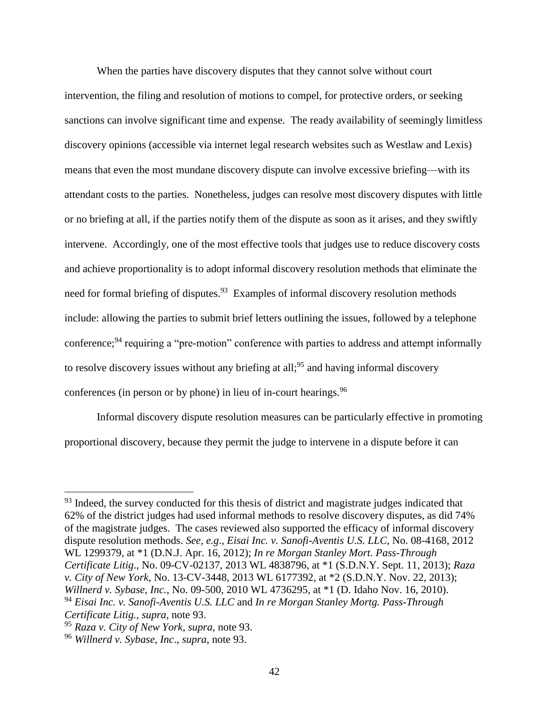When the parties have discovery disputes that they cannot solve without court intervention, the filing and resolution of motions to compel, for protective orders, or seeking sanctions can involve significant time and expense. The ready availability of seemingly limitless discovery opinions (accessible via internet legal research websites such as Westlaw and Lexis) means that even the most mundane discovery dispute can involve excessive briefing—with its attendant costs to the parties. Nonetheless, judges can resolve most discovery disputes with little or no briefing at all, if the parties notify them of the dispute as soon as it arises, and they swiftly intervene. Accordingly, one of the most effective tools that judges use to reduce discovery costs and achieve proportionality is to adopt informal discovery resolution methods that eliminate the need for formal briefing of disputes.<sup>93</sup> Examples of informal discovery resolution methods include: allowing the parties to submit brief letters outlining the issues, followed by a telephone conference;<sup>94</sup> requiring a "pre-motion" conference with parties to address and attempt informally to resolve discovery issues without any briefing at all;<sup>95</sup> and having informal discovery conferences (in person or by phone) in lieu of in-court hearings.  $96$ 

<span id="page-41-0"></span>Informal discovery dispute resolution measures can be particularly effective in promoting proportional discovery, because they permit the judge to intervene in a dispute before it can

 $93$  Indeed, the survey conducted for this thesis of district and magistrate judges indicated that 62% of the district judges had used informal methods to resolve discovery disputes, as did 74% of the magistrate judges. The cases reviewed also supported the efficacy of informal discovery dispute resolution methods. *See, e.g*., *Eisai Inc. v. Sanofi-Aventis U.S. LLC*, No. 08-4168, 2012 WL 1299379, at \*1 (D.N.J. Apr. 16, 2012); *In re Morgan Stanley Mort. Pass-Through Certificate Litig*., No. 09-CV-02137, 2013 WL 4838796, at \*1 (S.D.N.Y. Sept. 11, 2013); *Raza v. City of New York*, No. 13-CV-3448, 2013 WL 6177392, at \*2 (S.D.N.Y. Nov. 22, 2013); *Willnerd v. Sybase, Inc.*, No. 09-500, 2010 WL 4736295, at \*1 (D. Idaho Nov. 16, 2010). <sup>94</sup> *Eisai Inc. v. Sanofi-Aventis U.S. LLC* and *In re Morgan Stanley Mortg. Pass-Through Certificate Litig.*, *supra*, note [93.](#page-41-0)

<sup>95</sup> *Raza v. City of New York*, *supra*, note [93.](#page-41-0)

<sup>96</sup> *Willnerd v. Sybase, Inc*., *supra*, note [93.](#page-41-0)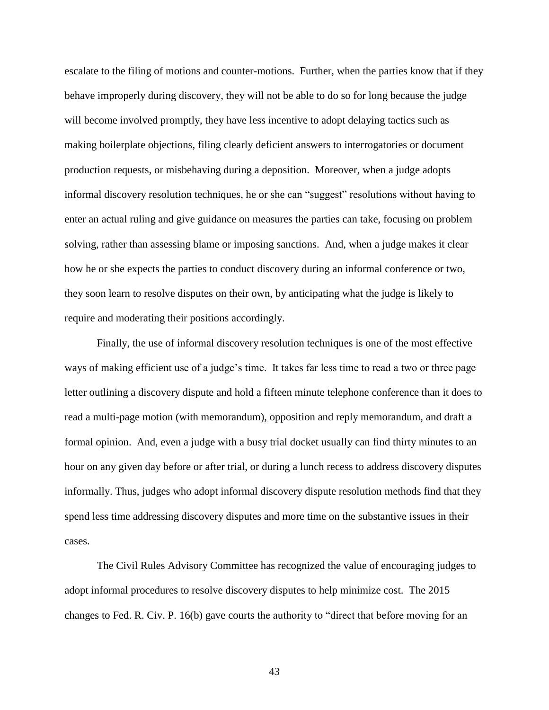escalate to the filing of motions and counter-motions. Further, when the parties know that if they behave improperly during discovery, they will not be able to do so for long because the judge will become involved promptly, they have less incentive to adopt delaying tactics such as making boilerplate objections, filing clearly deficient answers to interrogatories or document production requests, or misbehaving during a deposition. Moreover, when a judge adopts informal discovery resolution techniques, he or she can "suggest" resolutions without having to enter an actual ruling and give guidance on measures the parties can take, focusing on problem solving, rather than assessing blame or imposing sanctions. And, when a judge makes it clear how he or she expects the parties to conduct discovery during an informal conference or two, they soon learn to resolve disputes on their own, by anticipating what the judge is likely to require and moderating their positions accordingly.

Finally, the use of informal discovery resolution techniques is one of the most effective ways of making efficient use of a judge's time. It takes far less time to read a two or three page letter outlining a discovery dispute and hold a fifteen minute telephone conference than it does to read a multi-page motion (with memorandum), opposition and reply memorandum, and draft a formal opinion. And, even a judge with a busy trial docket usually can find thirty minutes to an hour on any given day before or after trial, or during a lunch recess to address discovery disputes informally. Thus, judges who adopt informal discovery dispute resolution methods find that they spend less time addressing discovery disputes and more time on the substantive issues in their cases.

The Civil Rules Advisory Committee has recognized the value of encouraging judges to adopt informal procedures to resolve discovery disputes to help minimize cost. The 2015 changes to Fed. R. Civ. P. 16(b) gave courts the authority to "direct that before moving for an

43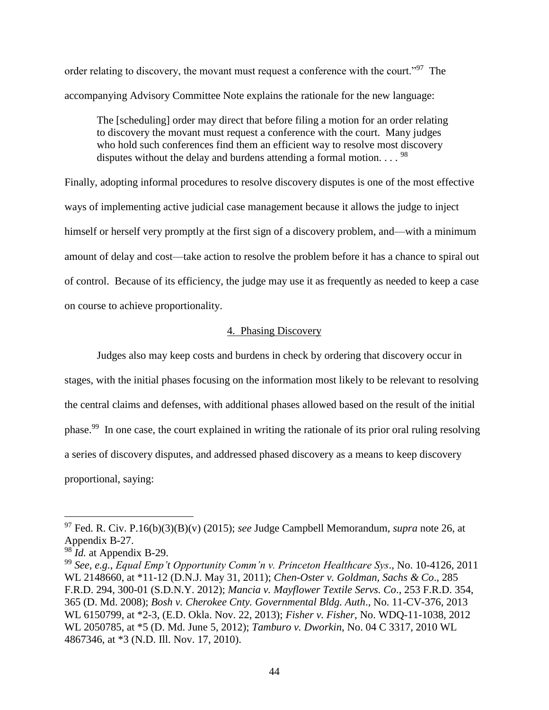order relating to discovery, the movant must request a conference with the court."<sup>97</sup> The accompanying Advisory Committee Note explains the rationale for the new language:

The [scheduling] order may direct that before filing a motion for an order relating to discovery the movant must request a conference with the court. Many judges who hold such conferences find them an efficient way to resolve most discovery disputes without the delay and burdens attending a formal motion...  $^{98}$ 

Finally, adopting informal procedures to resolve discovery disputes is one of the most effective ways of implementing active judicial case management because it allows the judge to inject himself or herself very promptly at the first sign of a discovery problem, and—with a minimum amount of delay and cost—take action to resolve the problem before it has a chance to spiral out of control. Because of its efficiency, the judge may use it as frequently as needed to keep a case on course to achieve proportionality.

### 4. Phasing Discovery

<span id="page-43-0"></span>Judges also may keep costs and burdens in check by ordering that discovery occur in stages, with the initial phases focusing on the information most likely to be relevant to resolving the central claims and defenses, with additional phases allowed based on the result of the initial phase.<sup>99</sup> In one case, the court explained in writing the rationale of its prior oral ruling resolving a series of discovery disputes, and addressed phased discovery as a means to keep discovery proportional, saying:

<sup>97</sup> Fed. R. Civ. P.16(b)(3)(B)(v) (2015); *see* Judge Campbell Memorandum, *supra* note [26,](#page-14-0) at Appendix B-27.

<sup>98</sup> *Id.* at Appendix B-29.

<sup>99</sup> *See, e.g.*, *Equal Emp't Opportunity Comm'n v. Princeton Healthcare Sys*., No. 10-4126, 2011 WL 2148660, at \*11-12 (D.N.J. May 31, 2011); *Chen-Oster v. Goldman, Sachs & Co*., 285 F.R.D. 294, 300-01 (S.D.N.Y. 2012); *Mancia v. Mayflower Textile Servs. Co*., 253 F.R.D. 354, 365 (D. Md. 2008); *Bosh v. Cherokee Cnty. Governmental Bldg. Auth*., No. 11-CV-376, 2013 WL 6150799, at \*2-3, (E.D. Okla. Nov. 22, 2013); *Fisher v. Fisher*, No. WDQ-11-1038, 2012 WL 2050785, at \*5 (D. Md. June 5, 2012); *Tamburo v. Dworkin*, No. 04 C 3317, 2010 WL 4867346, at \*3 (N.D. Ill. Nov. 17, 2010).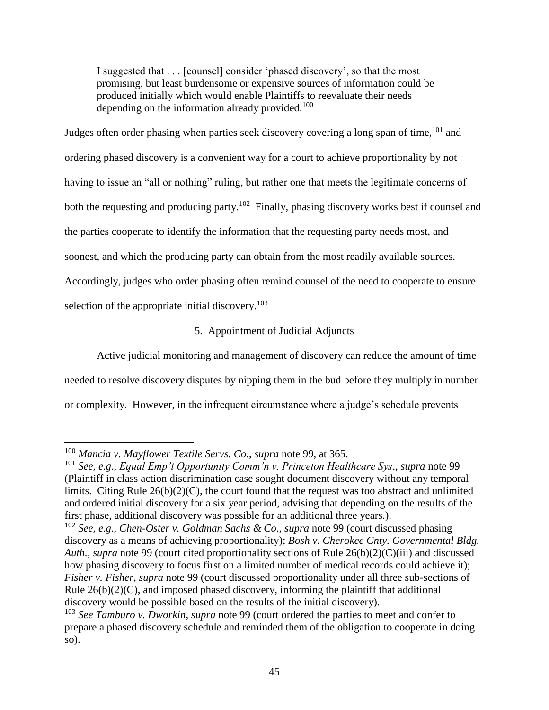I suggested that . . . [counsel] consider 'phased discovery', so that the most promising, but least burdensome or expensive sources of information could be produced initially which would enable Plaintiffs to reevaluate their needs depending on the information already provided.<sup>100</sup>

Judges often order phasing when parties seek discovery covering a long span of time,  $101$  and ordering phased discovery is a convenient way for a court to achieve proportionality by not having to issue an "all or nothing" ruling, but rather one that meets the legitimate concerns of both the requesting and producing party.<sup>102</sup> Finally, phasing discovery works best if counsel and the parties cooperate to identify the information that the requesting party needs most, and soonest, and which the producing party can obtain from the most readily available sources. Accordingly, judges who order phasing often remind counsel of the need to cooperate to ensure selection of the appropriate initial discovery. $103$ 

# 5. Appointment of Judicial Adjuncts

Active judicial monitoring and management of discovery can reduce the amount of time needed to resolve discovery disputes by nipping them in the bud before they multiply in number or complexity. However, in the infrequent circumstance where a judge's schedule prevents

 $\overline{a}$ <sup>100</sup> *Mancia v. Mayflower Textile Servs. Co.*, *supra* note [99,](#page-43-0) at 365.

<sup>101</sup> *See, e.g*., *Equal Emp't Opportunity Comm'n v. Princeton Healthcare Sys*., *supra* not[e 99](#page-43-0) (Plaintiff in class action discrimination case sought document discovery without any temporal limits. Citing Rule 26(b)(2)(C), the court found that the request was too abstract and unlimited and ordered initial discovery for a six year period, advising that depending on the results of the first phase, additional discovery was possible for an additional three years.).

<sup>102</sup> *See, e.g.*, *Chen-Oster v. Goldman Sachs & Co*., *supra* note [99](#page-43-0) (court discussed phasing discovery as a means of achieving proportionality); *Bosh v. Cherokee Cnty. Governmental Bldg. Auth.*, *supra* note [99](#page-43-0) (court cited proportionality sections of Rule 26(b)(2)(C)(iii) and discussed how phasing discovery to focus first on a limited number of medical records could achieve it); *Fisher v. Fisher*, *supra* note [99](#page-43-0) (court discussed proportionality under all three sub-sections of Rule  $26(b)(2)(C)$ , and imposed phased discovery, informing the plaintiff that additional discovery would be possible based on the results of the initial discovery).

<sup>103</sup> *See Tamburo v. Dworkin*, *supra* note [99](#page-43-0) (court ordered the parties to meet and confer to prepare a phased discovery schedule and reminded them of the obligation to cooperate in doing so).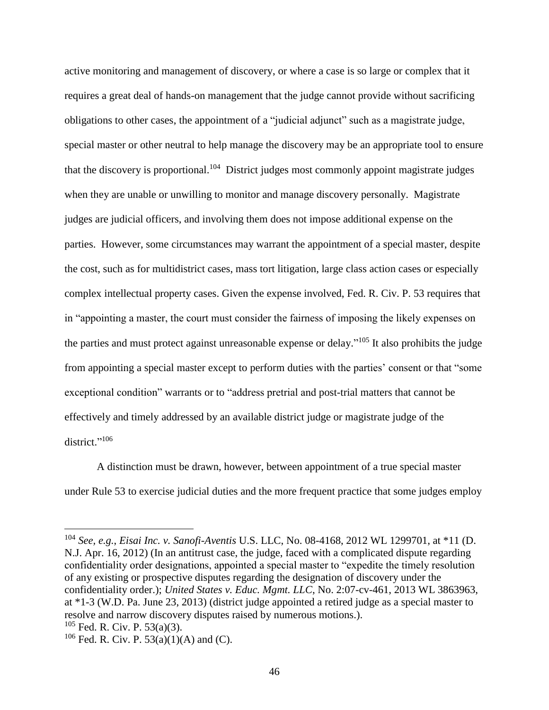active monitoring and management of discovery, or where a case is so large or complex that it requires a great deal of hands-on management that the judge cannot provide without sacrificing obligations to other cases, the appointment of a "judicial adjunct" such as a magistrate judge, special master or other neutral to help manage the discovery may be an appropriate tool to ensure that the discovery is proportional.<sup>104</sup> District judges most commonly appoint magistrate judges when they are unable or unwilling to monitor and manage discovery personally. Magistrate judges are judicial officers, and involving them does not impose additional expense on the parties. However, some circumstances may warrant the appointment of a special master, despite the cost, such as for multidistrict cases, mass tort litigation, large class action cases or especially complex intellectual property cases. Given the expense involved, Fed. R. Civ. P. 53 requires that in "appointing a master, the court must consider the fairness of imposing the likely expenses on the parties and must protect against unreasonable expense or delay."<sup>105</sup> It also prohibits the judge from appointing a special master except to perform duties with the parties' consent or that "some exceptional condition" warrants or to "address pretrial and post-trial matters that cannot be effectively and timely addressed by an available district judge or magistrate judge of the district." 106

A distinction must be drawn, however, between appointment of a true special master under Rule 53 to exercise judicial duties and the more frequent practice that some judges employ

<sup>104</sup> *See, e.g.*, *Eisai Inc. v. Sanofi-Aventis* U.S. LLC, No. 08-4168, 2012 WL 1299701, at \*11 (D. N.J. Apr. 16, 2012) (In an antitrust case, the judge, faced with a complicated dispute regarding confidentiality order designations, appointed a special master to "expedite the timely resolution of any existing or prospective disputes regarding the designation of discovery under the confidentiality order.); *United States v. Educ. Mgmt. LLC*, No. 2:07-cv-461, 2013 WL 3863963, at \*1-3 (W.D. Pa. June 23, 2013) (district judge appointed a retired judge as a special master to resolve and narrow discovery disputes raised by numerous motions.).

 $105$  Fed. R. Civ. P. 53(a)(3).

 $106$  Fed. R. Civ. P. 53(a)(1)(A) and (C).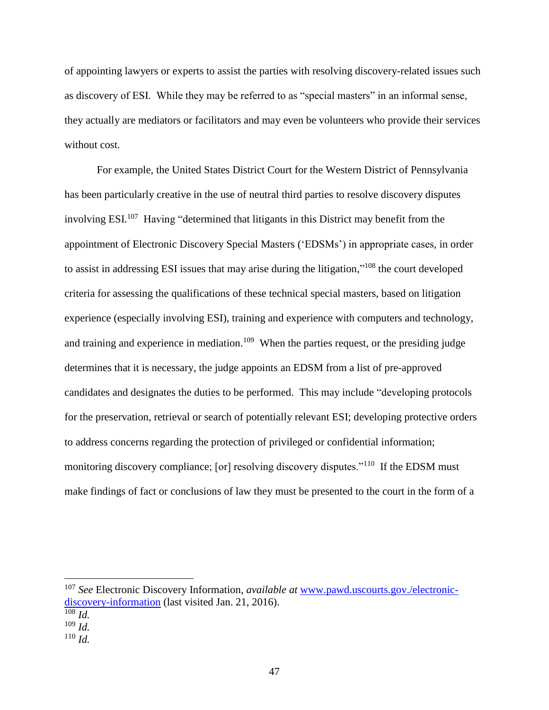of appointing lawyers or experts to assist the parties with resolving discovery-related issues such as discovery of ESI. While they may be referred to as "special masters" in an informal sense, they actually are mediators or facilitators and may even be volunteers who provide their services without cost.

For example, the United States District Court for the Western District of Pennsylvania has been particularly creative in the use of neutral third parties to resolve discovery disputes involving ESI.<sup>107</sup> Having "determined that litigants in this District may benefit from the appointment of Electronic Discovery Special Masters ('EDSMs') in appropriate cases, in order to assist in addressing ESI issues that may arise during the litigation,"<sup>108</sup> the court developed criteria for assessing the qualifications of these technical special masters, based on litigation experience (especially involving ESI), training and experience with computers and technology, and training and experience in mediation.<sup>109</sup> When the parties request, or the presiding judge determines that it is necessary, the judge appoints an EDSM from a list of pre-approved candidates and designates the duties to be performed. This may include "developing protocols for the preservation, retrieval or search of potentially relevant ESI; developing protective orders to address concerns regarding the protection of privileged or confidential information; monitoring discovery compliance; [or] resolving discovery disputes."<sup>110</sup> If the EDSM must make findings of fact or conclusions of law they must be presented to the court in the form of a

<sup>107</sup> *See* Electronic Discovery Information, *available at* [www.pawd.uscourts.gov./electronic](http://www.pawd.uscourts.gov./electronic-discovery-information)[discovery-information](http://www.pawd.uscourts.gov./electronic-discovery-information) (last visited Jan. 21, 2016).

 $\overline{\frac{108}{Id}}$ .

<sup>109</sup> *Id.*

<sup>110</sup> *Id.*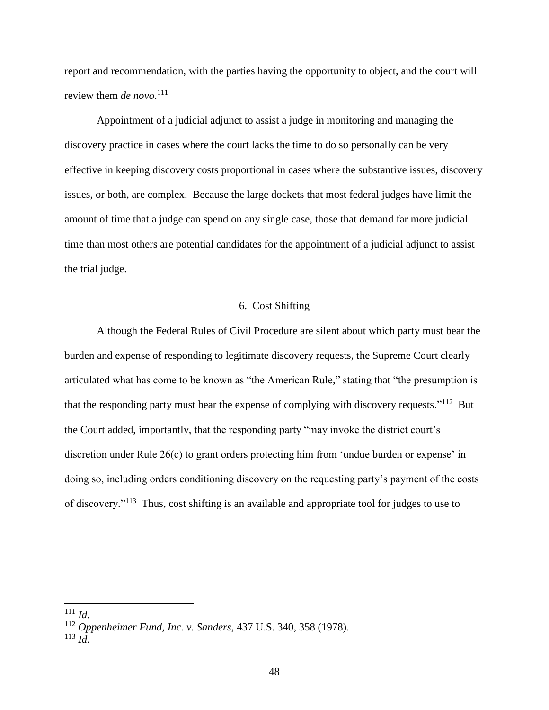report and recommendation, with the parties having the opportunity to object, and the court will review them *de novo*. 111

Appointment of a judicial adjunct to assist a judge in monitoring and managing the discovery practice in cases where the court lacks the time to do so personally can be very effective in keeping discovery costs proportional in cases where the substantive issues, discovery issues, or both, are complex. Because the large dockets that most federal judges have limit the amount of time that a judge can spend on any single case, those that demand far more judicial time than most others are potential candidates for the appointment of a judicial adjunct to assist the trial judge.

### <span id="page-47-0"></span>6. Cost Shifting

Although the Federal Rules of Civil Procedure are silent about which party must bear the burden and expense of responding to legitimate discovery requests, the Supreme Court clearly articulated what has come to be known as "the American Rule," stating that "the presumption is that the responding party must bear the expense of complying with discovery requests."<sup>112</sup> But the Court added, importantly, that the responding party "may invoke the district court's discretion under Rule 26(c) to grant orders protecting him from 'undue burden or expense' in doing so, including orders conditioning discovery on the requesting party's payment of the costs of discovery."<sup>113</sup> Thus, cost shifting is an available and appropriate tool for judges to use to

<sup>111</sup> *Id.*

<sup>112</sup> *Oppenheimer Fund, Inc. v. Sanders*, 437 U.S. 340, 358 (1978).

<sup>113</sup> *Id.*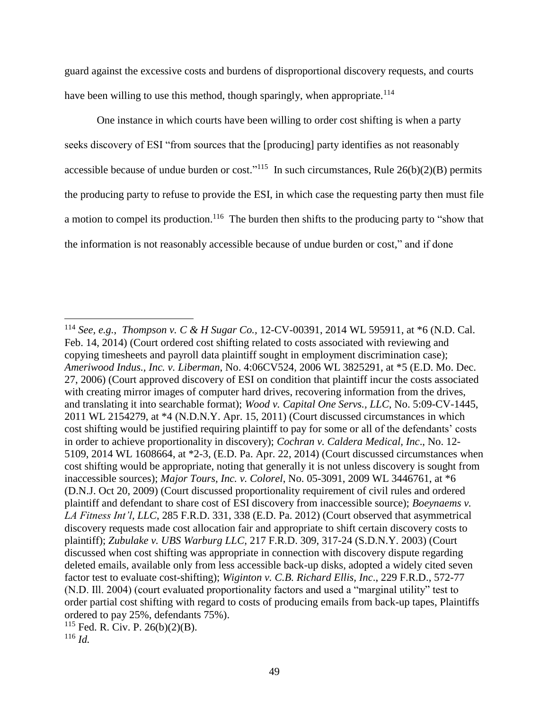<span id="page-48-0"></span>guard against the excessive costs and burdens of disproportional discovery requests, and courts have been willing to use this method, though sparingly, when appropriate.<sup>114</sup>

One instance in which courts have been willing to order cost shifting is when a party seeks discovery of ESI "from sources that the [producing] party identifies as not reasonably accessible because of undue burden or cost."<sup>115</sup> In such circumstances, Rule  $26(b)(2)(B)$  permits the producing party to refuse to provide the ESI, in which case the requesting party then must file a motion to compel its production.<sup>116</sup> The burden then shifts to the producing party to "show that the information is not reasonably accessible because of undue burden or cost," and if done

<sup>114</sup> *See, e.g.*, *Thompson v. C & H Sugar Co.,* 12-CV-00391, 2014 WL 595911, at \*6 (N.D. Cal. Feb. 14, 2014) (Court ordered cost shifting related to costs associated with reviewing and copying timesheets and payroll data plaintiff sought in employment discrimination case); *Ameriwood Indus., Inc. v. Liberman*, No. 4:06CV524, 2006 WL 3825291, at \*5 (E.D. Mo. Dec. 27, 2006) (Court approved discovery of ESI on condition that plaintiff incur the costs associated with creating mirror images of computer hard drives, recovering information from the drives, and translating it into searchable format); *Wood v. Capital One Servs., LLC*, No. 5:09-CV-1445, 2011 WL 2154279, at \*4 (N.D.N.Y. Apr. 15, 2011) (Court discussed circumstances in which cost shifting would be justified requiring plaintiff to pay for some or all of the defendants' costs in order to achieve proportionality in discovery); *Cochran v. Caldera Medical, Inc*., No. 12- 5109, 2014 WL 1608664, at \*2-3, (E.D. Pa. Apr. 22, 2014) (Court discussed circumstances when cost shifting would be appropriate, noting that generally it is not unless discovery is sought from inaccessible sources); *Major Tours, Inc. v. Colorel*, No. 05-3091, 2009 WL 3446761, at \*6 (D.N.J. Oct 20, 2009) (Court discussed proportionality requirement of civil rules and ordered plaintiff and defendant to share cost of ESI discovery from inaccessible source); *Boeynaems v. LA Fitness Int'l, LLC*, 285 F.R.D. 331, 338 (E.D. Pa. 2012) (Court observed that asymmetrical discovery requests made cost allocation fair and appropriate to shift certain discovery costs to plaintiff); *Zubulake v. UBS Warburg LLC*, 217 F.R.D. 309, 317-24 (S.D.N.Y. 2003) (Court discussed when cost shifting was appropriate in connection with discovery dispute regarding deleted emails, available only from less accessible back-up disks, adopted a widely cited seven factor test to evaluate cost-shifting); *Wiginton v. C.B. Richard Ellis, Inc*., 229 F.R.D., 572-77 (N.D. Ill. 2004) (court evaluated proportionality factors and used a "marginal utility" test to order partial cost shifting with regard to costs of producing emails from back-up tapes, Plaintiffs ordered to pay 25%, defendants 75%).

<sup>115</sup> Fed. R. Civ. P. 26(b)(2)(B).

<sup>116</sup> *Id.*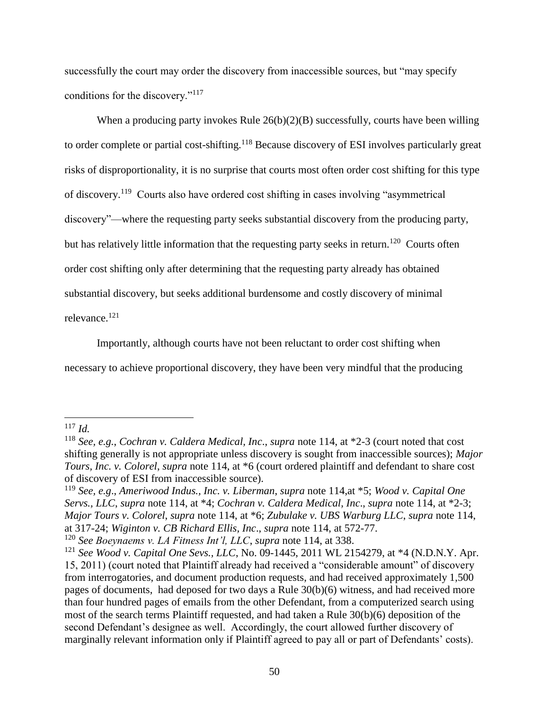successfully the court may order the discovery from inaccessible sources, but "may specify conditions for the discovery."<sup>117</sup>

When a producing party invokes Rule  $26(b)(2)(B)$  successfully, courts have been willing to order complete or partial cost-shifting.<sup>118</sup> Because discovery of ESI involves particularly great risks of disproportionality, it is no surprise that courts most often order cost shifting for this type of discovery.<sup>119</sup> Courts also have ordered cost shifting in cases involving "asymmetrical discovery"—where the requesting party seeks substantial discovery from the producing party, but has relatively little information that the requesting party seeks in return.<sup>120</sup> Courts often order cost shifting only after determining that the requesting party already has obtained substantial discovery, but seeks additional burdensome and costly discovery of minimal relevance.<sup>121</sup>

Importantly, although courts have not been reluctant to order cost shifting when necessary to achieve proportional discovery, they have been very mindful that the producing

<sup>117</sup> *Id.*

<sup>118</sup> *See, e.g.*, *Cochran v. Caldera Medical, Inc*., *supra* note [114,](#page-48-0) at \*2-3 (court noted that cost shifting generally is not appropriate unless discovery is sought from inaccessible sources); *Major Tours, Inc. v. Colorel*, *supra* note [114,](#page-48-0) at \*6 (court ordered plaintiff and defendant to share cost of discovery of ESI from inaccessible source).

<sup>119</sup> *See, e.g*., *Ameriwood Indus., Inc. v. Liberman*, *supra* note [114,](#page-48-0)at \*5; *Wood v. Capital One Servs., LLC*, *supra* note [114,](#page-48-0) at \*4; *Cochran v. Caldera Medical, Inc*., *supra* note [114,](#page-48-0) at \*2-3; *Major Tours v. Colorel*, *supra* note [114,](#page-48-0) at \*6; *Zubulake v. UBS Warburg LLC*, *supra* note [114,](#page-48-0) at 317-24; *Wiginton v. CB Richard Ellis, Inc*., *supra* note [114,](#page-48-0) at 572-77.

<sup>120</sup> *See Boeynaems v. LA Fitness Int'l, LLC*, *supra* note [114,](#page-48-0) at 338.

<sup>121</sup> *See Wood v. Capital One Sevs., LLC*, No. 09-1445, 2011 WL 2154279, at \*4 (N.D.N.Y. Apr. 15, 2011) (court noted that Plaintiff already had received a "considerable amount" of discovery from interrogatories, and document production requests, and had received approximately 1,500 pages of documents, had deposed for two days a Rule 30(b)(6) witness, and had received more than four hundred pages of emails from the other Defendant, from a computerized search using most of the search terms Plaintiff requested, and had taken a Rule 30(b)(6) deposition of the second Defendant's designee as well. Accordingly, the court allowed further discovery of marginally relevant information only if Plaintiff agreed to pay all or part of Defendants' costs).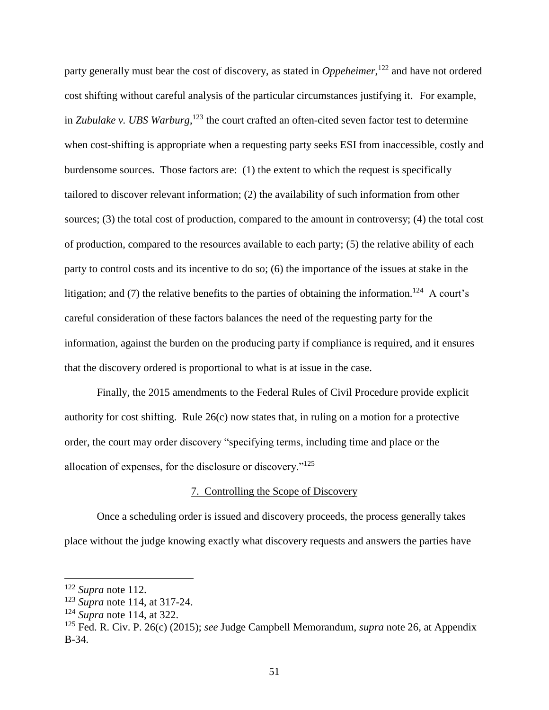party generally must bear the cost of discovery, as stated in *Oppeheimer*, <sup>122</sup> and have not ordered cost shifting without careful analysis of the particular circumstances justifying it. For example, in *Zubulake v. UBS Warburg*,<sup>123</sup> the court crafted an often-cited seven factor test to determine when cost-shifting is appropriate when a requesting party seeks ESI from inaccessible, costly and burdensome sources. Those factors are: (1) the extent to which the request is specifically tailored to discover relevant information; (2) the availability of such information from other sources; (3) the total cost of production, compared to the amount in controversy; (4) the total cost of production, compared to the resources available to each party; (5) the relative ability of each party to control costs and its incentive to do so; (6) the importance of the issues at stake in the litigation; and (7) the relative benefits to the parties of obtaining the information.<sup>124</sup> A court's careful consideration of these factors balances the need of the requesting party for the information, against the burden on the producing party if compliance is required, and it ensures that the discovery ordered is proportional to what is at issue in the case.

Finally, the 2015 amendments to the Federal Rules of Civil Procedure provide explicit authority for cost shifting. Rule 26(c) now states that, in ruling on a motion for a protective order, the court may order discovery "specifying terms, including time and place or the allocation of expenses, for the disclosure or discovery."<sup>125</sup>

### 7. Controlling the Scope of Discovery

Once a scheduling order is issued and discovery proceeds, the process generally takes place without the judge knowing exactly what discovery requests and answers the parties have

<sup>122</sup> *Supra* note [112.](#page-47-0)

<sup>123</sup> *Supra* note [114,](#page-48-0) at 317-24.

<sup>124</sup> *Supra* note [114,](#page-48-0) at 322.

<sup>125</sup> Fed. R. Civ. P. 26(c) (2015); *see* Judge Campbell Memorandum, *supra* note [26,](#page-14-0) at Appendix B-34.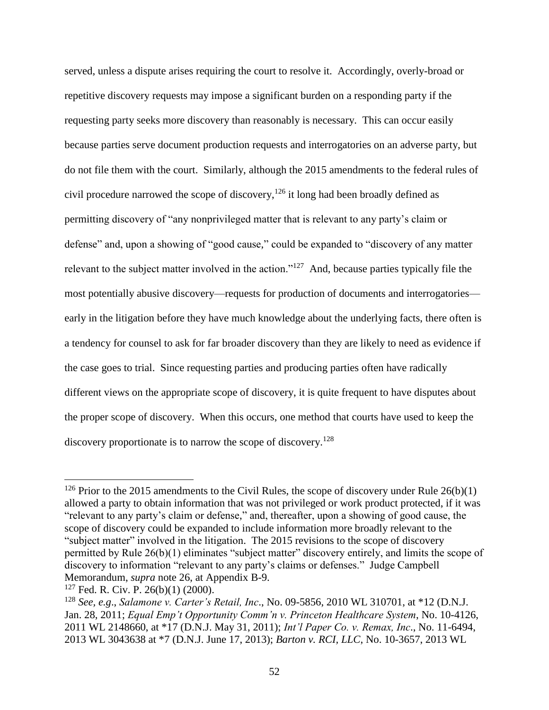served, unless a dispute arises requiring the court to resolve it. Accordingly, overly-broad or repetitive discovery requests may impose a significant burden on a responding party if the requesting party seeks more discovery than reasonably is necessary. This can occur easily because parties serve document production requests and interrogatories on an adverse party, but do not file them with the court. Similarly, although the 2015 amendments to the federal rules of civil procedure narrowed the scope of discovery, <sup>126</sup> it long had been broadly defined as permitting discovery of "any nonprivileged matter that is relevant to any party's claim or defense" and, upon a showing of "good cause," could be expanded to "discovery of any matter relevant to the subject matter involved in the action."<sup>127</sup> And, because parties typically file the most potentially abusive discovery—requests for production of documents and interrogatories early in the litigation before they have much knowledge about the underlying facts, there often is a tendency for counsel to ask for far broader discovery than they are likely to need as evidence if the case goes to trial. Since requesting parties and producing parties often have radically different views on the appropriate scope of discovery, it is quite frequent to have disputes about the proper scope of discovery. When this occurs, one method that courts have used to keep the discovery proportionate is to narrow the scope of discovery.<sup>128</sup>

<span id="page-51-0"></span><sup>&</sup>lt;sup>126</sup> Prior to the 2015 amendments to the Civil Rules, the scope of discovery under Rule  $26(b)(1)$ allowed a party to obtain information that was not privileged or work product protected, if it was "relevant to any party's claim or defense," and, thereafter, upon a showing of good cause, the scope of discovery could be expanded to include information more broadly relevant to the "subject matter" involved in the litigation. The 2015 revisions to the scope of discovery permitted by Rule 26(b)(1) eliminates "subject matter" discovery entirely, and limits the scope of discovery to information "relevant to any party's claims or defenses." Judge Campbell Memorandum, *supra* note [26,](#page-14-0) at Appendix B-9.

 $127$  Fed. R. Civ. P. 26(b)(1) (2000).

<sup>128</sup> *See, e.g*., *Salamone v. Carter's Retail, Inc*., No. 09-5856, 2010 WL 310701, at \*12 (D.N.J. Jan. 28, 2011; *Equal Emp't Opportunity Comm'n v. Princeton Healthcare System*, No. 10-4126, 2011 WL 2148660, at \*17 (D.N.J. May 31, 2011); *Int'l Paper Co. v. Remax, Inc*., No. 11-6494, 2013 WL 3043638 at \*7 (D.N.J. June 17, 2013); *Barton v. RCI, LLC*, No. 10-3657, 2013 WL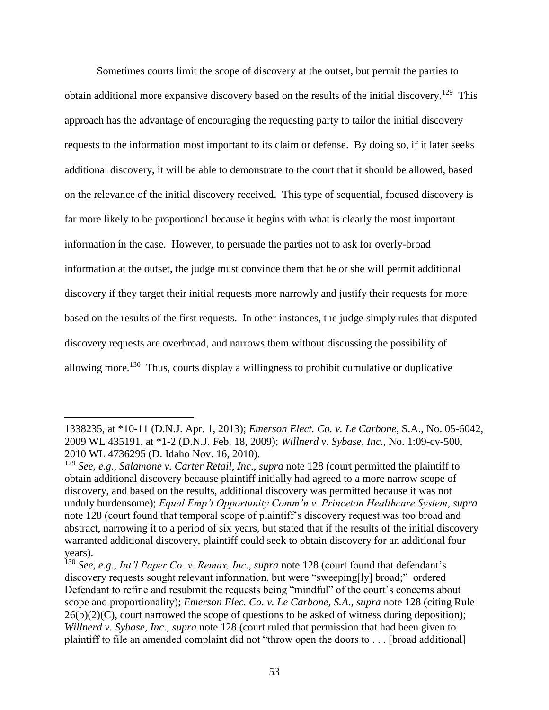Sometimes courts limit the scope of discovery at the outset, but permit the parties to obtain additional more expansive discovery based on the results of the initial discovery.<sup>129</sup> This approach has the advantage of encouraging the requesting party to tailor the initial discovery requests to the information most important to its claim or defense. By doing so, if it later seeks additional discovery, it will be able to demonstrate to the court that it should be allowed, based on the relevance of the initial discovery received. This type of sequential, focused discovery is far more likely to be proportional because it begins with what is clearly the most important information in the case. However, to persuade the parties not to ask for overly-broad information at the outset, the judge must convince them that he or she will permit additional discovery if they target their initial requests more narrowly and justify their requests for more based on the results of the first requests. In other instances, the judge simply rules that disputed discovery requests are overbroad, and narrows them without discussing the possibility of allowing more.<sup>130</sup> Thus, courts display a willingness to prohibit cumulative or duplicative

<sup>1338235,</sup> at \*10-11 (D.N.J. Apr. 1, 2013); *Emerson Elect. Co. v. Le Carbone*, S.A., No. 05-6042, 2009 WL 435191, at \*1-2 (D.N.J. Feb. 18, 2009); *Willnerd v. Sybase, Inc*., No. 1:09-cv-500, 2010 WL 4736295 (D. Idaho Nov. 16, 2010).

<sup>129</sup> *See, e.g.*, *Salamone v. Carter Retail, Inc*., *supra* note [128](#page-51-0) (court permitted the plaintiff to obtain additional discovery because plaintiff initially had agreed to a more narrow scope of discovery, and based on the results, additional discovery was permitted because it was not unduly burdensome); *Equal Emp't Opportunity Comm'n v. Princeton Healthcare System*, *supra* note [128](#page-51-0) (court found that temporal scope of plaintiff's discovery request was too broad and abstract, narrowing it to a period of six years, but stated that if the results of the initial discovery warranted additional discovery, plaintiff could seek to obtain discovery for an additional four years).

<sup>130</sup> *See, e.g*., *Int'l Paper Co. v. Remax, Inc*., *supra* note [128](#page-51-0) (court found that defendant's discovery requests sought relevant information, but were "sweeping[ly] broad;" ordered Defendant to refine and resubmit the requests being "mindful" of the court's concerns about scope and proportionality); *Emerson Elec. Co. v. Le Carbone, S.A*., *supra* note [128](#page-51-0) (citing Rule  $26(b)(2)(C)$ , court narrowed the scope of questions to be asked of witness during deposition); *Willnerd v. Sybase, Inc*., *supra* note [128](#page-51-0) (court ruled that permission that had been given to plaintiff to file an amended complaint did not "throw open the doors to . . . [broad additional]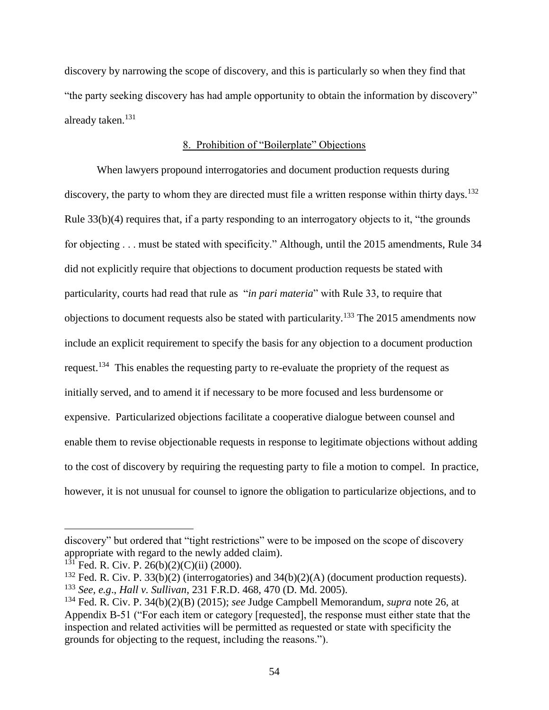discovery by narrowing the scope of discovery, and this is particularly so when they find that "the party seeking discovery has had ample opportunity to obtain the information by discovery" already taken.<sup>131</sup>

### 8. Prohibition of "Boilerplate" Objections

When lawyers propound interrogatories and document production requests during discovery, the party to whom they are directed must file a written response within thirty days.<sup>132</sup> Rule 33(b)(4) requires that, if a party responding to an interrogatory objects to it, "the grounds for objecting . . . must be stated with specificity." Although, until the 2015 amendments, Rule 34 did not explicitly require that objections to document production requests be stated with particularity, courts had read that rule as "*in pari materia*" with Rule 33, to require that objections to document requests also be stated with particularity.<sup>133</sup> The 2015 amendments now include an explicit requirement to specify the basis for any objection to a document production request.<sup>134</sup> This enables the requesting party to re-evaluate the propriety of the request as initially served, and to amend it if necessary to be more focused and less burdensome or expensive. Particularized objections facilitate a cooperative dialogue between counsel and enable them to revise objectionable requests in response to legitimate objections without adding to the cost of discovery by requiring the requesting party to file a motion to compel. In practice, however, it is not unusual for counsel to ignore the obligation to particularize objections, and to

discovery" but ordered that "tight restrictions" were to be imposed on the scope of discovery appropriate with regard to the newly added claim).

 $131$  Fed. R. Civ. P. 26(b)(2)(C)(ii) (2000).

<sup>&</sup>lt;sup>132</sup> Fed. R. Civ. P. 33(b)(2) (interrogatories) and 34(b)(2)(A) (document production requests). <sup>133</sup> *See, e.g*., *Hall v. Sullivan*, 231 F.R.D. 468, 470 (D. Md. 2005).

<sup>134</sup> Fed. R. Civ. P. 34(b)(2)(B) (2015); *see* Judge Campbell Memorandum, *supra* note [26,](#page-14-0) at Appendix B-51 ("For each item or category [requested], the response must either state that the inspection and related activities will be permitted as requested or state with specificity the grounds for objecting to the request, including the reasons.").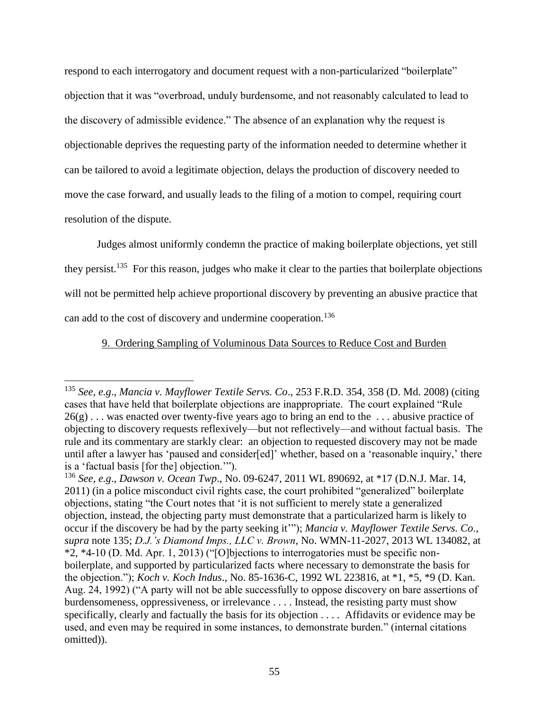respond to each interrogatory and document request with a non-particularized "boilerplate" objection that it was "overbroad, unduly burdensome, and not reasonably calculated to lead to the discovery of admissible evidence." The absence of an explanation why the request is objectionable deprives the requesting party of the information needed to determine whether it can be tailored to avoid a legitimate objection, delays the production of discovery needed to move the case forward, and usually leads to the filing of a motion to compel, requiring court resolution of the dispute.

<span id="page-54-0"></span>Judges almost uniformly condemn the practice of making boilerplate objections, yet still they persist.<sup>135</sup> For this reason, judges who make it clear to the parties that boilerplate objections will not be permitted help achieve proportional discovery by preventing an abusive practice that can add to the cost of discovery and undermine cooperation.<sup>136</sup>

# 9. Ordering Sampling of Voluminous Data Sources to Reduce Cost and Burden

<sup>135</sup> *See, e.g*., *Mancia v. Mayflower Textile Servs. Co*., 253 F.R.D. 354, 358 (D. Md. 2008) (citing cases that have held that boilerplate objections are inappropriate. The court explained "Rule  $26(g)$ ... was enacted over twenty-five years ago to bring an end to the ... abusive practice of objecting to discovery requests reflexively—but not reflectively—and without factual basis. The rule and its commentary are starkly clear: an objection to requested discovery may not be made until after a lawyer has 'paused and consider[ed]' whether, based on a 'reasonable inquiry,' there is a 'factual basis [for the] objection.'").

<sup>136</sup> *See, e.g*., *Dawson v. Ocean Twp*., No. 09-6247, 2011 WL 890692, at \*17 (D.N.J. Mar. 14, 2011) (in a police misconduct civil rights case, the court prohibited "generalized" boilerplate objections, stating "the Court notes that 'it is not sufficient to merely state a generalized objection, instead, the objecting party must demonstrate that a particularized harm is likely to occur if the discovery be had by the party seeking it'"); *Mancia v. Mayflower Textile Servs. Co*., *supra* note [135;](#page-54-0) *D.J.'s Diamond Imps., LLC v. Brown*, No. WMN-11-2027, 2013 WL 134082, at \*2, \*4-10 (D. Md. Apr. 1, 2013) ("[O]bjections to interrogatories must be specific nonboilerplate, and supported by particularized facts where necessary to demonstrate the basis for the objection."); *Koch v. Koch Indus*., No. 85-1636-C, 1992 WL 223816, at \*1, \*5, \*9 (D. Kan. Aug. 24, 1992) ("A party will not be able successfully to oppose discovery on bare assertions of burdensomeness, oppressiveness, or irrelevance . . . . Instead, the resisting party must show specifically, clearly and factually the basis for its objection . . . . Affidavits or evidence may be used, and even may be required in some instances, to demonstrate burden." (internal citations omitted)).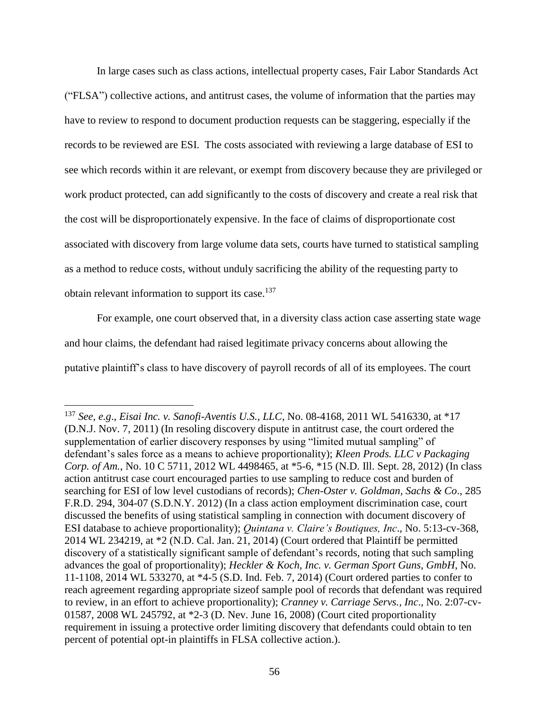In large cases such as class actions, intellectual property cases, Fair Labor Standards Act ("FLSA") collective actions, and antitrust cases, the volume of information that the parties may have to review to respond to document production requests can be staggering, especially if the records to be reviewed are ESI. The costs associated with reviewing a large database of ESI to see which records within it are relevant, or exempt from discovery because they are privileged or work product protected, can add significantly to the costs of discovery and create a real risk that the cost will be disproportionately expensive. In the face of claims of disproportionate cost associated with discovery from large volume data sets, courts have turned to statistical sampling as a method to reduce costs, without unduly sacrificing the ability of the requesting party to obtain relevant information to support its case. $137$ 

<span id="page-55-0"></span>For example, one court observed that, in a diversity class action case asserting state wage and hour claims, the defendant had raised legitimate privacy concerns about allowing the putative plaintiff's class to have discovery of payroll records of all of its employees. The court

<sup>137</sup> *See, e.g*., *Eisai Inc. v. Sanofi-Aventis U.S., LLC*, No. 08-4168, 2011 WL 5416330, at \*17 (D.N.J. Nov. 7, 2011) (In resoling discovery dispute in antitrust case, the court ordered the supplementation of earlier discovery responses by using "limited mutual sampling" of defendant's sales force as a means to achieve proportionality); *Kleen Prods. LLC v Packaging Corp. of Am.*, No. 10 C 5711, 2012 WL 4498465, at \*5-6, \*15 (N.D. Ill. Sept. 28, 2012) (In class action antitrust case court encouraged parties to use sampling to reduce cost and burden of searching for ESI of low level custodians of records); *Chen-Oster v. Goldman, Sachs & Co*., 285 F.R.D. 294, 304-07 (S.D.N.Y. 2012) (In a class action employment discrimination case, court discussed the benefits of using statistical sampling in connection with document discovery of ESI database to achieve proportionality); *Quintana v. Claire's Boutiques, Inc*., No. 5:13-cv-368, 2014 WL 234219, at \*2 (N.D. Cal. Jan. 21, 2014) (Court ordered that Plaintiff be permitted discovery of a statistically significant sample of defendant's records, noting that such sampling advances the goal of proportionality); *Heckler & Koch, Inc. v. German Sport Guns, GmbH*, No. 11-1108, 2014 WL 533270, at \*4-5 (S.D. Ind. Feb. 7, 2014) (Court ordered parties to confer to reach agreement regarding appropriate sizeof sample pool of records that defendant was required to review, in an effort to achieve proportionality); *Cranney v. Carriage Servs., Inc*., No. 2:07-cv-01587, 2008 WL 245792, at \*2-3 (D. Nev. June 16, 2008) (Court cited proportionality requirement in issuing a protective order limiting discovery that defendants could obtain to ten percent of potential opt-in plaintiffs in FLSA collective action.).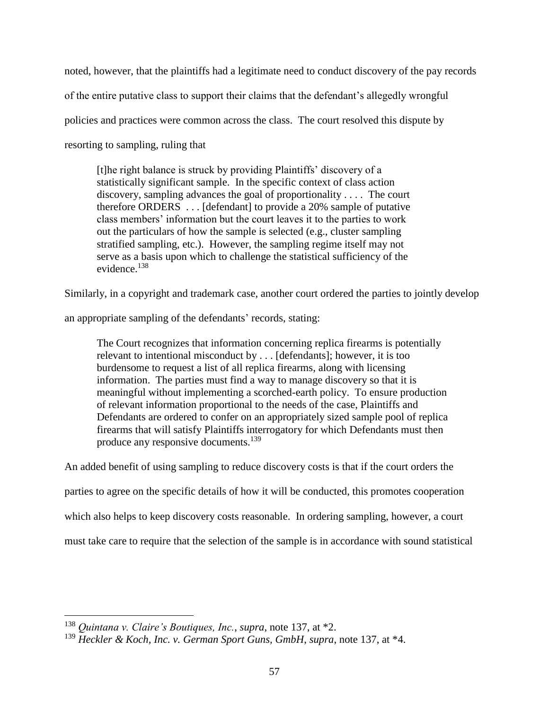noted, however, that the plaintiffs had a legitimate need to conduct discovery of the pay records

of the entire putative class to support their claims that the defendant's allegedly wrongful

policies and practices were common across the class. The court resolved this dispute by

resorting to sampling, ruling that

[t]he right balance is struck by providing Plaintiffs' discovery of a statistically significant sample. In the specific context of class action discovery, sampling advances the goal of proportionality . . . . The court therefore ORDERS . . . [defendant] to provide a 20% sample of putative class members' information but the court leaves it to the parties to work out the particulars of how the sample is selected (e.g., cluster sampling stratified sampling, etc.). However, the sampling regime itself may not serve as a basis upon which to challenge the statistical sufficiency of the evidence.<sup>138</sup>

Similarly, in a copyright and trademark case, another court ordered the parties to jointly develop

an appropriate sampling of the defendants' records, stating:

The Court recognizes that information concerning replica firearms is potentially relevant to intentional misconduct by . . . [defendants]; however, it is too burdensome to request a list of all replica firearms, along with licensing information. The parties must find a way to manage discovery so that it is meaningful without implementing a scorched-earth policy. To ensure production of relevant information proportional to the needs of the case, Plaintiffs and Defendants are ordered to confer on an appropriately sized sample pool of replica firearms that will satisfy Plaintiffs interrogatory for which Defendants must then produce any responsive documents.<sup>139</sup>

An added benefit of using sampling to reduce discovery costs is that if the court orders the

parties to agree on the specific details of how it will be conducted, this promotes cooperation

which also helps to keep discovery costs reasonable. In ordering sampling, however, a court

must take care to require that the selection of the sample is in accordance with sound statistical

<sup>138</sup> *Quintana v. Claire's Boutiques, Inc.*, *supra*, note [137,](#page-55-0) at \*2.

<sup>139</sup> *Heckler & Koch, Inc. v. German Sport Guns, GmbH*, *supra*, note [137,](#page-55-0) at \*4.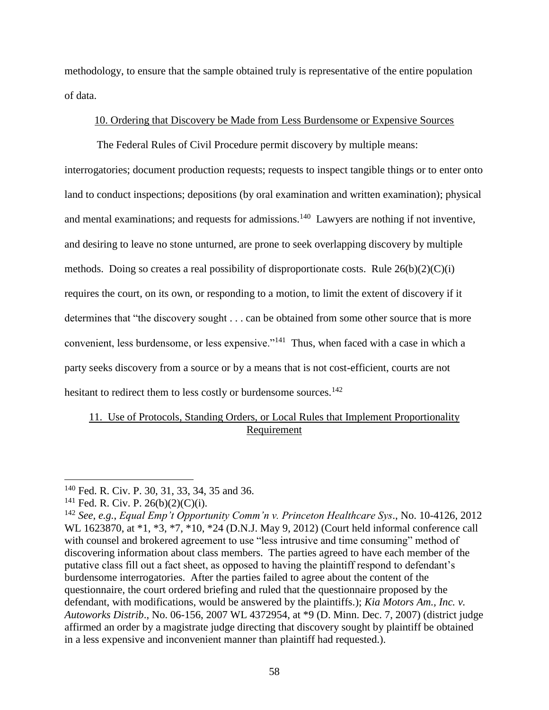methodology, to ensure that the sample obtained truly is representative of the entire population of data.

## 10. Ordering that Discovery be Made from Less Burdensome or Expensive Sources

The Federal Rules of Civil Procedure permit discovery by multiple means:

interrogatories; document production requests; requests to inspect tangible things or to enter onto land to conduct inspections; depositions (by oral examination and written examination); physical and mental examinations; and requests for admissions.<sup>140</sup> Lawyers are nothing if not inventive, and desiring to leave no stone unturned, are prone to seek overlapping discovery by multiple methods. Doing so creates a real possibility of disproportionate costs. Rule  $26(b)(2)(C)(i)$ requires the court, on its own, or responding to a motion, to limit the extent of discovery if it determines that "the discovery sought . . . can be obtained from some other source that is more convenient, less burdensome, or less expensive."<sup>141</sup> Thus, when faced with a case in which a party seeks discovery from a source or by a means that is not cost-efficient, courts are not hesitant to redirect them to less costly or burdensome sources.<sup>142</sup>

# 11. Use of Protocols, Standing Orders, or Local Rules that Implement Proportionality Requirement

<sup>140</sup> Fed. R. Civ. P. 30, 31, 33, 34, 35 and 36.

<sup>&</sup>lt;sup>141</sup> Fed. R. Civ. P.  $26(b)(2)(C)(i)$ .

<sup>142</sup> *See, e.g.*, *Equal Emp't Opportunity Comm'n v. Princeton Healthcare Sys*., No. 10-4126, 2012 WL 1623870, at \*1, \*3, \*7, \*10, \*24 (D.N.J. May 9, 2012) (Court held informal conference call with counsel and brokered agreement to use "less intrusive and time consuming" method of discovering information about class members. The parties agreed to have each member of the putative class fill out a fact sheet, as opposed to having the plaintiff respond to defendant's burdensome interrogatories. After the parties failed to agree about the content of the questionnaire, the court ordered briefing and ruled that the questionnaire proposed by the defendant, with modifications, would be answered by the plaintiffs.); *Kia Motors Am., Inc. v. Autoworks Distrib*., No. 06-156, 2007 WL 4372954, at \*9 (D. Minn. Dec. 7, 2007) (district judge affirmed an order by a magistrate judge directing that discovery sought by plaintiff be obtained in a less expensive and inconvenient manner than plaintiff had requested.).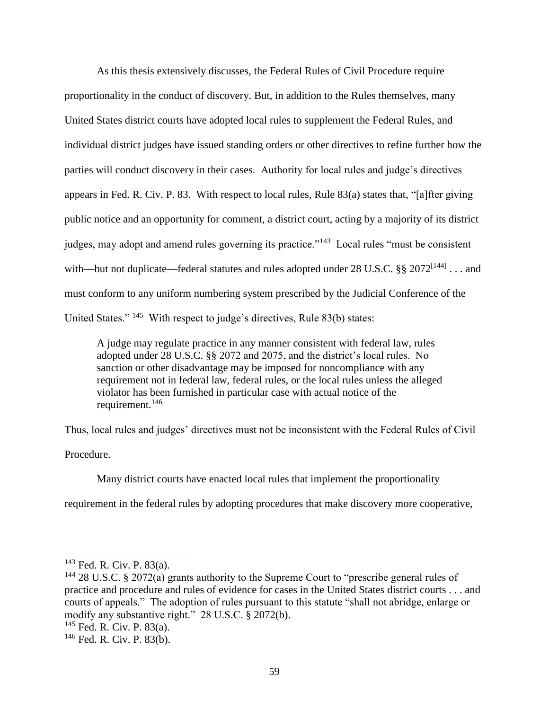As this thesis extensively discusses, the Federal Rules of Civil Procedure require proportionality in the conduct of discovery. But, in addition to the Rules themselves, many United States district courts have adopted local rules to supplement the Federal Rules, and individual district judges have issued standing orders or other directives to refine further how the parties will conduct discovery in their cases. Authority for local rules and judge's directives appears in Fed. R. Civ. P. 83. With respect to local rules, Rule 83(a) states that, "[a]fter giving public notice and an opportunity for comment, a district court, acting by a majority of its district judges, may adopt and amend rules governing its practice."<sup>143</sup> Local rules "must be consistent with—but not duplicate—federal statutes and rules adopted under 28 U.S.C. §§ 2072<sup>[144]</sup> . . . and must conform to any uniform numbering system prescribed by the Judicial Conference of the United States."<sup>145</sup> With respect to judge's directives, Rule 83(b) states:

A judge may regulate practice in any manner consistent with federal law, rules adopted under 28 U.S.C. §§ 2072 and 2075, and the district's local rules. No sanction or other disadvantage may be imposed for noncompliance with any requirement not in federal law, federal rules, or the local rules unless the alleged violator has been furnished in particular case with actual notice of the requirement.<sup>146</sup>

Thus, local rules and judges' directives must not be inconsistent with the Federal Rules of Civil

Procedure.

 $\overline{a}$ 

Many district courts have enacted local rules that implement the proportionality

requirement in the federal rules by adopting procedures that make discovery more cooperative,

<sup>143</sup> Fed. R. Civ. P. 83(a).

<sup>&</sup>lt;sup>144</sup> 28 U.S.C. § 2072(a) grants authority to the Supreme Court to "prescribe general rules of practice and procedure and rules of evidence for cases in the United States district courts . . . and courts of appeals." The adoption of rules pursuant to this statute "shall not abridge, enlarge or modify any substantive right." 28 U.S.C. § 2072(b).

<sup>145</sup> Fed. R. Civ. P. 83(a).

 $146$  Fed. R. Civ. P. 83(b).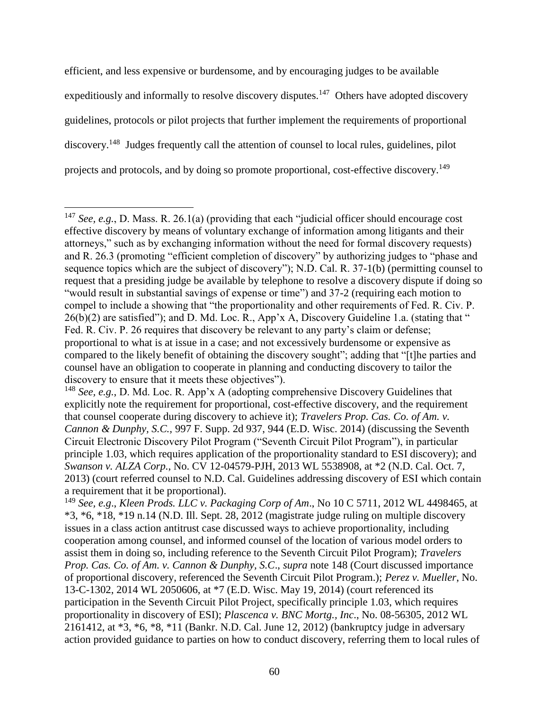<span id="page-59-0"></span>efficient, and less expensive or burdensome, and by encouraging judges to be available expeditiously and informally to resolve discovery disputes.<sup>147</sup> Others have adopted discovery guidelines, protocols or pilot projects that further implement the requirements of proportional discovery.<sup>148</sup> Judges frequently call the attention of counsel to local rules, guidelines, pilot projects and protocols, and by doing so promote proportional, cost-effective discovery.<sup>149</sup>

<sup>147</sup> *See, e.g.*, D. Mass. R. 26.1(a) (providing that each "judicial officer should encourage cost effective discovery by means of voluntary exchange of information among litigants and their attorneys," such as by exchanging information without the need for formal discovery requests) and R. 26.3 (promoting "efficient completion of discovery" by authorizing judges to "phase and sequence topics which are the subject of discovery"); N.D. Cal. R. 37-1(b) (permitting counsel to request that a presiding judge be available by telephone to resolve a discovery dispute if doing so "would result in substantial savings of expense or time") and 37-2 (requiring each motion to compel to include a showing that "the proportionality and other requirements of Fed. R. Civ. P. 26(b)(2) are satisfied"); and D. Md. Loc. R., App'x A, Discovery Guideline 1.a. (stating that " Fed. R. Civ. P. 26 requires that discovery be relevant to any party's claim or defense; proportional to what is at issue in a case; and not excessively burdensome or expensive as compared to the likely benefit of obtaining the discovery sought"; adding that "[t]he parties and counsel have an obligation to cooperate in planning and conducting discovery to tailor the discovery to ensure that it meets these objectives").

<sup>148</sup> *See, e.g.*, D. Md. Loc. R. App'x A (adopting comprehensive Discovery Guidelines that explicitly note the requirement for proportional, cost-effective discovery, and the requirement that counsel cooperate during discovery to achieve it); *Travelers Prop. Cas. Co. of Am. v. Cannon & Dunphy, S.C.,* 997 F. Supp. 2d 937, 944 (E.D. Wisc. 2014) (discussing the Seventh Circuit Electronic Discovery Pilot Program ("Seventh Circuit Pilot Program"), in particular principle 1.03, which requires application of the proportionality standard to ESI discovery); and *Swanson v. ALZA Corp.*, No. CV 12-04579-PJH, 2013 WL 5538908, at \*2 (N.D. Cal. Oct. 7, 2013) (court referred counsel to N.D. Cal. Guidelines addressing discovery of ESI which contain a requirement that it be proportional).

<sup>149</sup> *See, e.g*., *Kleen Prods. LLC v. Packaging Corp of Am*., No 10 C 5711, 2012 WL 4498465, at  $*3, *6, *18, *19 \text{ n.14 (N.D. Ill. Sept. 28, 2012 (magistrate judge ruling on multiple discovery)$ issues in a class action antitrust case discussed ways to achieve proportionality, including cooperation among counsel, and informed counsel of the location of various model orders to assist them in doing so, including reference to the Seventh Circuit Pilot Program); *Travelers Prop. Cas. Co. of Am. v. Cannon & Dunphy, S.C*., *supra* note [148](#page-59-0) (Court discussed importance of proportional discovery, referenced the Seventh Circuit Pilot Program.); *Perez v. Mueller*, No. 13-C-1302, 2014 WL 2050606, at \*7 (E.D. Wisc. May 19, 2014) (court referenced its participation in the Seventh Circuit Pilot Project, specifically principle 1.03, which requires proportionality in discovery of ESI); *Plascenca v. BNC Mortg., Inc*., No. 08-56305, 2012 WL 2161412, at \*3, \*6, \*8, \*11 (Bankr. N.D. Cal. June 12, 2012) (bankruptcy judge in adversary action provided guidance to parties on how to conduct discovery, referring them to local rules of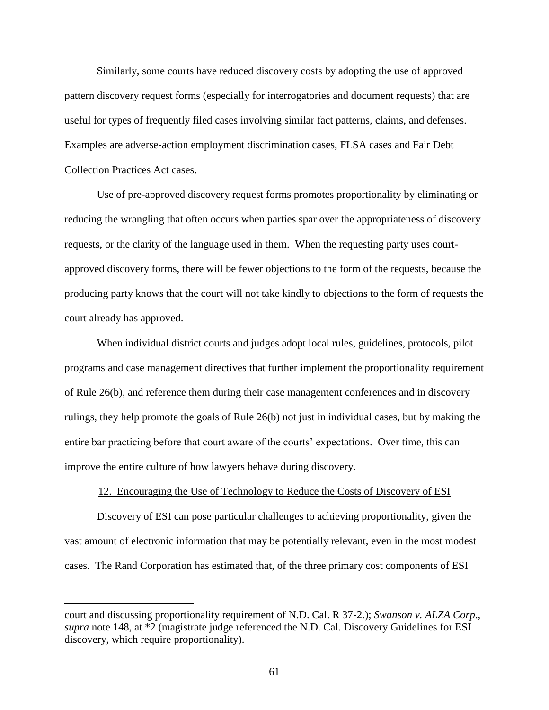Similarly, some courts have reduced discovery costs by adopting the use of approved pattern discovery request forms (especially for interrogatories and document requests) that are useful for types of frequently filed cases involving similar fact patterns, claims, and defenses. Examples are adverse-action employment discrimination cases, FLSA cases and Fair Debt Collection Practices Act cases.

Use of pre-approved discovery request forms promotes proportionality by eliminating or reducing the wrangling that often occurs when parties spar over the appropriateness of discovery requests, or the clarity of the language used in them. When the requesting party uses courtapproved discovery forms, there will be fewer objections to the form of the requests, because the producing party knows that the court will not take kindly to objections to the form of requests the court already has approved.

When individual district courts and judges adopt local rules, guidelines, protocols, pilot programs and case management directives that further implement the proportionality requirement of Rule 26(b), and reference them during their case management conferences and in discovery rulings, they help promote the goals of Rule 26(b) not just in individual cases, but by making the entire bar practicing before that court aware of the courts' expectations. Over time, this can improve the entire culture of how lawyers behave during discovery.

#### 12. Encouraging the Use of Technology to Reduce the Costs of Discovery of ESI

Discovery of ESI can pose particular challenges to achieving proportionality, given the vast amount of electronic information that may be potentially relevant, even in the most modest cases. The Rand Corporation has estimated that, of the three primary cost components of ESI

court and discussing proportionality requirement of N.D. Cal. R 37-2.); *Swanson v. ALZA Corp*., *supra* note [148,](#page-59-0) at \*2 (magistrate judge referenced the N.D. Cal. Discovery Guidelines for ESI discovery, which require proportionality).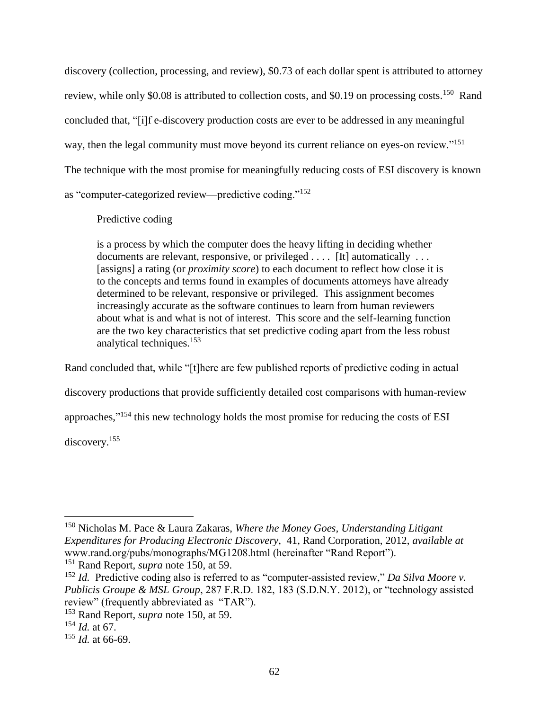discovery (collection, processing, and review), \$0.73 of each dollar spent is attributed to attorney review, while only \$0.08 is attributed to collection costs, and \$0.19 on processing costs.<sup>150</sup> Rand concluded that, "[i]f e-discovery production costs are ever to be addressed in any meaningful way, then the legal community must move beyond its current reliance on eyes-on review."<sup>151</sup> The technique with the most promise for meaningfully reducing costs of ESI discovery is known as "computer-categorized review—predictive coding."<sup>152</sup>

# <span id="page-61-1"></span><span id="page-61-0"></span>Predictive coding

is a process by which the computer does the heavy lifting in deciding whether documents are relevant, responsive, or privileged . . . . [It] automatically ... [assigns] a rating (or *proximity score*) to each document to reflect how close it is to the concepts and terms found in examples of documents attorneys have already determined to be relevant, responsive or privileged. This assignment becomes increasingly accurate as the software continues to learn from human reviewers about what is and what is not of interest. This score and the self-learning function are the two key characteristics that set predictive coding apart from the less robust analytical techniques.<sup>153</sup>

Rand concluded that, while "[t]here are few published reports of predictive coding in actual discovery productions that provide sufficiently detailed cost comparisons with human-review approaches,"<sup>154</sup> this new technology holds the most promise for reducing the costs of ESI discovery.<sup>155</sup>

<sup>150</sup> Nicholas M. Pace & Laura Zakaras, *Where the Money Goes, Understanding Litigant Expenditures for Producing Electronic Discovery*, 41, Rand Corporation, 2012, *available at* www.rand.org/pubs/monographs/MG1208.html (hereinafter "Rand Report").

<sup>151</sup> Rand Report, *supra* note [150,](#page-61-0) at 59.

<sup>152</sup> *Id.* Predictive coding also is referred to as "computer-assisted review," *Da Silva Moore v. Publicis Groupe & MSL Group*, 287 F.R.D. 182, 183 (S.D.N.Y. 2012), or "technology assisted review" (frequently abbreviated as "TAR").

<sup>153</sup> Rand Report, *supra* note [150,](#page-61-0) at 59.

<sup>154</sup> *Id.* at 67.

<sup>155</sup> *Id.* at 66-69.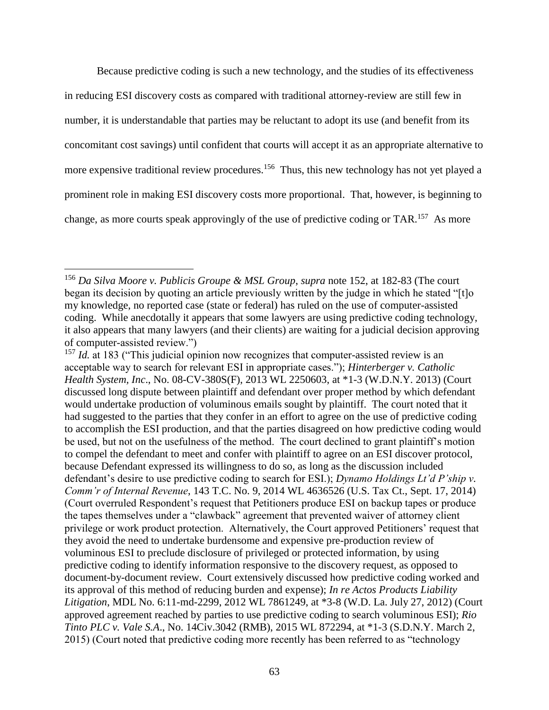Because predictive coding is such a new technology, and the studies of its effectiveness in reducing ESI discovery costs as compared with traditional attorney-review are still few in number, it is understandable that parties may be reluctant to adopt its use (and benefit from its concomitant cost savings) until confident that courts will accept it as an appropriate alternative to more expensive traditional review procedures.<sup>156</sup> Thus, this new technology has not yet played a prominent role in making ESI discovery costs more proportional. That, however, is beginning to change, as more courts speak approvingly of the use of predictive coding or TAR.<sup>157</sup> As more

<sup>156</sup> *Da Silva Moore v. Publicis Groupe & MSL Group*, *supra* note [152,](#page-61-1) at 182-83 (The court began its decision by quoting an article previously written by the judge in which he stated "[t]o my knowledge, no reported case (state or federal) has ruled on the use of computer-assisted coding. While anecdotally it appears that some lawyers are using predictive coding technology, it also appears that many lawyers (and their clients) are waiting for a judicial decision approving of computer-assisted review.")

<sup>&</sup>lt;sup>157</sup> *Id.* at 183 ("This judicial opinion now recognizes that computer-assisted review is an acceptable way to search for relevant ESI in appropriate cases."); *Hinterberger v. Catholic Health System, Inc*., No. 08-CV-380S(F), 2013 WL 2250603, at \*1-3 (W.D.N.Y. 2013) (Court discussed long dispute between plaintiff and defendant over proper method by which defendant would undertake production of voluminous emails sought by plaintiff. The court noted that it had suggested to the parties that they confer in an effort to agree on the use of predictive coding to accomplish the ESI production, and that the parties disagreed on how predictive coding would be used, but not on the usefulness of the method. The court declined to grant plaintiff's motion to compel the defendant to meet and confer with plaintiff to agree on an ESI discover protocol, because Defendant expressed its willingness to do so, as long as the discussion included defendant's desire to use predictive coding to search for ESI.); *Dynamo Holdings Lt'd P'ship v. Comm'r of Internal Revenue*, 143 T.C. No. 9, 2014 WL 4636526 (U.S. Tax Ct., Sept. 17, 2014) (Court overruled Respondent's request that Petitioners produce ESI on backup tapes or produce the tapes themselves under a "clawback" agreement that prevented waiver of attorney client privilege or work product protection. Alternatively, the Court approved Petitioners' request that they avoid the need to undertake burdensome and expensive pre-production review of voluminous ESI to preclude disclosure of privileged or protected information, by using predictive coding to identify information responsive to the discovery request, as opposed to document-by-document review. Court extensively discussed how predictive coding worked and its approval of this method of reducing burden and expense); *In re Actos Products Liability Litigation*, MDL No. 6:11-md-2299, 2012 WL 7861249, at \*3-8 (W.D. La. July 27, 2012) (Court approved agreement reached by parties to use predictive coding to search voluminous ESI); *Rio Tinto PLC v. Vale S.A*., No. 14Civ.3042 (RMB), 2015 WL 872294, at \*1-3 (S.D.N.Y. March 2, 2015) (Court noted that predictive coding more recently has been referred to as "technology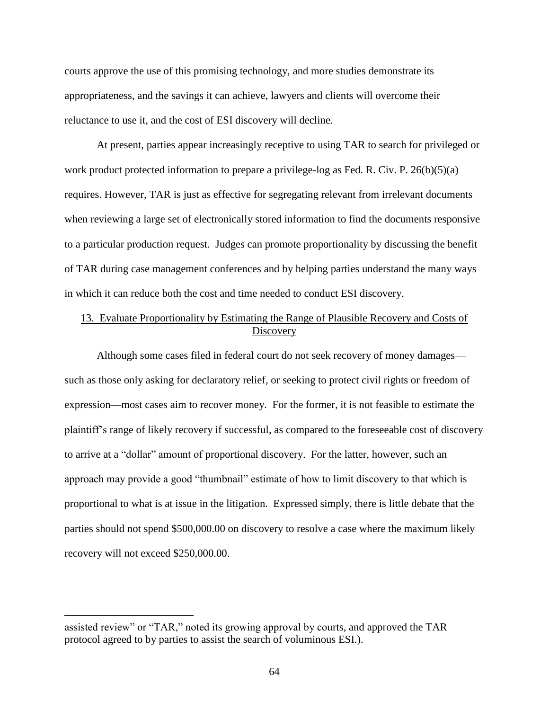courts approve the use of this promising technology, and more studies demonstrate its appropriateness, and the savings it can achieve, lawyers and clients will overcome their reluctance to use it, and the cost of ESI discovery will decline.

At present, parties appear increasingly receptive to using TAR to search for privileged or work product protected information to prepare a privilege-log as Fed. R. Civ. P. 26(b)(5)(a) requires. However, TAR is just as effective for segregating relevant from irrelevant documents when reviewing a large set of electronically stored information to find the documents responsive to a particular production request. Judges can promote proportionality by discussing the benefit of TAR during case management conferences and by helping parties understand the many ways in which it can reduce both the cost and time needed to conduct ESI discovery.

## 13. Evaluate Proportionality by Estimating the Range of Plausible Recovery and Costs of **Discovery**

Although some cases filed in federal court do not seek recovery of money damages such as those only asking for declaratory relief, or seeking to protect civil rights or freedom of expression—most cases aim to recover money. For the former, it is not feasible to estimate the plaintiff's range of likely recovery if successful, as compared to the foreseeable cost of discovery to arrive at a "dollar" amount of proportional discovery. For the latter, however, such an approach may provide a good "thumbnail" estimate of how to limit discovery to that which is proportional to what is at issue in the litigation. Expressed simply, there is little debate that the parties should not spend \$500,000.00 on discovery to resolve a case where the maximum likely recovery will not exceed \$250,000.00.

assisted review" or "TAR," noted its growing approval by courts, and approved the TAR protocol agreed to by parties to assist the search of voluminous ESI.).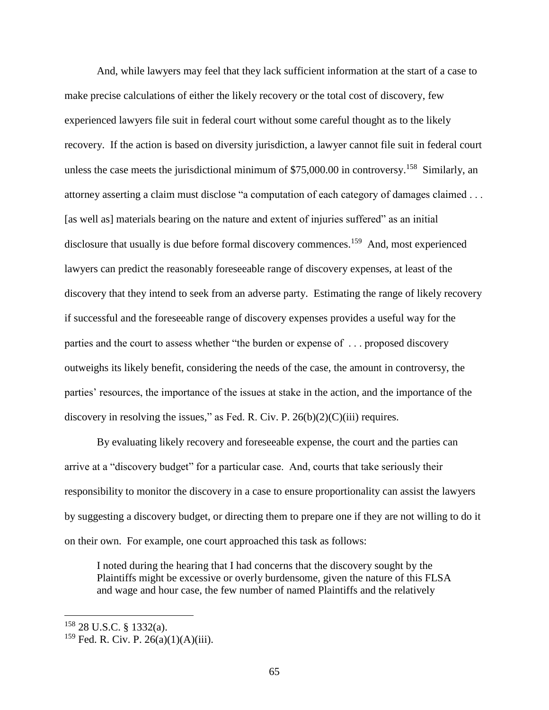And, while lawyers may feel that they lack sufficient information at the start of a case to make precise calculations of either the likely recovery or the total cost of discovery, few experienced lawyers file suit in federal court without some careful thought as to the likely recovery. If the action is based on diversity jurisdiction, a lawyer cannot file suit in federal court unless the case meets the jurisdictional minimum of  $$75,000.00$  in controversy.<sup>158</sup> Similarly, an attorney asserting a claim must disclose "a computation of each category of damages claimed . . . [as well as] materials bearing on the nature and extent of injuries suffered" as an initial disclosure that usually is due before formal discovery commences.<sup>159</sup> And, most experienced lawyers can predict the reasonably foreseeable range of discovery expenses, at least of the discovery that they intend to seek from an adverse party. Estimating the range of likely recovery if successful and the foreseeable range of discovery expenses provides a useful way for the parties and the court to assess whether "the burden or expense of . . . proposed discovery outweighs its likely benefit, considering the needs of the case, the amount in controversy, the parties' resources, the importance of the issues at stake in the action, and the importance of the discovery in resolving the issues," as Fed. R. Civ. P.  $26(b)(2)(C)(iii)$  requires.

By evaluating likely recovery and foreseeable expense, the court and the parties can arrive at a "discovery budget" for a particular case. And, courts that take seriously their responsibility to monitor the discovery in a case to ensure proportionality can assist the lawyers by suggesting a discovery budget, or directing them to prepare one if they are not willing to do it on their own. For example, one court approached this task as follows:

I noted during the hearing that I had concerns that the discovery sought by the Plaintiffs might be excessive or overly burdensome, given the nature of this FLSA and wage and hour case, the few number of named Plaintiffs and the relatively

<sup>158</sup> 28 U.S.C. § 1332(a).

 $159$  Fed. R. Civ. P. 26(a)(1)(A)(iii).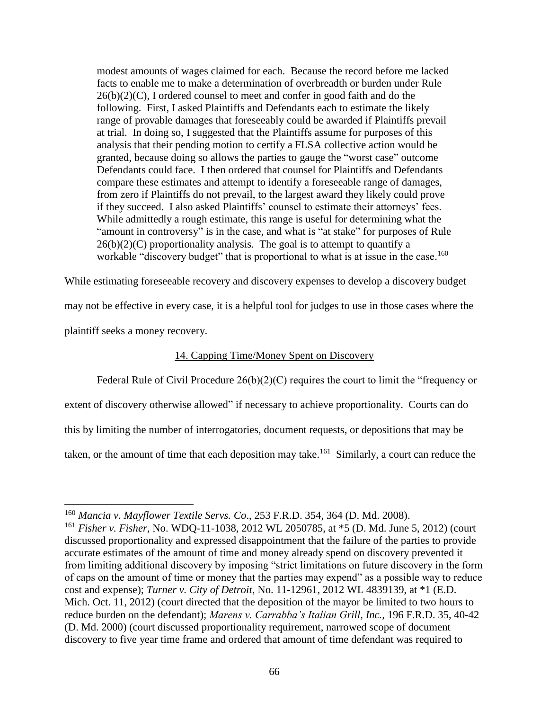modest amounts of wages claimed for each. Because the record before me lacked facts to enable me to make a determination of overbreadth or burden under Rule  $26(b)(2)(C)$ , I ordered counsel to meet and confer in good faith and do the following. First, I asked Plaintiffs and Defendants each to estimate the likely range of provable damages that foreseeably could be awarded if Plaintiffs prevail at trial. In doing so, I suggested that the Plaintiffs assume for purposes of this analysis that their pending motion to certify a FLSA collective action would be granted, because doing so allows the parties to gauge the "worst case" outcome Defendants could face. I then ordered that counsel for Plaintiffs and Defendants compare these estimates and attempt to identify a foreseeable range of damages, from zero if Plaintiffs do not prevail, to the largest award they likely could prove if they succeed. I also asked Plaintiffs' counsel to estimate their attorneys' fees. While admittedly a rough estimate, this range is useful for determining what the "amount in controversy" is in the case, and what is "at stake" for purposes of Rule  $26(b)(2)(C)$  proportionality analysis. The goal is to attempt to quantify a workable "discovery budget" that is proportional to what is at issue in the case.<sup>160</sup>

While estimating foreseeable recovery and discovery expenses to develop a discovery budget may not be effective in every case, it is a helpful tool for judges to use in those cases where the plaintiff seeks a money recovery.

## <span id="page-65-0"></span>14. Capping Time/Money Spent on Discovery

Federal Rule of Civil Procedure 26(b)(2)(C) requires the court to limit the "frequency or extent of discovery otherwise allowed" if necessary to achieve proportionality. Courts can do this by limiting the number of interrogatories, document requests, or depositions that may be taken, or the amount of time that each deposition may take.<sup>161</sup> Similarly, a court can reduce the

<sup>160</sup> *Mancia v. Mayflower Textile Servs. Co*., 253 F.R.D. 354, 364 (D. Md. 2008).

<sup>161</sup> *Fisher v. Fisher*, No. WDQ-11-1038, 2012 WL 2050785, at \*5 (D. Md. June 5, 2012) (court discussed proportionality and expressed disappointment that the failure of the parties to provide accurate estimates of the amount of time and money already spend on discovery prevented it from limiting additional discovery by imposing "strict limitations on future discovery in the form of caps on the amount of time or money that the parties may expend" as a possible way to reduce cost and expense); *Turner v. City of Detroit*, No. 11-12961, 2012 WL 4839139, at \*1 (E.D. Mich. Oct. 11, 2012) (court directed that the deposition of the mayor be limited to two hours to reduce burden on the defendant); *Marens v. Carrabba's Italian Grill, Inc.,* 196 F.R.D. 35, 40-42 (D. Md. 2000) (court discussed proportionality requirement, narrowed scope of document discovery to five year time frame and ordered that amount of time defendant was required to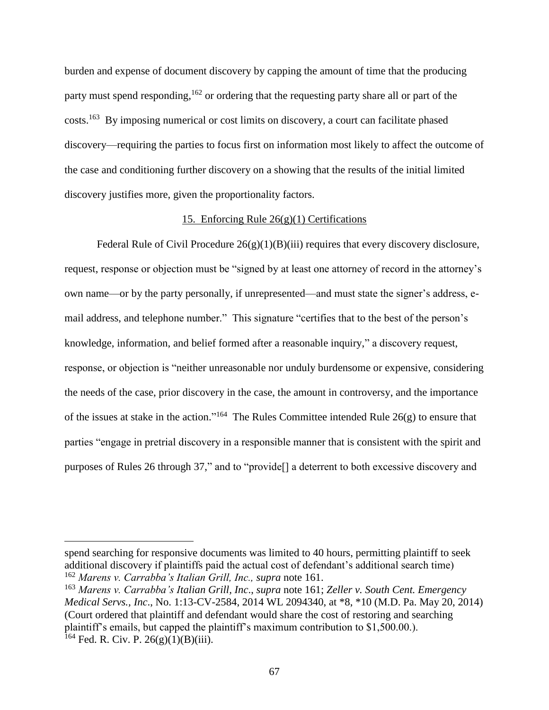burden and expense of document discovery by capping the amount of time that the producing party must spend responding, <sup>162</sup> or ordering that the requesting party share all or part of the costs.<sup>163</sup> By imposing numerical or cost limits on discovery, a court can facilitate phased discovery—requiring the parties to focus first on information most likely to affect the outcome of the case and conditioning further discovery on a showing that the results of the initial limited discovery justifies more, given the proportionality factors.

### 15. Enforcing Rule 26(g)(1) Certifications

Federal Rule of Civil Procedure  $26(g)(1)(B)(iii)$  requires that every discovery disclosure, request, response or objection must be "signed by at least one attorney of record in the attorney's own name—or by the party personally, if unrepresented—and must state the signer's address, email address, and telephone number." This signature "certifies that to the best of the person's knowledge, information, and belief formed after a reasonable inquiry," a discovery request, response, or objection is "neither unreasonable nor unduly burdensome or expensive, considering the needs of the case, prior discovery in the case, the amount in controversy, and the importance of the issues at stake in the action."<sup>164</sup> The Rules Committee intended Rule  $26(g)$  to ensure that parties "engage in pretrial discovery in a responsible manner that is consistent with the spirit and purposes of Rules 26 through 37," and to "provide[] a deterrent to both excessive discovery and

spend searching for responsive documents was limited to 40 hours, permitting plaintiff to seek additional discovery if plaintiffs paid the actual cost of defendant's additional search time) <sup>162</sup> *Marens v. Carrabba's Italian Grill, Inc., supra* not[e 161.](#page-65-0)

<sup>163</sup> *Marens v. Carrabba's Italian Grill, Inc*., *supra* not[e 161;](#page-65-0) *Zeller v. South Cent. Emergency Medical Servs., Inc*., No. 1:13-CV-2584, 2014 WL 2094340, at \*8, \*10 (M.D. Pa. May 20, 2014) (Court ordered that plaintiff and defendant would share the cost of restoring and searching plaintiff's emails, but capped the plaintiff's maximum contribution to \$1,500.00.).  $^{164}$  Fed. R. Civ. P. 26(g)(1)(B)(iii).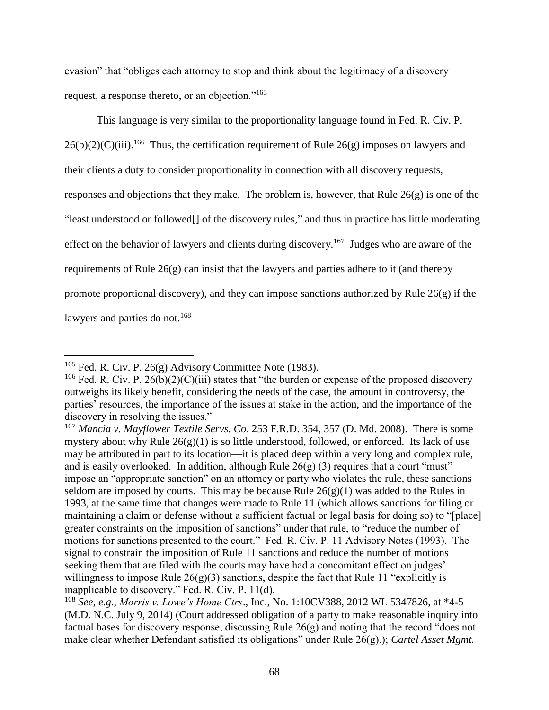evasion" that "obliges each attorney to stop and think about the legitimacy of a discovery request, a response thereto, or an objection."<sup>165</sup>

This language is very similar to the proportionality language found in Fed. R. Civ. P.  $26(b)(2)(C)(iii)$ .<sup>166</sup> Thus, the certification requirement of Rule  $26(g)$  imposes on lawyers and their clients a duty to consider proportionality in connection with all discovery requests, responses and objections that they make. The problem is, however, that Rule 26(g) is one of the "least understood or followed[] of the discovery rules," and thus in practice has little moderating effect on the behavior of lawyers and clients during discovery.<sup>167</sup> Judges who are aware of the requirements of Rule  $26(g)$  can insist that the lawyers and parties adhere to it (and thereby promote proportional discovery), and they can impose sanctions authorized by Rule 26(g) if the lawyers and parties do not.<sup>168</sup>

<span id="page-67-0"></span><sup>&</sup>lt;sup>165</sup> Fed. R. Civ. P. 26(g) Advisory Committee Note (1983).

<sup>&</sup>lt;sup>166</sup> Fed. R. Civ. P. 26(b)(2)(C)(iii) states that "the burden or expense of the proposed discovery outweighs its likely benefit, considering the needs of the case, the amount in controversy, the parties' resources, the importance of the issues at stake in the action, and the importance of the discovery in resolving the issues."

<sup>167</sup> *Mancia v. Mayflower Textile Servs. Co*. 253 F.R.D. 354, 357 (D. Md. 2008). There is some mystery about why Rule  $26(g)(1)$  is so little understood, followed, or enforced. Its lack of use may be attributed in part to its location—it is placed deep within a very long and complex rule, and is easily overlooked. In addition, although Rule  $26(g)$  (3) requires that a court "must" impose an "appropriate sanction" on an attorney or party who violates the rule, these sanctions seldom are imposed by courts. This may be because Rule  $26(g)(1)$  was added to the Rules in 1993, at the same time that changes were made to Rule 11 (which allows sanctions for filing or maintaining a claim or defense without a sufficient factual or legal basis for doing so) to "[place] greater constraints on the imposition of sanctions" under that rule, to "reduce the number of motions for sanctions presented to the court." Fed. R. Civ. P. 11 Advisory Notes (1993). The signal to constrain the imposition of Rule 11 sanctions and reduce the number of motions seeking them that are filed with the courts may have had a concomitant effect on judges' willingness to impose Rule  $26(g)(3)$  sanctions, despite the fact that Rule 11 "explicitly is inapplicable to discovery." Fed. R. Civ. P. 11(d).

<sup>168</sup> *See, e.g*., *Morris v. Lowe's Home Ctrs*., Inc., No. 1:10CV388, 2012 WL 5347826, at \*4-5 (M.D. N.C. July 9, 2014) (Court addressed obligation of a party to make reasonable inquiry into factual bases for discovery response, discussing Rule 26(g) and noting that the record "does not make clear whether Defendant satisfied its obligations" under Rule 26(g).); *Cartel Asset Mgmt.*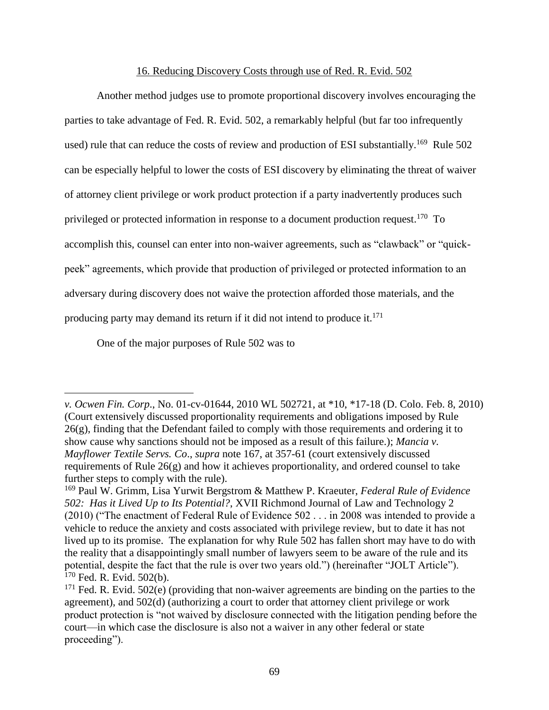#### <span id="page-68-0"></span>16. Reducing Discovery Costs through use of Red. R. Evid. 502

Another method judges use to promote proportional discovery involves encouraging the parties to take advantage of Fed. R. Evid. 502, a remarkably helpful (but far too infrequently used) rule that can reduce the costs of review and production of ESI substantially.<sup>169</sup> Rule 502 can be especially helpful to lower the costs of ESI discovery by eliminating the threat of waiver of attorney client privilege or work product protection if a party inadvertently produces such privileged or protected information in response to a document production request.<sup>170</sup> To accomplish this, counsel can enter into non-waiver agreements, such as "clawback" or "quickpeek" agreements, which provide that production of privileged or protected information to an adversary during discovery does not waive the protection afforded those materials, and the producing party may demand its return if it did not intend to produce it.<sup>171</sup>

One of the major purposes of Rule 502 was to

*v. Ocwen Fin. Corp*., No. 01-cv-01644, 2010 WL 502721, at \*10, \*17-18 (D. Colo. Feb. 8, 2010) (Court extensively discussed proportionality requirements and obligations imposed by Rule  $26(g)$ , finding that the Defendant failed to comply with those requirements and ordering it to show cause why sanctions should not be imposed as a result of this failure.); *Mancia v. Mayflower Textile Servs. Co*., *supra* note [167,](#page-67-0) at 357-61 (court extensively discussed requirements of Rule 26(g) and how it achieves proportionality, and ordered counsel to take further steps to comply with the rule).

<sup>169</sup> Paul W. Grimm, Lisa Yurwit Bergstrom & Matthew P. Kraeuter, *Federal Rule of Evidence 502: Has it Lived Up to Its Potential?*, XVII Richmond Journal of Law and Technology 2 (2010) ("The enactment of Federal Rule of Evidence 502 . . . in 2008 was intended to provide a vehicle to reduce the anxiety and costs associated with privilege review, but to date it has not lived up to its promise. The explanation for why Rule 502 has fallen short may have to do with the reality that a disappointingly small number of lawyers seem to be aware of the rule and its potential, despite the fact that the rule is over two years old.") (hereinafter "JOLT Article").  $170$  Fed. R. Evid. 502(b).

 $171$  Fed. R. Evid. 502(e) (providing that non-waiver agreements are binding on the parties to the agreement), and 502(d) (authorizing a court to order that attorney client privilege or work product protection is "not waived by disclosure connected with the litigation pending before the court—in which case the disclosure is also not a waiver in any other federal or state proceeding").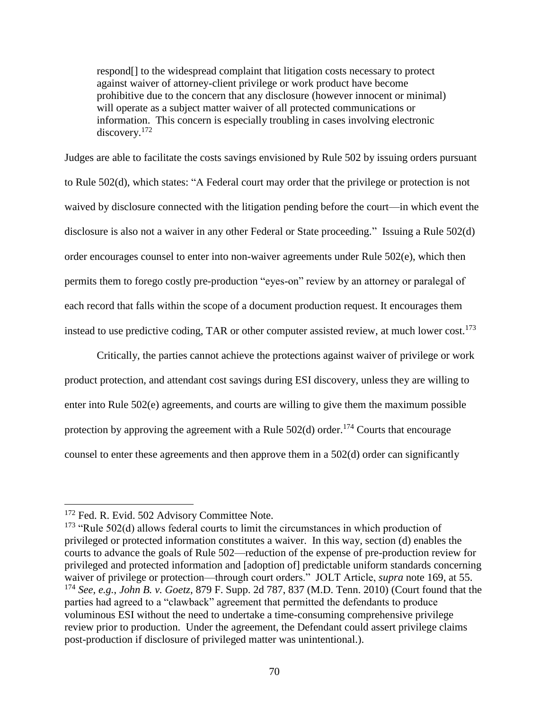respond[] to the widespread complaint that litigation costs necessary to protect against waiver of attorney-client privilege or work product have become prohibitive due to the concern that any disclosure (however innocent or minimal) will operate as a subject matter waiver of all protected communications or information. This concern is especially troubling in cases involving electronic discovery.<sup>172</sup>

Judges are able to facilitate the costs savings envisioned by Rule 502 by issuing orders pursuant to Rule 502(d), which states: "A Federal court may order that the privilege or protection is not waived by disclosure connected with the litigation pending before the court—in which event the disclosure is also not a waiver in any other Federal or State proceeding." Issuing a Rule 502(d) order encourages counsel to enter into non-waiver agreements under Rule 502(e), which then permits them to forego costly pre-production "eyes-on" review by an attorney or paralegal of each record that falls within the scope of a document production request. It encourages them instead to use predictive coding, TAR or other computer assisted review, at much lower cost.<sup>173</sup>

Critically, the parties cannot achieve the protections against waiver of privilege or work product protection, and attendant cost savings during ESI discovery, unless they are willing to enter into Rule 502(e) agreements, and courts are willing to give them the maximum possible protection by approving the agreement with a Rule  $502(d)$  order.<sup>174</sup> Courts that encourage counsel to enter these agreements and then approve them in a 502(d) order can significantly

<sup>&</sup>lt;sup>172</sup> Fed. R. Evid. 502 Advisory Committee Note.

<sup>&</sup>lt;sup>173</sup> "Rule 502(d) allows federal courts to limit the circumstances in which production of privileged or protected information constitutes a waiver. In this way, section (d) enables the courts to advance the goals of Rule 502—reduction of the expense of pre-production review for privileged and protected information and [adoption of] predictable uniform standards concerning waiver of privilege or protection—through court orders." JOLT Article, *supra* note [169,](#page-68-0) at 55. <sup>174</sup> *See, e.g.*, *John B. v. Goetz*, 879 F. Supp. 2d 787, 837 (M.D. Tenn. 2010) (Court found that the parties had agreed to a "clawback" agreement that permitted the defendants to produce voluminous ESI without the need to undertake a time-consuming comprehensive privilege review prior to production. Under the agreement, the Defendant could assert privilege claims post-production if disclosure of privileged matter was unintentional.).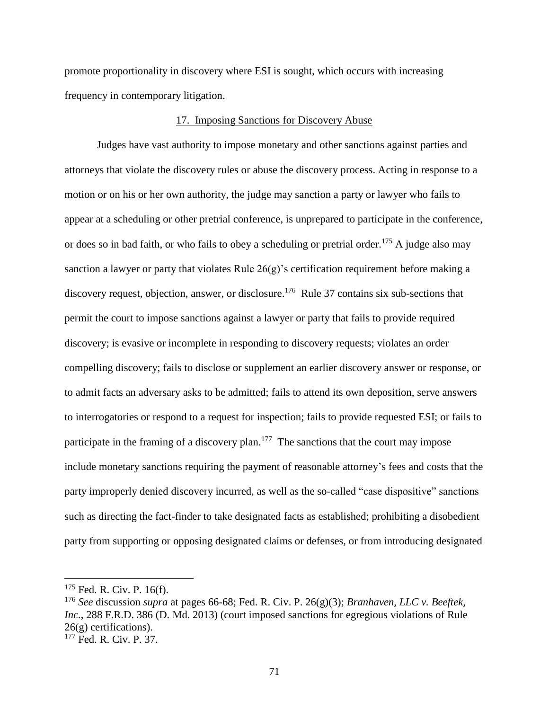promote proportionality in discovery where ESI is sought, which occurs with increasing frequency in contemporary litigation.

#### 17. Imposing Sanctions for Discovery Abuse

Judges have vast authority to impose monetary and other sanctions against parties and attorneys that violate the discovery rules or abuse the discovery process. Acting in response to a motion or on his or her own authority, the judge may sanction a party or lawyer who fails to appear at a scheduling or other pretrial conference, is unprepared to participate in the conference, or does so in bad faith, or who fails to obey a scheduling or pretrial order.<sup>175</sup> A judge also may sanction a lawyer or party that violates Rule 26(g)'s certification requirement before making a discovery request, objection, answer, or disclosure.<sup>176</sup> Rule 37 contains six sub-sections that permit the court to impose sanctions against a lawyer or party that fails to provide required discovery; is evasive or incomplete in responding to discovery requests; violates an order compelling discovery; fails to disclose or supplement an earlier discovery answer or response, or to admit facts an adversary asks to be admitted; fails to attend its own deposition, serve answers to interrogatories or respond to a request for inspection; fails to provide requested ESI; or fails to participate in the framing of a discovery plan.<sup>177</sup> The sanctions that the court may impose include monetary sanctions requiring the payment of reasonable attorney's fees and costs that the party improperly denied discovery incurred, as well as the so-called "case dispositive" sanctions such as directing the fact-finder to take designated facts as established; prohibiting a disobedient party from supporting or opposing designated claims or defenses, or from introducing designated

 $175$  Fed. R. Civ. P. 16(f).

<sup>176</sup> *See* discussion *supra* at pages 66-68; Fed. R. Civ. P. 26(g)(3); *Branhaven, LLC v. Beeftek, Inc.*, 288 F.R.D. 386 (D. Md. 2013) (court imposed sanctions for egregious violations of Rule  $26(g)$  certifications).

<sup>177</sup> Fed. R. Civ. P. 37.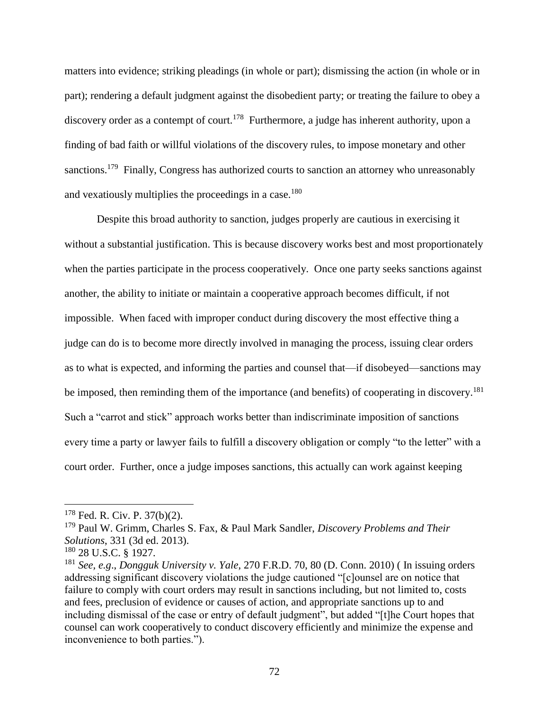matters into evidence; striking pleadings (in whole or part); dismissing the action (in whole or in part); rendering a default judgment against the disobedient party; or treating the failure to obey a discovery order as a contempt of court.<sup>178</sup> Furthermore, a judge has inherent authority, upon a finding of bad faith or willful violations of the discovery rules, to impose monetary and other sanctions.<sup>179</sup> Finally, Congress has authorized courts to sanction an attorney who unreasonably and vexatiously multiplies the proceedings in a case.<sup>180</sup>

Despite this broad authority to sanction, judges properly are cautious in exercising it without a substantial justification. This is because discovery works best and most proportionately when the parties participate in the process cooperatively. Once one party seeks sanctions against another, the ability to initiate or maintain a cooperative approach becomes difficult, if not impossible. When faced with improper conduct during discovery the most effective thing a judge can do is to become more directly involved in managing the process, issuing clear orders as to what is expected, and informing the parties and counsel that—if disobeyed—sanctions may be imposed, then reminding them of the importance (and benefits) of cooperating in discovery.<sup>181</sup> Such a "carrot and stick" approach works better than indiscriminate imposition of sanctions every time a party or lawyer fails to fulfill a discovery obligation or comply "to the letter" with a court order. Further, once a judge imposes sanctions, this actually can work against keeping

 $178$  Fed. R. Civ. P. 37(b)(2).

<sup>179</sup> Paul W. Grimm, Charles S. Fax, & Paul Mark Sandler, *Discovery Problems and Their Solutions*, 331 (3d ed. 2013).

<sup>180</sup> 28 U.S.C. § 1927.

<sup>181</sup> *See, e.g*., *Dongguk University v. Yale*, 270 F.R.D. 70, 80 (D. Conn. 2010) ( In issuing orders addressing significant discovery violations the judge cautioned "[c]ounsel are on notice that failure to comply with court orders may result in sanctions including, but not limited to, costs and fees, preclusion of evidence or causes of action, and appropriate sanctions up to and including dismissal of the case or entry of default judgment", but added "[t]he Court hopes that counsel can work cooperatively to conduct discovery efficiently and minimize the expense and inconvenience to both parties.").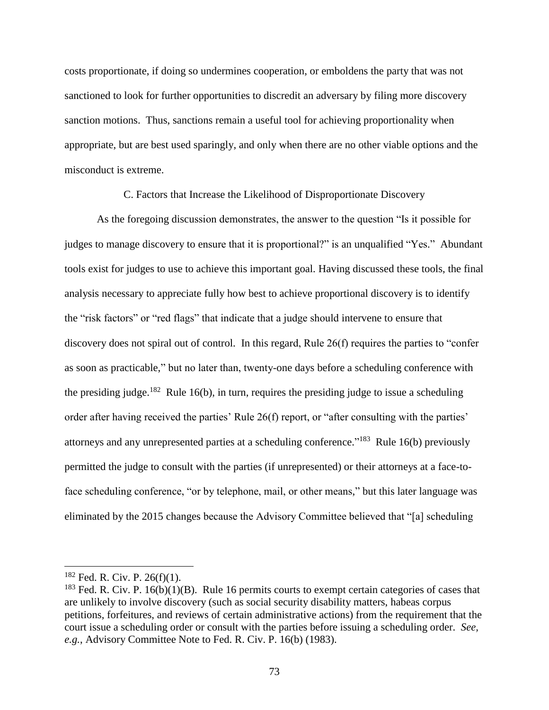costs proportionate, if doing so undermines cooperation, or emboldens the party that was not sanctioned to look for further opportunities to discredit an adversary by filing more discovery sanction motions. Thus, sanctions remain a useful tool for achieving proportionality when appropriate, but are best used sparingly, and only when there are no other viable options and the misconduct is extreme.

C. Factors that Increase the Likelihood of Disproportionate Discovery

As the foregoing discussion demonstrates, the answer to the question "Is it possible for judges to manage discovery to ensure that it is proportional?" is an unqualified "Yes." Abundant tools exist for judges to use to achieve this important goal. Having discussed these tools, the final analysis necessary to appreciate fully how best to achieve proportional discovery is to identify the "risk factors" or "red flags" that indicate that a judge should intervene to ensure that discovery does not spiral out of control. In this regard, Rule 26(f) requires the parties to "confer as soon as practicable," but no later than, twenty-one days before a scheduling conference with the presiding judge.<sup>182</sup> Rule 16(b), in turn, requires the presiding judge to issue a scheduling order after having received the parties' Rule 26(f) report, or "after consulting with the parties' attorneys and any unrepresented parties at a scheduling conference."<sup>183</sup> Rule 16(b) previously permitted the judge to consult with the parties (if unrepresented) or their attorneys at a face-toface scheduling conference, "or by telephone, mail, or other means," but this later language was eliminated by the 2015 changes because the Advisory Committee believed that "[a] scheduling

 $182$  Fed. R. Civ. P. 26(f)(1).

<sup>&</sup>lt;sup>183</sup> Fed. R. Civ. P. 16(b)(1)(B). Rule 16 permits courts to exempt certain categories of cases that are unlikely to involve discovery (such as social security disability matters, habeas corpus petitions, forfeitures, and reviews of certain administrative actions) from the requirement that the court issue a scheduling order or consult with the parties before issuing a scheduling order. *See, e.g.*, Advisory Committee Note to Fed. R. Civ. P. 16(b) (1983).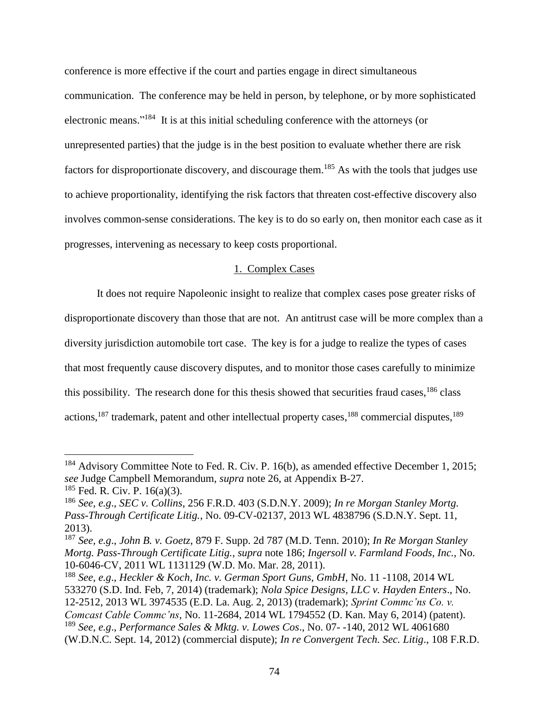conference is more effective if the court and parties engage in direct simultaneous communication. The conference may be held in person, by telephone, or by more sophisticated electronic means."<sup>184</sup> It is at this initial scheduling conference with the attorneys (or unrepresented parties) that the judge is in the best position to evaluate whether there are risk factors for disproportionate discovery, and discourage them.<sup>185</sup> As with the tools that judges use to achieve proportionality, identifying the risk factors that threaten cost-effective discovery also involves common-sense considerations. The key is to do so early on, then monitor each case as it progresses, intervening as necessary to keep costs proportional.

# <span id="page-73-0"></span>1. Complex Cases

It does not require Napoleonic insight to realize that complex cases pose greater risks of disproportionate discovery than those that are not. An antitrust case will be more complex than a diversity jurisdiction automobile tort case. The key is for a judge to realize the types of cases that most frequently cause discovery disputes, and to monitor those cases carefully to minimize this possibility. The research done for this thesis showed that securities fraud cases,  $186$  class actions, <sup>187</sup> trademark, patent and other intellectual property cases, <sup>188</sup> commercial disputes, <sup>189</sup>

 $184$  Advisory Committee Note to Fed. R. Civ. P. 16(b), as amended effective December 1, 2015; *see* Judge Campbell Memorandum, *supra* note [26,](#page-14-0) at Appendix B-27.  $185$  Fed. R. Civ. P. 16(a)(3).

<sup>186</sup> *See, e.g*., *SEC v. Collins*, 256 F.R.D. 403 (S.D.N.Y. 2009); *In re Morgan Stanley Mortg. Pass-Through Certificate Litig.*, No. 09-CV-02137, 2013 WL 4838796 (S.D.N.Y. Sept. 11, 2013).

<sup>187</sup> *See, e.g*., *John B. v. Goetz*, 879 F. Supp. 2d 787 (M.D. Tenn. 2010); *In Re Morgan Stanley Mortg. Pass-Through Certificate Litig.*, *supra* note [186;](#page-73-0) *Ingersoll v. Farmland Foods, Inc.,* No. 10-6046-CV, 2011 WL 1131129 (W.D. Mo. Mar. 28, 2011).

<sup>188</sup> *See, e.g*., *Heckler & Koch, Inc. v. German Sport Guns, GmbH*, No. 11 -1108, 2014 WL 533270 (S.D. Ind. Feb, 7, 2014) (trademark); *Nola Spice Designs, LLC v. Hayden Enters*., No. 12-2512, 2013 WL 3974535 (E.D. La. Aug. 2, 2013) (trademark); *Sprint Commc'ns Co. v. Comcast Cable Commc'ns*, No. 11-2684, 2014 WL 1794552 (D. Kan. May 6, 2014) (patent). <sup>189</sup> *See, e.g*., *Performance Sales & Mktg. v. Lowes Cos*., No. 07- -140, 2012 WL 4061680 (W.D.N.C. Sept. 14, 2012) (commercial dispute); *In re Convergent Tech. Sec. Litig*., 108 F.R.D.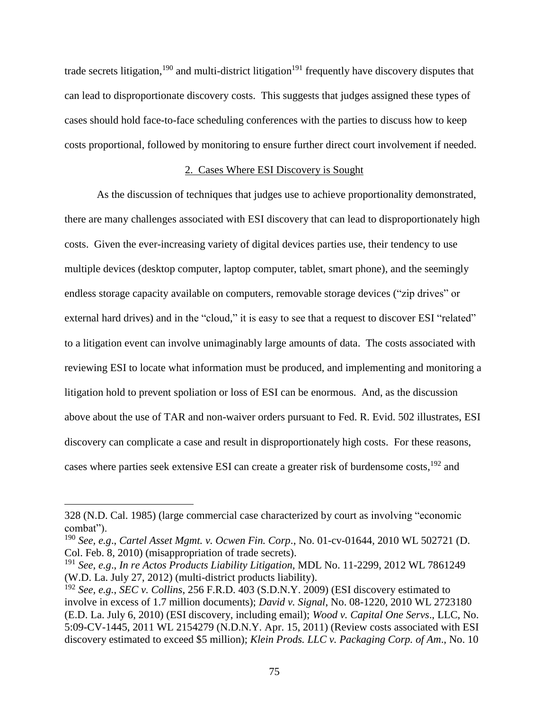trade secrets litigation,<sup>190</sup> and multi-district litigation<sup>191</sup> frequently have discovery disputes that can lead to disproportionate discovery costs. This suggests that judges assigned these types of cases should hold face-to-face scheduling conferences with the parties to discuss how to keep costs proportional, followed by monitoring to ensure further direct court involvement if needed.

# 2. Cases Where ESI Discovery is Sought

As the discussion of techniques that judges use to achieve proportionality demonstrated, there are many challenges associated with ESI discovery that can lead to disproportionately high costs. Given the ever-increasing variety of digital devices parties use, their tendency to use multiple devices (desktop computer, laptop computer, tablet, smart phone), and the seemingly endless storage capacity available on computers, removable storage devices ("zip drives" or external hard drives) and in the "cloud," it is easy to see that a request to discover ESI "related" to a litigation event can involve unimaginably large amounts of data. The costs associated with reviewing ESI to locate what information must be produced, and implementing and monitoring a litigation hold to prevent spoliation or loss of ESI can be enormous. And, as the discussion above about the use of TAR and non-waiver orders pursuant to Fed. R. Evid. 502 illustrates, ESI discovery can complicate a case and result in disproportionately high costs. For these reasons, cases where parties seek extensive ESI can create a greater risk of burdensome costs, <sup>192</sup> and

<sup>328 (</sup>N.D. Cal. 1985) (large commercial case characterized by court as involving "economic combat").

<sup>190</sup> *See, e.g*., *Cartel Asset Mgmt. v. Ocwen Fin. Corp*., No. 01-cv-01644, 2010 WL 502721 (D. Col. Feb. 8, 2010) (misappropriation of trade secrets).

<sup>191</sup> *See, e.g*., *In re Actos Products Liability Litigation,* MDL No. 11-2299, 2012 WL 7861249 (W.D. La. July 27, 2012) (multi-district products liability).

<sup>192</sup> *See, e.g.*, *SEC v. Collins*, 256 F.R.D. 403 (S.D.N.Y. 2009) (ESI discovery estimated to involve in excess of 1.7 million documents); *David v. Signal*, No. 08-1220, 2010 WL 2723180 (E.D. La. July 6, 2010) (ESI discovery, including email); *Wood v. Capital One Servs*., LLC, No. 5:09-CV-1445, 2011 WL 2154279 (N.D.N.Y. Apr. 15, 2011) (Review costs associated with ESI discovery estimated to exceed \$5 million); *Klein Prods. LLC v. Packaging Corp. of Am*., No. 10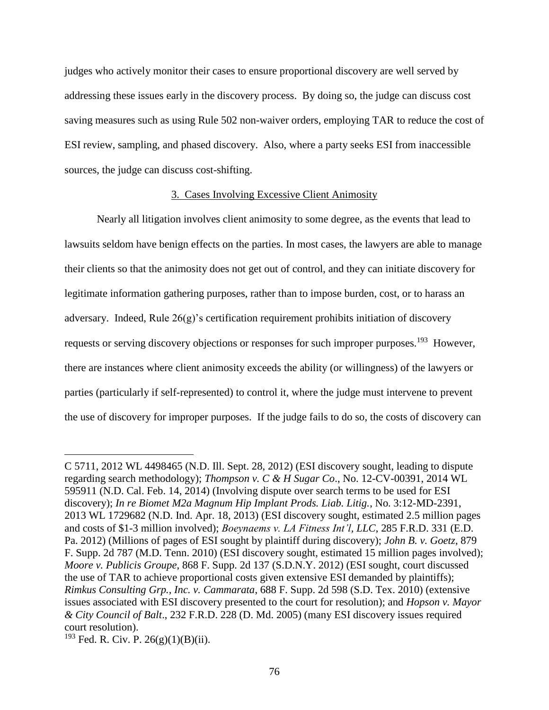judges who actively monitor their cases to ensure proportional discovery are well served by addressing these issues early in the discovery process. By doing so, the judge can discuss cost saving measures such as using Rule 502 non-waiver orders, employing TAR to reduce the cost of ESI review, sampling, and phased discovery. Also, where a party seeks ESI from inaccessible sources, the judge can discuss cost-shifting.

## 3. Cases Involving Excessive Client Animosity

Nearly all litigation involves client animosity to some degree, as the events that lead to lawsuits seldom have benign effects on the parties. In most cases, the lawyers are able to manage their clients so that the animosity does not get out of control, and they can initiate discovery for legitimate information gathering purposes, rather than to impose burden, cost, or to harass an adversary. Indeed, Rule 26(g)'s certification requirement prohibits initiation of discovery requests or serving discovery objections or responses for such improper purposes.<sup>193</sup> However, there are instances where client animosity exceeds the ability (or willingness) of the lawyers or parties (particularly if self-represented) to control it, where the judge must intervene to prevent the use of discovery for improper purposes. If the judge fails to do so, the costs of discovery can

C 5711, 2012 WL 4498465 (N.D. Ill. Sept. 28, 2012) (ESI discovery sought, leading to dispute regarding search methodology); *Thompson v. C & H Sugar Co*., No. 12-CV-00391, 2014 WL 595911 (N.D. Cal. Feb. 14, 2014) (Involving dispute over search terms to be used for ESI discovery); *In re Biomet M2a Magnum Hip Implant Prods. Liab. Litig.*, No. 3:12-MD-2391, 2013 WL 1729682 (N.D. Ind. Apr. 18, 2013) (ESI discovery sought, estimated 2.5 million pages and costs of \$1-3 million involved); *Boeynaems v. LA Fitness Int'l, LLC*, 285 F.R.D. 331 (E.D. Pa. 2012) (Millions of pages of ESI sought by plaintiff during discovery); *John B. v. Goetz*, 879 F. Supp. 2d 787 (M.D. Tenn. 2010) (ESI discovery sought, estimated 15 million pages involved); *Moore v. Publicis Groupe*, 868 F. Supp. 2d 137 (S.D.N.Y. 2012) (ESI sought, court discussed the use of TAR to achieve proportional costs given extensive ESI demanded by plaintiffs); *Rimkus Consulting Grp., Inc. v. Cammarata*, 688 F. Supp. 2d 598 (S.D. Tex. 2010) (extensive issues associated with ESI discovery presented to the court for resolution); and *Hopson v. Mayor & City Council of Balt*., 232 F.R.D. 228 (D. Md. 2005) (many ESI discovery issues required court resolution).

 $193$  Fed. R. Civ. P. 26(g)(1)(B)(ii).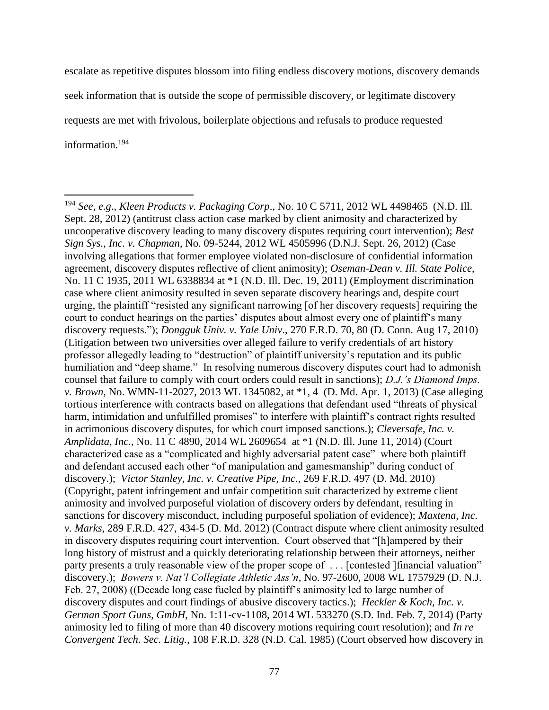escalate as repetitive disputes blossom into filing endless discovery motions, discovery demands seek information that is outside the scope of permissible discovery, or legitimate discovery requests are met with frivolous, boilerplate objections and refusals to produce requested information.<sup>194</sup>

 $\overline{a}$ <sup>194</sup> *See, e.g*., *Kleen Products v. Packaging Corp*., No. 10 C 5711, 2012 WL 4498465 (N.D. Ill. Sept. 28, 2012) (antitrust class action case marked by client animosity and characterized by uncooperative discovery leading to many discovery disputes requiring court intervention); *Best Sign Sys., Inc. v. Chapman*, No. 09-5244, 2012 WL 4505996 (D.N.J. Sept. 26, 2012) (Case involving allegations that former employee violated non-disclosure of confidential information agreement, discovery disputes reflective of client animosity); *Oseman-Dean v. Ill. State Police*, No. 11 C 1935, 2011 WL 6338834 at \*1 (N.D. Ill. Dec. 19, 2011) (Employment discrimination case where client animosity resulted in seven separate discovery hearings and, despite court urging, the plaintiff "resisted any significant narrowing [of her discovery requests] requiring the court to conduct hearings on the parties' disputes about almost every one of plaintiff's many discovery requests."); *Dongguk Univ. v. Yale Univ*., 270 F.R.D. 70, 80 (D. Conn. Aug 17, 2010) (Litigation between two universities over alleged failure to verify credentials of art history professor allegedly leading to "destruction" of plaintiff university's reputation and its public humiliation and "deep shame." In resolving numerous discovery disputes court had to admonish counsel that failure to comply with court orders could result in sanctions); *D.J.'s Diamond Imps. v. Brown*, No. WMN-11-2027, 2013 WL 1345082, at \*1, 4 (D. Md. Apr. 1, 2013) (Case alleging tortious interference with contracts based on allegations that defendant used "threats of physical harm, intimidation and unfulfilled promises" to interfere with plaintiff's contract rights resulted in acrimonious discovery disputes, for which court imposed sanctions.); *Cleversafe, Inc. v. Amplidata, Inc.*, No. 11 C 4890, 2014 WL 2609654 at \*1 (N.D. Ill. June 11, 2014) (Court characterized case as a "complicated and highly adversarial patent case" where both plaintiff and defendant accused each other "of manipulation and gamesmanship" during conduct of discovery.); *Victor Stanley, Inc. v. Creative Pipe, Inc*., 269 F.R.D. 497 (D. Md. 2010) (Copyright, patent infringement and unfair competition suit characterized by extreme client animosity and involved purposeful violation of discovery orders by defendant, resulting in sanctions for discovery misconduct, including purposeful spoliation of evidence); *Maxtena, Inc. v. Marks*, 289 F.R.D. 427, 434-5 (D. Md. 2012) (Contract dispute where client animosity resulted in discovery disputes requiring court intervention. Court observed that "[h]ampered by their long history of mistrust and a quickly deteriorating relationship between their attorneys, neither party presents a truly reasonable view of the proper scope of . . . [contested ]financial valuation" discovery.); *Bowers v. Nat'l Collegiate Athletic Ass'n*, No. 97-2600, 2008 WL 1757929 (D. N.J. Feb. 27, 2008) ((Decade long case fueled by plaintiff's animosity led to large number of discovery disputes and court findings of abusive discovery tactics.); *Heckler & Koch, Inc. v. German Sport Guns, GmbH*, No. 1:11-cv-1108, 2014 WL 533270 (S.D. Ind. Feb. 7, 2014) (Party animosity led to filing of more than 40 discovery motions requiring court resolution); and *In re Convergent Tech. Sec. Litig.*, 108 F.R.D. 328 (N.D. Cal. 1985) (Court observed how discovery in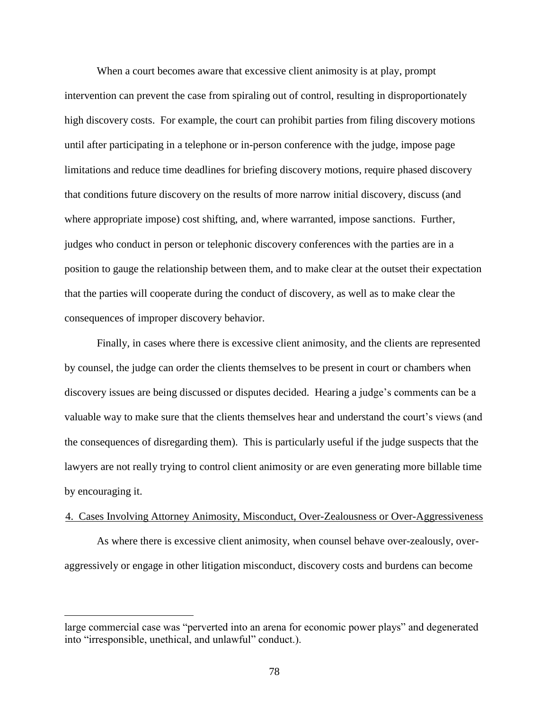When a court becomes aware that excessive client animosity is at play, prompt intervention can prevent the case from spiraling out of control, resulting in disproportionately high discovery costs. For example, the court can prohibit parties from filing discovery motions until after participating in a telephone or in-person conference with the judge, impose page limitations and reduce time deadlines for briefing discovery motions, require phased discovery that conditions future discovery on the results of more narrow initial discovery, discuss (and where appropriate impose) cost shifting, and, where warranted, impose sanctions. Further, judges who conduct in person or telephonic discovery conferences with the parties are in a position to gauge the relationship between them, and to make clear at the outset their expectation that the parties will cooperate during the conduct of discovery, as well as to make clear the consequences of improper discovery behavior.

Finally, in cases where there is excessive client animosity, and the clients are represented by counsel, the judge can order the clients themselves to be present in court or chambers when discovery issues are being discussed or disputes decided. Hearing a judge's comments can be a valuable way to make sure that the clients themselves hear and understand the court's views (and the consequences of disregarding them). This is particularly useful if the judge suspects that the lawyers are not really trying to control client animosity or are even generating more billable time by encouraging it.

## 4. Cases Involving Attorney Animosity, Misconduct, Over-Zealousness or Over-Aggressiveness

As where there is excessive client animosity, when counsel behave over-zealously, overaggressively or engage in other litigation misconduct, discovery costs and burdens can become

large commercial case was "perverted into an arena for economic power plays" and degenerated into "irresponsible, unethical, and unlawful" conduct.).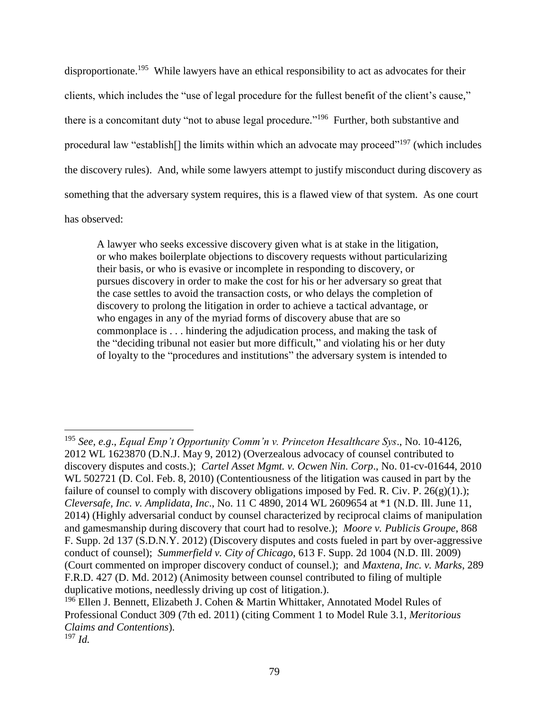disproportionate.<sup>195</sup> While lawyers have an ethical responsibility to act as advocates for their clients, which includes the "use of legal procedure for the fullest benefit of the client's cause," there is a concomitant duty "not to abuse legal procedure."<sup>196</sup> Further, both substantive and procedural law "establish[] the limits within which an advocate may proceed"<sup>197</sup> (which includes the discovery rules). And, while some lawyers attempt to justify misconduct during discovery as something that the adversary system requires, this is a flawed view of that system. As one court has observed:

A lawyer who seeks excessive discovery given what is at stake in the litigation, or who makes boilerplate objections to discovery requests without particularizing their basis, or who is evasive or incomplete in responding to discovery, or pursues discovery in order to make the cost for his or her adversary so great that the case settles to avoid the transaction costs, or who delays the completion of discovery to prolong the litigation in order to achieve a tactical advantage, or who engages in any of the myriad forms of discovery abuse that are so commonplace is . . . hindering the adjudication process, and making the task of the "deciding tribunal not easier but more difficult," and violating his or her duty of loyalty to the "procedures and institutions" the adversary system is intended to

<sup>195</sup> *See, e.g*., *Equal Emp't Opportunity Comm'n v. Princeton Hesalthcare Sys*., No. 10-4126, 2012 WL 1623870 (D.N.J. May 9, 2012) (Overzealous advocacy of counsel contributed to discovery disputes and costs.); *Cartel Asset Mgmt. v. Ocwen Nin. Corp*., No. 01-cv-01644, 2010 WL 502721 (D. Col. Feb. 8, 2010) (Contentiousness of the litigation was caused in part by the failure of counsel to comply with discovery obligations imposed by Fed. R. Civ. P.  $26(g)(1)$ .); *Cleversafe, Inc. v. Amplidata, Inc*., No. 11 C 4890, 2014 WL 2609654 at \*1 (N.D. Ill. June 11, 2014) (Highly adversarial conduct by counsel characterized by reciprocal claims of manipulation and gamesmanship during discovery that court had to resolve.); *Moore v. Publicis Groupe*, 868 F. Supp. 2d 137 (S.D.N.Y. 2012) (Discovery disputes and costs fueled in part by over-aggressive conduct of counsel); *Summerfield v. City of Chicago*, 613 F. Supp. 2d 1004 (N.D. Ill. 2009) (Court commented on improper discovery conduct of counsel.); and *Maxtena, Inc. v. Marks*, 289 F.R.D. 427 (D. Md. 2012) (Animosity between counsel contributed to filing of multiple duplicative motions, needlessly driving up cost of litigation.).

<sup>&</sup>lt;sup>196</sup> Ellen J. Bennett, Elizabeth J. Cohen & Martin Whittaker, Annotated Model Rules of Professional Conduct 309 (7th ed. 2011) (citing Comment 1 to Model Rule 3.1, *Meritorious Claims and Contentions*).

<sup>197</sup> *Id.*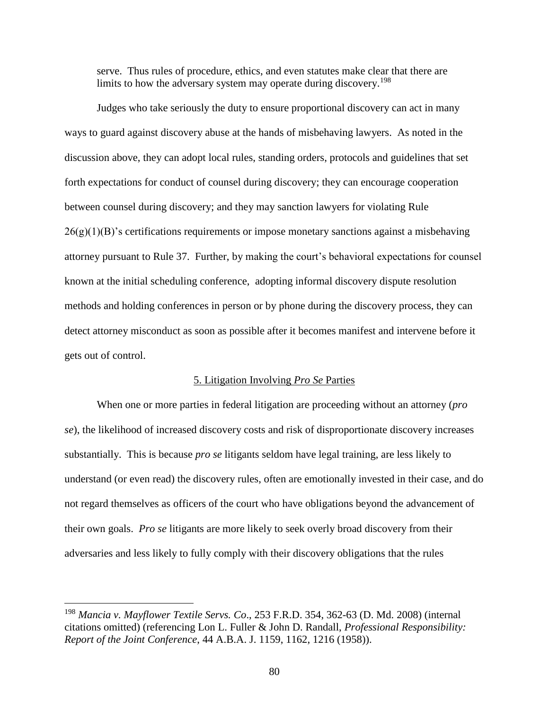serve. Thus rules of procedure, ethics, and even statutes make clear that there are limits to how the adversary system may operate during discovery.<sup>198</sup>

Judges who take seriously the duty to ensure proportional discovery can act in many ways to guard against discovery abuse at the hands of misbehaving lawyers. As noted in the discussion above, they can adopt local rules, standing orders, protocols and guidelines that set forth expectations for conduct of counsel during discovery; they can encourage cooperation between counsel during discovery; and they may sanction lawyers for violating Rule  $26(g)(1)(B)$ 's certifications requirements or impose monetary sanctions against a misbehaving attorney pursuant to Rule 37. Further, by making the court's behavioral expectations for counsel known at the initial scheduling conference, adopting informal discovery dispute resolution methods and holding conferences in person or by phone during the discovery process, they can detect attorney misconduct as soon as possible after it becomes manifest and intervene before it gets out of control.

# 5. Litigation Involving *Pro Se* Parties

When one or more parties in federal litigation are proceeding without an attorney (*pro se*), the likelihood of increased discovery costs and risk of disproportionate discovery increases substantially. This is because *pro se* litigants seldom have legal training, are less likely to understand (or even read) the discovery rules, often are emotionally invested in their case, and do not regard themselves as officers of the court who have obligations beyond the advancement of their own goals. *Pro se* litigants are more likely to seek overly broad discovery from their adversaries and less likely to fully comply with their discovery obligations that the rules

<sup>198</sup> *Mancia v. Mayflower Textile Servs. Co*., 253 F.R.D. 354, 362-63 (D. Md. 2008) (internal citations omitted) (referencing Lon L. Fuller & John D. Randall, *Professional Responsibility: Report of the Joint Conference*, 44 A.B.A. J. 1159, 1162, 1216 (1958)).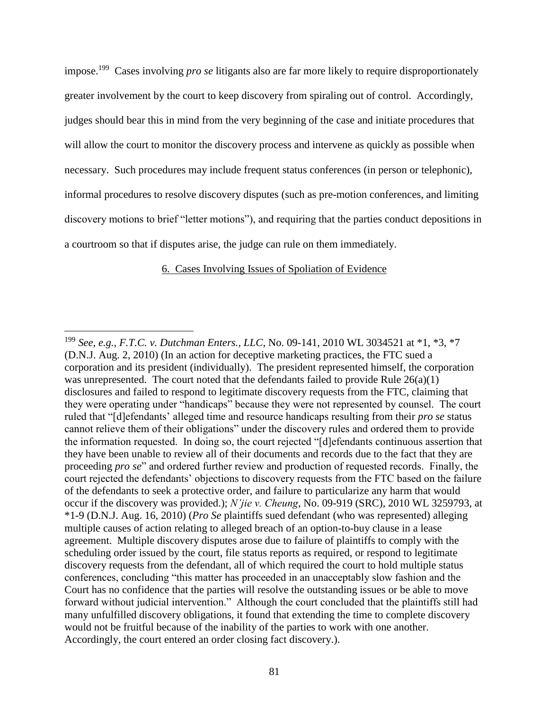impose. 199 Cases involving *pro se* litigants also are far more likely to require disproportionately greater involvement by the court to keep discovery from spiraling out of control. Accordingly, judges should bear this in mind from the very beginning of the case and initiate procedures that will allow the court to monitor the discovery process and intervene as quickly as possible when necessary. Such procedures may include frequent status conferences (in person or telephonic), informal procedures to resolve discovery disputes (such as pre-motion conferences, and limiting discovery motions to brief "letter motions"), and requiring that the parties conduct depositions in a courtroom so that if disputes arise, the judge can rule on them immediately.

# 6. Cases Involving Issues of Spoliation of Evidence

<sup>199</sup> *See, e.g.*, *F.T.C. v. Dutchman Enters., LLC*, No. 09-141, 2010 WL 3034521 at \*1, \*3, \*7 (D.N.J. Aug. 2, 2010) (In an action for deceptive marketing practices, the FTC sued a corporation and its president (individually). The president represented himself, the corporation was unrepresented. The court noted that the defendants failed to provide Rule  $26(a)(1)$ disclosures and failed to respond to legitimate discovery requests from the FTC, claiming that they were operating under "handicaps" because they were not represented by counsel. The court ruled that "[d]efendants' alleged time and resource handicaps resulting from their *pro se* status cannot relieve them of their obligations" under the discovery rules and ordered them to provide the information requested. In doing so, the court rejected "[d]efendants continuous assertion that they have been unable to review all of their documents and records due to the fact that they are proceeding *pro se*" and ordered further review and production of requested records. Finally, the court rejected the defendants' objections to discovery requests from the FTC based on the failure of the defendants to seek a protective order, and failure to particularize any harm that would occur if the discovery was provided.); *N'jie v. Cheung*, No. 09-919 (SRC), 2010 WL 3259793, at \*1-9 (D.N.J. Aug. 16, 2010) (*Pro Se* plaintiffs sued defendant (who was represented) alleging multiple causes of action relating to alleged breach of an option-to-buy clause in a lease agreement. Multiple discovery disputes arose due to failure of plaintiffs to comply with the scheduling order issued by the court, file status reports as required, or respond to legitimate discovery requests from the defendant, all of which required the court to hold multiple status conferences, concluding "this matter has proceeded in an unacceptably slow fashion and the Court has no confidence that the parties will resolve the outstanding issues or be able to move forward without judicial intervention." Although the court concluded that the plaintiffs still had many unfulfilled discovery obligations, it found that extending the time to complete discovery would not be fruitful because of the inability of the parties to work with one another. Accordingly, the court entered an order closing fact discovery.).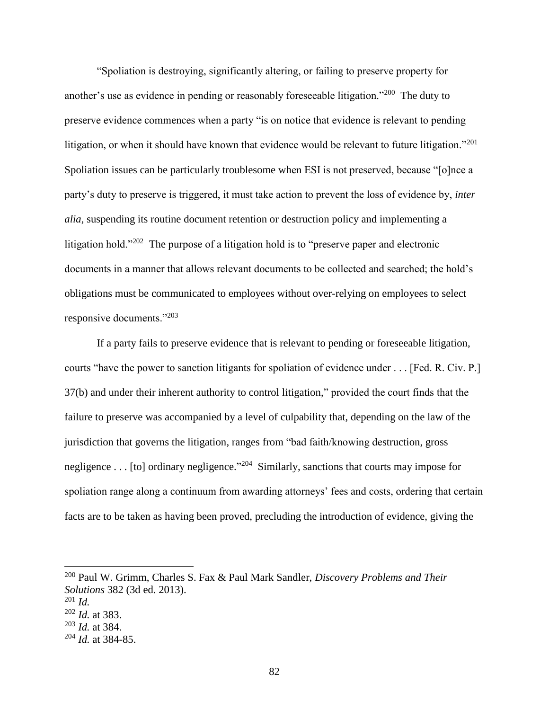"Spoliation is destroying, significantly altering, or failing to preserve property for another's use as evidence in pending or reasonably foreseeable litigation."<sup>200</sup> The duty to preserve evidence commences when a party "is on notice that evidence is relevant to pending litigation, or when it should have known that evidence would be relevant to future litigation."<sup>201</sup> Spoliation issues can be particularly troublesome when ESI is not preserved, because "[o]nce a party's duty to preserve is triggered, it must take action to prevent the loss of evidence by, *inter alia*, suspending its routine document retention or destruction policy and implementing a litigation hold."<sup>202</sup> The purpose of a litigation hold is to "preserve paper and electronic documents in a manner that allows relevant documents to be collected and searched; the hold's obligations must be communicated to employees without over-relying on employees to select responsive documents."<sup>203</sup>

If a party fails to preserve evidence that is relevant to pending or foreseeable litigation, courts "have the power to sanction litigants for spoliation of evidence under . . . [Fed. R. Civ. P.] 37(b) and under their inherent authority to control litigation," provided the court finds that the failure to preserve was accompanied by a level of culpability that, depending on the law of the jurisdiction that governs the litigation, ranges from "bad faith/knowing destruction, gross negligence . . . [to] ordinary negligence."<sup>204</sup> Similarly, sanctions that courts may impose for spoliation range along a continuum from awarding attorneys' fees and costs, ordering that certain facts are to be taken as having been proved, precluding the introduction of evidence, giving the

<sup>200</sup> Paul W. Grimm, Charles S. Fax & Paul Mark Sandler, *Discovery Problems and Their Solutions* 382 (3d ed. 2013). <sup>201</sup> *Id.*

<sup>202</sup> *Id.* at 383.

<sup>203</sup> *Id.* at 384.

<sup>204</sup> *Id.* at 384-85.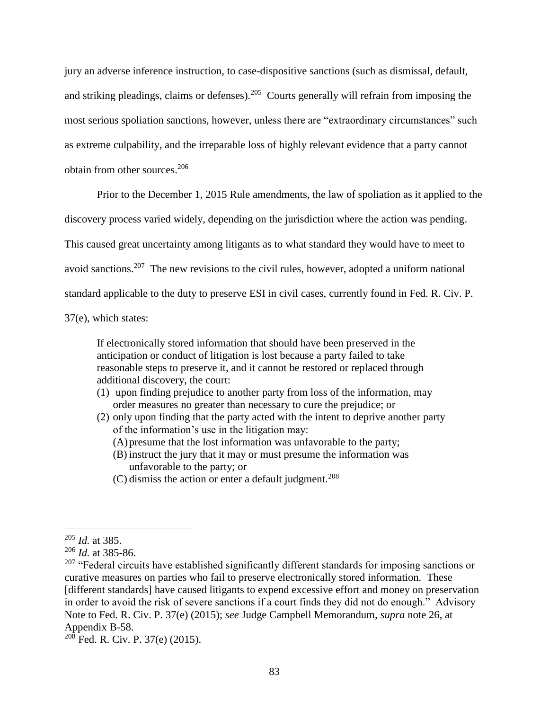jury an adverse inference instruction, to case-dispositive sanctions (such as dismissal, default, and striking pleadings, claims or defenses).<sup>205</sup> Courts generally will refrain from imposing the most serious spoliation sanctions, however, unless there are "extraordinary circumstances" such as extreme culpability, and the irreparable loss of highly relevant evidence that a party cannot obtain from other sources.<sup>206</sup>

Prior to the December 1, 2015 Rule amendments, the law of spoliation as it applied to the

discovery process varied widely, depending on the jurisdiction where the action was pending.

This caused great uncertainty among litigants as to what standard they would have to meet to

avoid sanctions.<sup>207</sup> The new revisions to the civil rules, however, adopted a uniform national

standard applicable to the duty to preserve ESI in civil cases, currently found in Fed. R. Civ. P.

37(e), which states:

If electronically stored information that should have been preserved in the anticipation or conduct of litigation is lost because a party failed to take reasonable steps to preserve it, and it cannot be restored or replaced through additional discovery, the court:

- (1) upon finding prejudice to another party from loss of the information, may order measures no greater than necessary to cure the prejudice; or
- (2) only upon finding that the party acted with the intent to deprive another party of the information's use in the litigation may:
	- (A)presume that the lost information was unfavorable to the party;
	- (B) instruct the jury that it may or must presume the information was unfavorable to the party; or
	- $(C)$  dismiss the action or enter a default judgment.<sup>208</sup>

<sup>205</sup> *Id.* at 385.

<sup>206</sup> *Id.* at 385-86.

 $207$  "Federal circuits have established significantly different standards for imposing sanctions or curative measures on parties who fail to preserve electronically stored information. These [different standards] have caused litigants to expend excessive effort and money on preservation in order to avoid the risk of severe sanctions if a court finds they did not do enough." Advisory Note to Fed. R. Civ. P. 37(e) (2015); *see* Judge Campbell Memorandum, *supra* note [26,](#page-14-0) at Appendix B-58.

 $^{208}$  Fed. R. Civ. P. 37(e) (2015).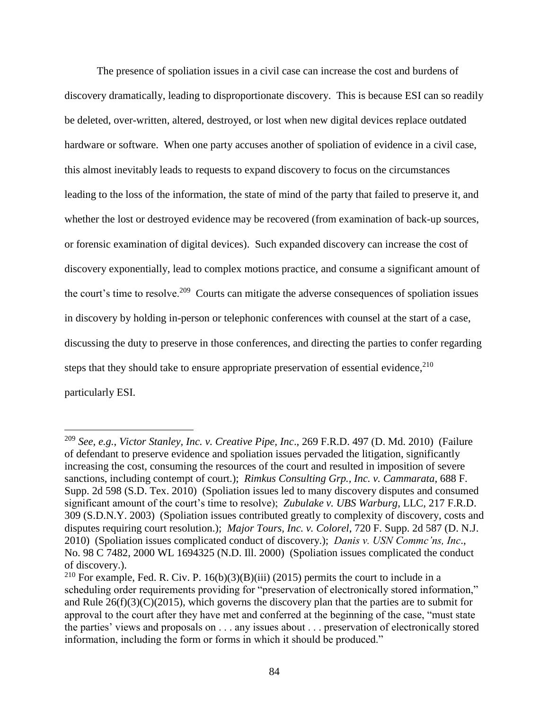The presence of spoliation issues in a civil case can increase the cost and burdens of discovery dramatically, leading to disproportionate discovery. This is because ESI can so readily be deleted, over-written, altered, destroyed, or lost when new digital devices replace outdated hardware or software. When one party accuses another of spoliation of evidence in a civil case, this almost inevitably leads to requests to expand discovery to focus on the circumstances leading to the loss of the information, the state of mind of the party that failed to preserve it, and whether the lost or destroyed evidence may be recovered (from examination of back-up sources, or forensic examination of digital devices). Such expanded discovery can increase the cost of discovery exponentially, lead to complex motions practice, and consume a significant amount of the court's time to resolve.<sup>209</sup> Courts can mitigate the adverse consequences of spoliation issues in discovery by holding in-person or telephonic conferences with counsel at the start of a case, discussing the duty to preserve in those conferences, and directing the parties to confer regarding steps that they should take to ensure appropriate preservation of essential evidence, <sup>210</sup> particularly ESI.

<sup>209</sup> *See, e.g.*, *Victor Stanley, Inc. v. Creative Pipe, Inc*., 269 F.R.D. 497 (D. Md. 2010) (Failure of defendant to preserve evidence and spoliation issues pervaded the litigation, significantly increasing the cost, consuming the resources of the court and resulted in imposition of severe sanctions, including contempt of court.); *Rimkus Consulting Grp., Inc. v. Cammarata*, 688 F. Supp. 2d 598 (S.D. Tex. 2010) (Spoliation issues led to many discovery disputes and consumed significant amount of the court's time to resolve); *Zubulake v. UBS Warburg*, LLC, 217 F.R.D. 309 (S.D.N.Y. 2003) (Spoliation issues contributed greatly to complexity of discovery, costs and disputes requiring court resolution.); *Major Tours, Inc. v. Colorel*, 720 F. Supp. 2d 587 (D. N.J. 2010) (Spoliation issues complicated conduct of discovery.); *Danis v. USN Commc'ns, Inc*., No. 98 C 7482, 2000 WL 1694325 (N.D. Ill. 2000) (Spoliation issues complicated the conduct of discovery.).

<sup>&</sup>lt;sup>210</sup> For example, Fed. R. Civ. P. 16(b)(3)(B)(iii) (2015) permits the court to include in a scheduling order requirements providing for "preservation of electronically stored information," and Rule  $26(f)(3)(C)(2015)$ , which governs the discovery plan that the parties are to submit for approval to the court after they have met and conferred at the beginning of the case, "must state the parties' views and proposals on . . . any issues about . . . preservation of electronically stored information, including the form or forms in which it should be produced."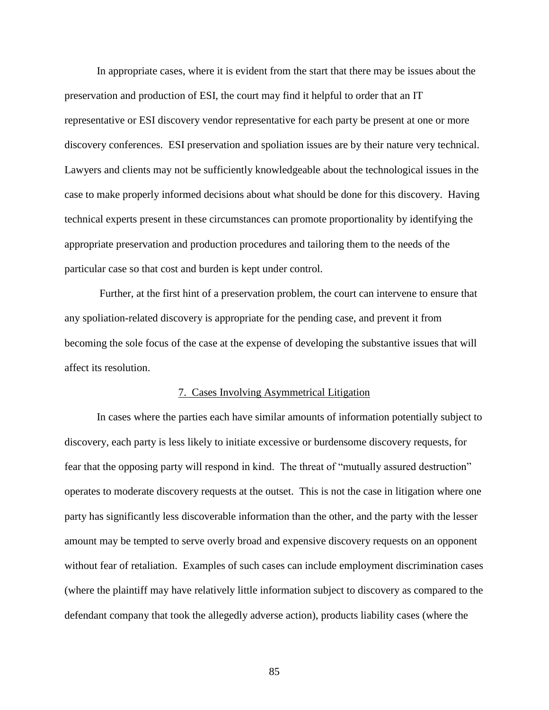In appropriate cases, where it is evident from the start that there may be issues about the preservation and production of ESI, the court may find it helpful to order that an IT representative or ESI discovery vendor representative for each party be present at one or more discovery conferences. ESI preservation and spoliation issues are by their nature very technical. Lawyers and clients may not be sufficiently knowledgeable about the technological issues in the case to make properly informed decisions about what should be done for this discovery. Having technical experts present in these circumstances can promote proportionality by identifying the appropriate preservation and production procedures and tailoring them to the needs of the particular case so that cost and burden is kept under control.

Further, at the first hint of a preservation problem, the court can intervene to ensure that any spoliation-related discovery is appropriate for the pending case, and prevent it from becoming the sole focus of the case at the expense of developing the substantive issues that will affect its resolution.

#### 7. Cases Involving Asymmetrical Litigation

In cases where the parties each have similar amounts of information potentially subject to discovery, each party is less likely to initiate excessive or burdensome discovery requests, for fear that the opposing party will respond in kind. The threat of "mutually assured destruction" operates to moderate discovery requests at the outset. This is not the case in litigation where one party has significantly less discoverable information than the other, and the party with the lesser amount may be tempted to serve overly broad and expensive discovery requests on an opponent without fear of retaliation. Examples of such cases can include employment discrimination cases (where the plaintiff may have relatively little information subject to discovery as compared to the defendant company that took the allegedly adverse action), products liability cases (where the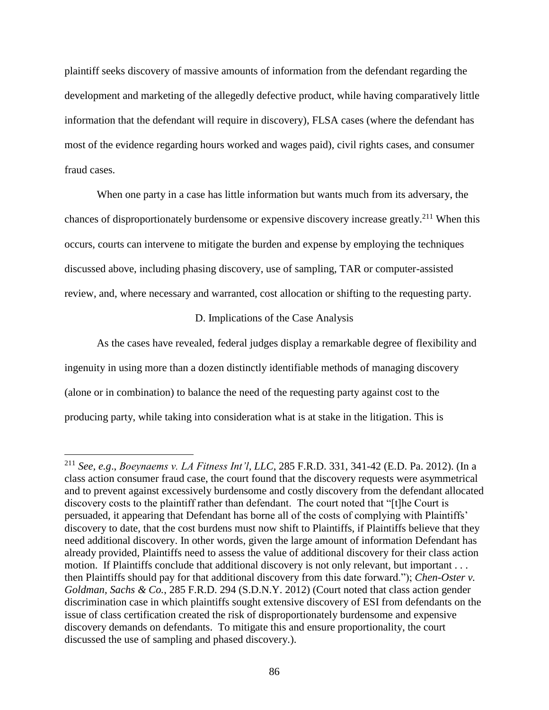plaintiff seeks discovery of massive amounts of information from the defendant regarding the development and marketing of the allegedly defective product, while having comparatively little information that the defendant will require in discovery), FLSA cases (where the defendant has most of the evidence regarding hours worked and wages paid), civil rights cases, and consumer fraud cases.

When one party in a case has little information but wants much from its adversary, the chances of disproportionately burdensome or expensive discovery increase greatly.<sup>211</sup> When this occurs, courts can intervene to mitigate the burden and expense by employing the techniques discussed above, including phasing discovery, use of sampling, TAR or computer-assisted review, and, where necessary and warranted, cost allocation or shifting to the requesting party.

## D. Implications of the Case Analysis

As the cases have revealed, federal judges display a remarkable degree of flexibility and ingenuity in using more than a dozen distinctly identifiable methods of managing discovery (alone or in combination) to balance the need of the requesting party against cost to the producing party, while taking into consideration what is at stake in the litigation. This is

<sup>211</sup> *See, e.g*., *Boeynaems v. LA Fitness Int'l, LLC*, 285 F.R.D. 331, 341-42 (E.D. Pa. 2012). (In a class action consumer fraud case, the court found that the discovery requests were asymmetrical and to prevent against excessively burdensome and costly discovery from the defendant allocated discovery costs to the plaintiff rather than defendant. The court noted that "[t]he Court is persuaded, it appearing that Defendant has borne all of the costs of complying with Plaintiffs' discovery to date, that the cost burdens must now shift to Plaintiffs, if Plaintiffs believe that they need additional discovery. In other words, given the large amount of information Defendant has already provided, Plaintiffs need to assess the value of additional discovery for their class action motion. If Plaintiffs conclude that additional discovery is not only relevant, but important . . . then Plaintiffs should pay for that additional discovery from this date forward."); *Chen-Oster v. Goldman, Sachs & Co.*, 285 F.R.D. 294 (S.D.N.Y. 2012) (Court noted that class action gender discrimination case in which plaintiffs sought extensive discovery of ESI from defendants on the issue of class certification created the risk of disproportionately burdensome and expensive discovery demands on defendants. To mitigate this and ensure proportionality, the court discussed the use of sampling and phased discovery.).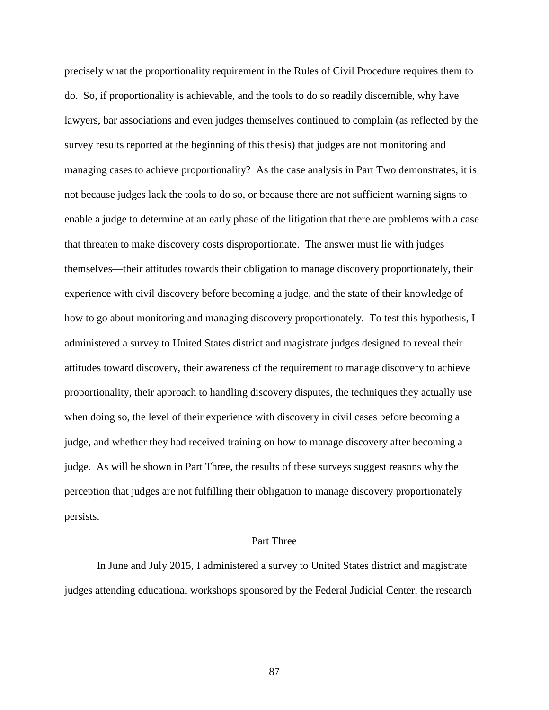precisely what the proportionality requirement in the Rules of Civil Procedure requires them to do. So, if proportionality is achievable, and the tools to do so readily discernible, why have lawyers, bar associations and even judges themselves continued to complain (as reflected by the survey results reported at the beginning of this thesis) that judges are not monitoring and managing cases to achieve proportionality? As the case analysis in Part Two demonstrates, it is not because judges lack the tools to do so, or because there are not sufficient warning signs to enable a judge to determine at an early phase of the litigation that there are problems with a case that threaten to make discovery costs disproportionate. The answer must lie with judges themselves—their attitudes towards their obligation to manage discovery proportionately, their experience with civil discovery before becoming a judge, and the state of their knowledge of how to go about monitoring and managing discovery proportionately. To test this hypothesis, I administered a survey to United States district and magistrate judges designed to reveal their attitudes toward discovery, their awareness of the requirement to manage discovery to achieve proportionality, their approach to handling discovery disputes, the techniques they actually use when doing so, the level of their experience with discovery in civil cases before becoming a judge, and whether they had received training on how to manage discovery after becoming a judge. As will be shown in Part Three, the results of these surveys suggest reasons why the perception that judges are not fulfilling their obligation to manage discovery proportionately persists.

#### Part Three

In June and July 2015, I administered a survey to United States district and magistrate judges attending educational workshops sponsored by the Federal Judicial Center, the research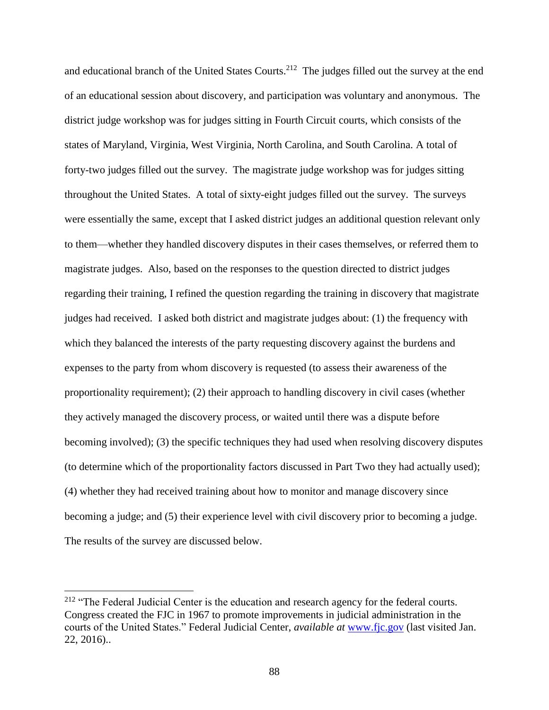and educational branch of the United States Courts.<sup>212</sup> The judges filled out the survey at the end of an educational session about discovery, and participation was voluntary and anonymous. The district judge workshop was for judges sitting in Fourth Circuit courts, which consists of the states of Maryland, Virginia, West Virginia, North Carolina, and South Carolina. A total of forty-two judges filled out the survey. The magistrate judge workshop was for judges sitting throughout the United States. A total of sixty-eight judges filled out the survey. The surveys were essentially the same, except that I asked district judges an additional question relevant only to them—whether they handled discovery disputes in their cases themselves, or referred them to magistrate judges. Also, based on the responses to the question directed to district judges regarding their training, I refined the question regarding the training in discovery that magistrate judges had received. I asked both district and magistrate judges about: (1) the frequency with which they balanced the interests of the party requesting discovery against the burdens and expenses to the party from whom discovery is requested (to assess their awareness of the proportionality requirement); (2) their approach to handling discovery in civil cases (whether they actively managed the discovery process, or waited until there was a dispute before becoming involved); (3) the specific techniques they had used when resolving discovery disputes (to determine which of the proportionality factors discussed in Part Two they had actually used); (4) whether they had received training about how to monitor and manage discovery since becoming a judge; and (5) their experience level with civil discovery prior to becoming a judge. The results of the survey are discussed below.

<sup>&</sup>lt;sup>212</sup> "The Federal Judicial Center is the education and research agency for the federal courts. Congress created the FJC in 1967 to promote improvements in judicial administration in the courts of the United States." Federal Judicial Center, *available at* [www.fjc.gov](http://www.fjc.gov/) (last visited Jan. 22, 2016)..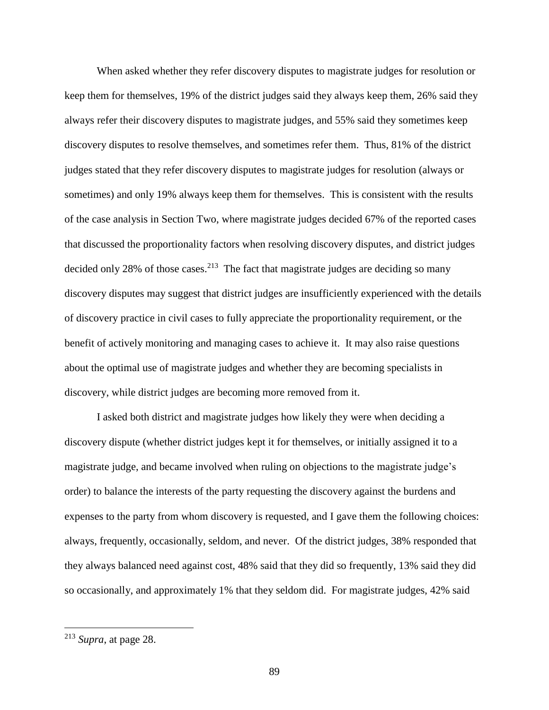When asked whether they refer discovery disputes to magistrate judges for resolution or keep them for themselves, 19% of the district judges said they always keep them, 26% said they always refer their discovery disputes to magistrate judges, and 55% said they sometimes keep discovery disputes to resolve themselves, and sometimes refer them. Thus, 81% of the district judges stated that they refer discovery disputes to magistrate judges for resolution (always or sometimes) and only 19% always keep them for themselves. This is consistent with the results of the case analysis in Section Two, where magistrate judges decided 67% of the reported cases that discussed the proportionality factors when resolving discovery disputes, and district judges decided only 28% of those cases.<sup>213</sup> The fact that magistrate judges are deciding so many discovery disputes may suggest that district judges are insufficiently experienced with the details of discovery practice in civil cases to fully appreciate the proportionality requirement, or the benefit of actively monitoring and managing cases to achieve it. It may also raise questions about the optimal use of magistrate judges and whether they are becoming specialists in discovery, while district judges are becoming more removed from it.

I asked both district and magistrate judges how likely they were when deciding a discovery dispute (whether district judges kept it for themselves, or initially assigned it to a magistrate judge, and became involved when ruling on objections to the magistrate judge's order) to balance the interests of the party requesting the discovery against the burdens and expenses to the party from whom discovery is requested, and I gave them the following choices: always, frequently, occasionally, seldom, and never. Of the district judges, 38% responded that they always balanced need against cost, 48% said that they did so frequently, 13% said they did so occasionally, and approximately 1% that they seldom did. For magistrate judges, 42% said

<sup>213</sup> *Supra*, at page 28.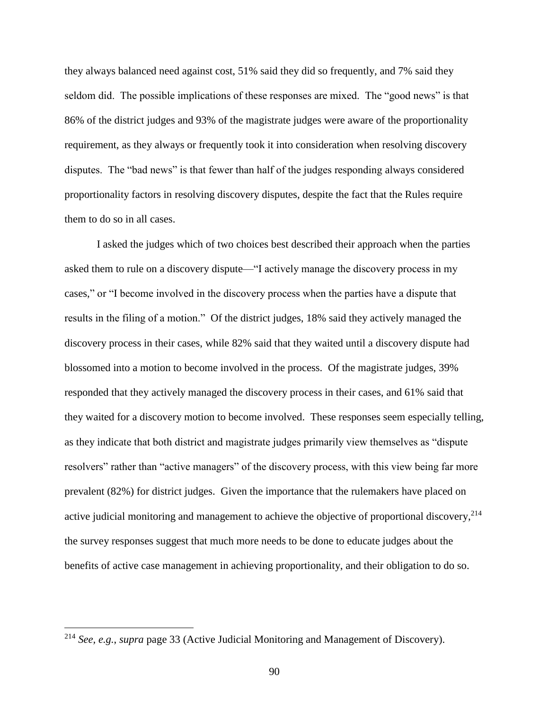they always balanced need against cost, 51% said they did so frequently, and 7% said they seldom did. The possible implications of these responses are mixed. The "good news" is that 86% of the district judges and 93% of the magistrate judges were aware of the proportionality requirement, as they always or frequently took it into consideration when resolving discovery disputes. The "bad news" is that fewer than half of the judges responding always considered proportionality factors in resolving discovery disputes, despite the fact that the Rules require them to do so in all cases.

I asked the judges which of two choices best described their approach when the parties asked them to rule on a discovery dispute—"I actively manage the discovery process in my cases," or "I become involved in the discovery process when the parties have a dispute that results in the filing of a motion." Of the district judges, 18% said they actively managed the discovery process in their cases, while 82% said that they waited until a discovery dispute had blossomed into a motion to become involved in the process. Of the magistrate judges, 39% responded that they actively managed the discovery process in their cases, and 61% said that they waited for a discovery motion to become involved. These responses seem especially telling, as they indicate that both district and magistrate judges primarily view themselves as "dispute resolvers" rather than "active managers" of the discovery process, with this view being far more prevalent (82%) for district judges. Given the importance that the rulemakers have placed on active judicial monitoring and management to achieve the objective of proportional discovery,<sup>214</sup> the survey responses suggest that much more needs to be done to educate judges about the benefits of active case management in achieving proportionality, and their obligation to do so.

<sup>214</sup> *See, e.g.*, *supra* page [33](#page-32-0) (Active Judicial Monitoring and Management of Discovery).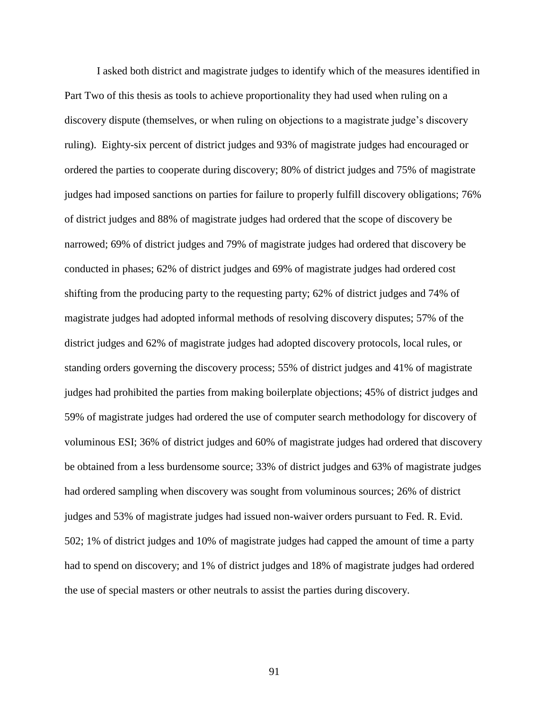I asked both district and magistrate judges to identify which of the measures identified in Part Two of this thesis as tools to achieve proportionality they had used when ruling on a discovery dispute (themselves, or when ruling on objections to a magistrate judge's discovery ruling). Eighty-six percent of district judges and 93% of magistrate judges had encouraged or ordered the parties to cooperate during discovery; 80% of district judges and 75% of magistrate judges had imposed sanctions on parties for failure to properly fulfill discovery obligations; 76% of district judges and 88% of magistrate judges had ordered that the scope of discovery be narrowed; 69% of district judges and 79% of magistrate judges had ordered that discovery be conducted in phases; 62% of district judges and 69% of magistrate judges had ordered cost shifting from the producing party to the requesting party; 62% of district judges and 74% of magistrate judges had adopted informal methods of resolving discovery disputes; 57% of the district judges and 62% of magistrate judges had adopted discovery protocols, local rules, or standing orders governing the discovery process; 55% of district judges and 41% of magistrate judges had prohibited the parties from making boilerplate objections; 45% of district judges and 59% of magistrate judges had ordered the use of computer search methodology for discovery of voluminous ESI; 36% of district judges and 60% of magistrate judges had ordered that discovery be obtained from a less burdensome source; 33% of district judges and 63% of magistrate judges had ordered sampling when discovery was sought from voluminous sources; 26% of district judges and 53% of magistrate judges had issued non-waiver orders pursuant to Fed. R. Evid. 502; 1% of district judges and 10% of magistrate judges had capped the amount of time a party had to spend on discovery; and 1% of district judges and 18% of magistrate judges had ordered the use of special masters or other neutrals to assist the parties during discovery.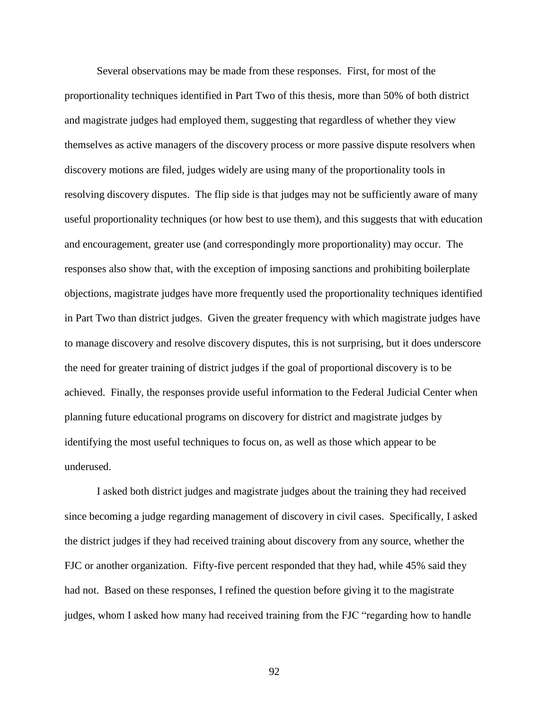Several observations may be made from these responses. First, for most of the proportionality techniques identified in Part Two of this thesis, more than 50% of both district and magistrate judges had employed them, suggesting that regardless of whether they view themselves as active managers of the discovery process or more passive dispute resolvers when discovery motions are filed, judges widely are using many of the proportionality tools in resolving discovery disputes. The flip side is that judges may not be sufficiently aware of many useful proportionality techniques (or how best to use them), and this suggests that with education and encouragement, greater use (and correspondingly more proportionality) may occur. The responses also show that, with the exception of imposing sanctions and prohibiting boilerplate objections, magistrate judges have more frequently used the proportionality techniques identified in Part Two than district judges. Given the greater frequency with which magistrate judges have to manage discovery and resolve discovery disputes, this is not surprising, but it does underscore the need for greater training of district judges if the goal of proportional discovery is to be achieved. Finally, the responses provide useful information to the Federal Judicial Center when planning future educational programs on discovery for district and magistrate judges by identifying the most useful techniques to focus on, as well as those which appear to be underused.

I asked both district judges and magistrate judges about the training they had received since becoming a judge regarding management of discovery in civil cases. Specifically, I asked the district judges if they had received training about discovery from any source, whether the FJC or another organization. Fifty-five percent responded that they had, while 45% said they had not. Based on these responses, I refined the question before giving it to the magistrate judges, whom I asked how many had received training from the FJC "regarding how to handle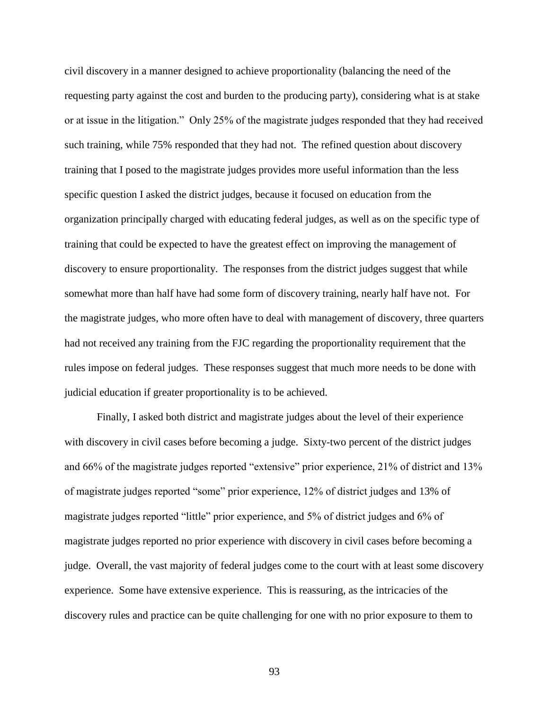civil discovery in a manner designed to achieve proportionality (balancing the need of the requesting party against the cost and burden to the producing party), considering what is at stake or at issue in the litigation." Only 25% of the magistrate judges responded that they had received such training, while 75% responded that they had not. The refined question about discovery training that I posed to the magistrate judges provides more useful information than the less specific question I asked the district judges, because it focused on education from the organization principally charged with educating federal judges, as well as on the specific type of training that could be expected to have the greatest effect on improving the management of discovery to ensure proportionality. The responses from the district judges suggest that while somewhat more than half have had some form of discovery training, nearly half have not. For the magistrate judges, who more often have to deal with management of discovery, three quarters had not received any training from the FJC regarding the proportionality requirement that the rules impose on federal judges. These responses suggest that much more needs to be done with judicial education if greater proportionality is to be achieved.

Finally, I asked both district and magistrate judges about the level of their experience with discovery in civil cases before becoming a judge. Sixty-two percent of the district judges and 66% of the magistrate judges reported "extensive" prior experience, 21% of district and 13% of magistrate judges reported "some" prior experience, 12% of district judges and 13% of magistrate judges reported "little" prior experience, and 5% of district judges and 6% of magistrate judges reported no prior experience with discovery in civil cases before becoming a judge. Overall, the vast majority of federal judges come to the court with at least some discovery experience. Some have extensive experience. This is reassuring, as the intricacies of the discovery rules and practice can be quite challenging for one with no prior exposure to them to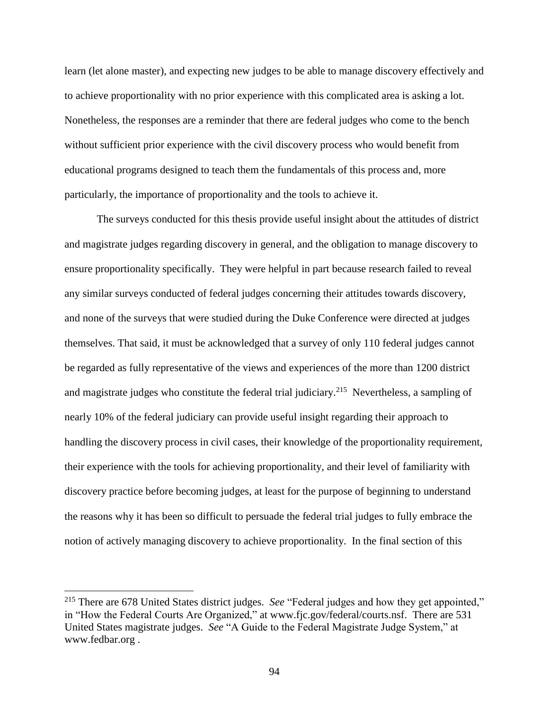learn (let alone master), and expecting new judges to be able to manage discovery effectively and to achieve proportionality with no prior experience with this complicated area is asking a lot. Nonetheless, the responses are a reminder that there are federal judges who come to the bench without sufficient prior experience with the civil discovery process who would benefit from educational programs designed to teach them the fundamentals of this process and, more particularly, the importance of proportionality and the tools to achieve it.

The surveys conducted for this thesis provide useful insight about the attitudes of district and magistrate judges regarding discovery in general, and the obligation to manage discovery to ensure proportionality specifically. They were helpful in part because research failed to reveal any similar surveys conducted of federal judges concerning their attitudes towards discovery, and none of the surveys that were studied during the Duke Conference were directed at judges themselves. That said, it must be acknowledged that a survey of only 110 federal judges cannot be regarded as fully representative of the views and experiences of the more than 1200 district and magistrate judges who constitute the federal trial judiciary.<sup>215</sup> Nevertheless, a sampling of nearly 10% of the federal judiciary can provide useful insight regarding their approach to handling the discovery process in civil cases, their knowledge of the proportionality requirement, their experience with the tools for achieving proportionality, and their level of familiarity with discovery practice before becoming judges, at least for the purpose of beginning to understand the reasons why it has been so difficult to persuade the federal trial judges to fully embrace the notion of actively managing discovery to achieve proportionality. In the final section of this

<sup>215</sup> There are 678 United States district judges. *See* "Federal judges and how they get appointed," in "How the Federal Courts Are Organized," at www.fjc.gov/federal/courts.nsf. There are 531 United States magistrate judges. *See* "A Guide to the Federal Magistrate Judge System," at www.fedbar.org .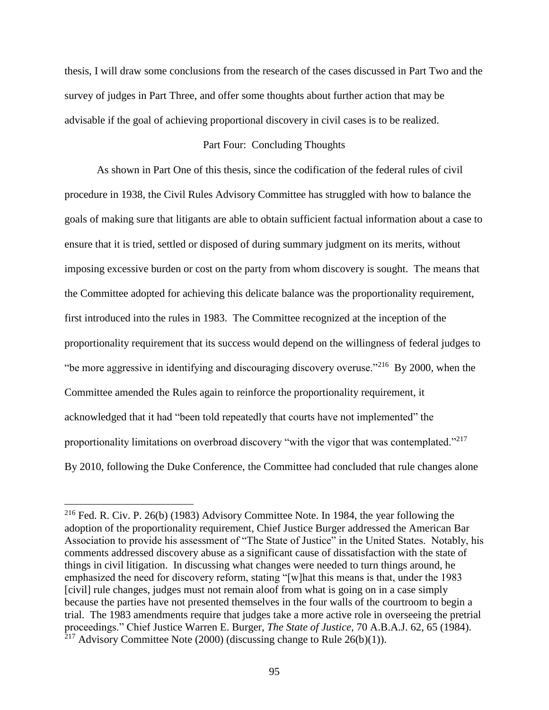thesis, I will draw some conclusions from the research of the cases discussed in Part Two and the survey of judges in Part Three, and offer some thoughts about further action that may be advisable if the goal of achieving proportional discovery in civil cases is to be realized.

#### Part Four: Concluding Thoughts

As shown in Part One of this thesis, since the codification of the federal rules of civil procedure in 1938, the Civil Rules Advisory Committee has struggled with how to balance the goals of making sure that litigants are able to obtain sufficient factual information about a case to ensure that it is tried, settled or disposed of during summary judgment on its merits, without imposing excessive burden or cost on the party from whom discovery is sought. The means that the Committee adopted for achieving this delicate balance was the proportionality requirement, first introduced into the rules in 1983. The Committee recognized at the inception of the proportionality requirement that its success would depend on the willingness of federal judges to "be more aggressive in identifying and discouraging discovery overuse."<sup>216</sup> By 2000, when the Committee amended the Rules again to reinforce the proportionality requirement, it acknowledged that it had "been told repeatedly that courts have not implemented" the proportionality limitations on overbroad discovery "with the vigor that was contemplated."<sup>217</sup> By 2010, following the Duke Conference, the Committee had concluded that rule changes alone

<sup>&</sup>lt;sup>216</sup> Fed. R. Civ. P. 26(b) (1983) Advisory Committee Note. In 1984, the year following the adoption of the proportionality requirement, Chief Justice Burger addressed the American Bar Association to provide his assessment of "The State of Justice" in the United States. Notably, his comments addressed discovery abuse as a significant cause of dissatisfaction with the state of things in civil litigation. In discussing what changes were needed to turn things around, he emphasized the need for discovery reform, stating "[w]hat this means is that, under the 1983 [civil] rule changes, judges must not remain aloof from what is going on in a case simply because the parties have not presented themselves in the four walls of the courtroom to begin a trial. The 1983 amendments require that judges take a more active role in overseeing the pretrial proceedings." Chief Justice Warren E. Burger, *The State of Justice*, 70 A.B.A.J. 62, 65 (1984). <sup>217</sup> Advisory Committee Note (2000) (discussing change to Rule 26(b)(1)).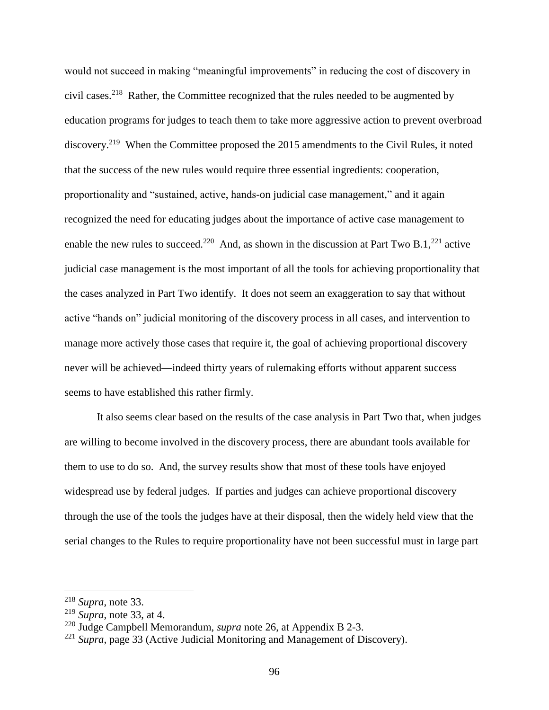would not succeed in making "meaningful improvements" in reducing the cost of discovery in civil cases.<sup>218</sup> Rather, the Committee recognized that the rules needed to be augmented by education programs for judges to teach them to take more aggressive action to prevent overbroad discovery.<sup>219</sup> When the Committee proposed the 2015 amendments to the Civil Rules, it noted that the success of the new rules would require three essential ingredients: cooperation, proportionality and "sustained, active, hands-on judicial case management," and it again recognized the need for educating judges about the importance of active case management to enable the new rules to succeed.<sup>220</sup> And, as shown in the discussion at Part Two B.1,<sup>221</sup> active judicial case management is the most important of all the tools for achieving proportionality that the cases analyzed in Part Two identify. It does not seem an exaggeration to say that without active "hands on" judicial monitoring of the discovery process in all cases, and intervention to manage more actively those cases that require it, the goal of achieving proportional discovery never will be achieved—indeed thirty years of rulemaking efforts without apparent success seems to have established this rather firmly.

It also seems clear based on the results of the case analysis in Part Two that, when judges are willing to become involved in the discovery process, there are abundant tools available for them to use to do so. And, the survey results show that most of these tools have enjoyed widespread use by federal judges. If parties and judges can achieve proportional discovery through the use of the tools the judges have at their disposal, then the widely held view that the serial changes to the Rules to require proportionality have not been successful must in large part

<sup>218</sup> *Supra*, note [33.](#page-16-0)

<sup>219</sup> *Supra*, note [33,](#page-16-0) at 4.

<sup>220</sup> Judge Campbell Memorandum, *supra* note [26,](#page-14-0) at Appendix B 2-3.

<sup>&</sup>lt;sup>221</sup> *Supra*, page [33](#page-32-0) (Active Judicial Monitoring and Management of Discovery).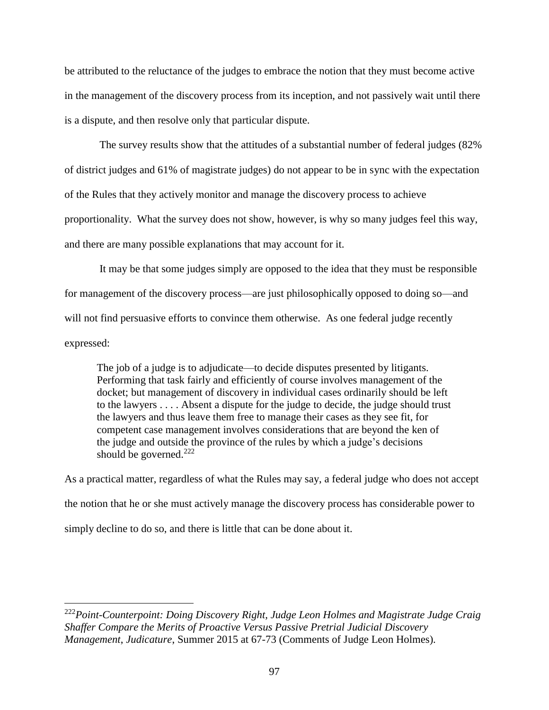be attributed to the reluctance of the judges to embrace the notion that they must become active in the management of the discovery process from its inception, and not passively wait until there is a dispute, and then resolve only that particular dispute.

The survey results show that the attitudes of a substantial number of federal judges (82% of district judges and 61% of magistrate judges) do not appear to be in sync with the expectation of the Rules that they actively monitor and manage the discovery process to achieve proportionality. What the survey does not show, however, is why so many judges feel this way, and there are many possible explanations that may account for it.

It may be that some judges simply are opposed to the idea that they must be responsible for management of the discovery process—are just philosophically opposed to doing so—and will not find persuasive efforts to convince them otherwise. As one federal judge recently expressed:

The job of a judge is to adjudicate—to decide disputes presented by litigants. Performing that task fairly and efficiently of course involves management of the docket; but management of discovery in individual cases ordinarily should be left to the lawyers . . . . Absent a dispute for the judge to decide, the judge should trust the lawyers and thus leave them free to manage their cases as they see fit, for competent case management involves considerations that are beyond the ken of the judge and outside the province of the rules by which a judge's decisions should be governed. $222$ 

As a practical matter, regardless of what the Rules may say, a federal judge who does not accept the notion that he or she must actively manage the discovery process has considerable power to simply decline to do so, and there is little that can be done about it.

<sup>222</sup>*Point-Counterpoint: Doing Discovery Right, Judge Leon Holmes and Magistrate Judge Craig Shaffer Compare the Merits of Proactive Versus Passive Pretrial Judicial Discovery Management*, *Judicature*, Summer 2015 at 67-73 (Comments of Judge Leon Holmes).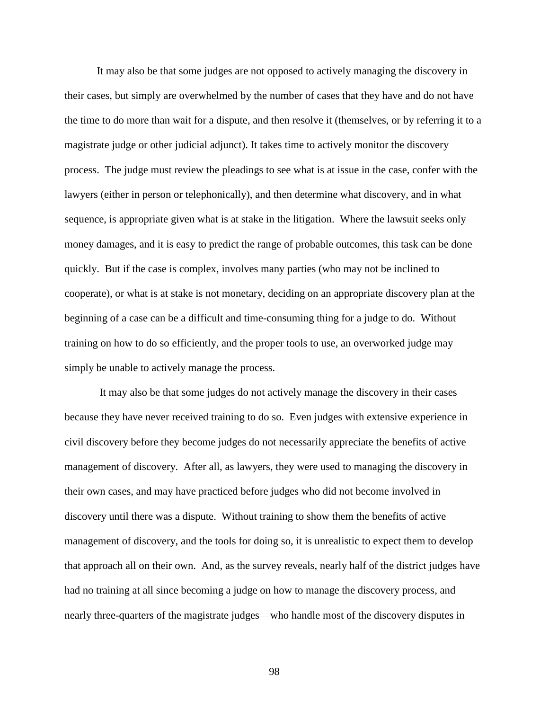It may also be that some judges are not opposed to actively managing the discovery in their cases, but simply are overwhelmed by the number of cases that they have and do not have the time to do more than wait for a dispute, and then resolve it (themselves, or by referring it to a magistrate judge or other judicial adjunct). It takes time to actively monitor the discovery process. The judge must review the pleadings to see what is at issue in the case, confer with the lawyers (either in person or telephonically), and then determine what discovery, and in what sequence, is appropriate given what is at stake in the litigation. Where the lawsuit seeks only money damages, and it is easy to predict the range of probable outcomes, this task can be done quickly. But if the case is complex, involves many parties (who may not be inclined to cooperate), or what is at stake is not monetary, deciding on an appropriate discovery plan at the beginning of a case can be a difficult and time-consuming thing for a judge to do. Without training on how to do so efficiently, and the proper tools to use, an overworked judge may simply be unable to actively manage the process.

It may also be that some judges do not actively manage the discovery in their cases because they have never received training to do so. Even judges with extensive experience in civil discovery before they become judges do not necessarily appreciate the benefits of active management of discovery. After all, as lawyers, they were used to managing the discovery in their own cases, and may have practiced before judges who did not become involved in discovery until there was a dispute. Without training to show them the benefits of active management of discovery, and the tools for doing so, it is unrealistic to expect them to develop that approach all on their own. And, as the survey reveals, nearly half of the district judges have had no training at all since becoming a judge on how to manage the discovery process, and nearly three-quarters of the magistrate judges—who handle most of the discovery disputes in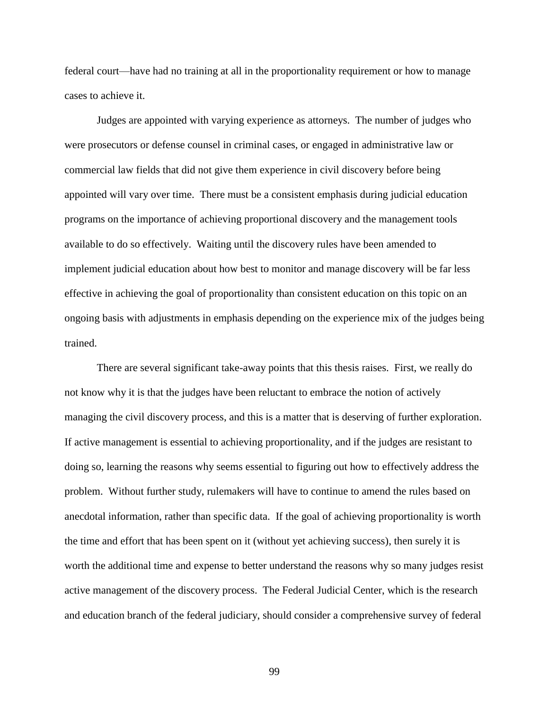federal court—have had no training at all in the proportionality requirement or how to manage cases to achieve it.

Judges are appointed with varying experience as attorneys. The number of judges who were prosecutors or defense counsel in criminal cases, or engaged in administrative law or commercial law fields that did not give them experience in civil discovery before being appointed will vary over time. There must be a consistent emphasis during judicial education programs on the importance of achieving proportional discovery and the management tools available to do so effectively. Waiting until the discovery rules have been amended to implement judicial education about how best to monitor and manage discovery will be far less effective in achieving the goal of proportionality than consistent education on this topic on an ongoing basis with adjustments in emphasis depending on the experience mix of the judges being trained.

There are several significant take-away points that this thesis raises. First, we really do not know why it is that the judges have been reluctant to embrace the notion of actively managing the civil discovery process, and this is a matter that is deserving of further exploration. If active management is essential to achieving proportionality, and if the judges are resistant to doing so, learning the reasons why seems essential to figuring out how to effectively address the problem. Without further study, rulemakers will have to continue to amend the rules based on anecdotal information, rather than specific data. If the goal of achieving proportionality is worth the time and effort that has been spent on it (without yet achieving success), then surely it is worth the additional time and expense to better understand the reasons why so many judges resist active management of the discovery process. The Federal Judicial Center, which is the research and education branch of the federal judiciary, should consider a comprehensive survey of federal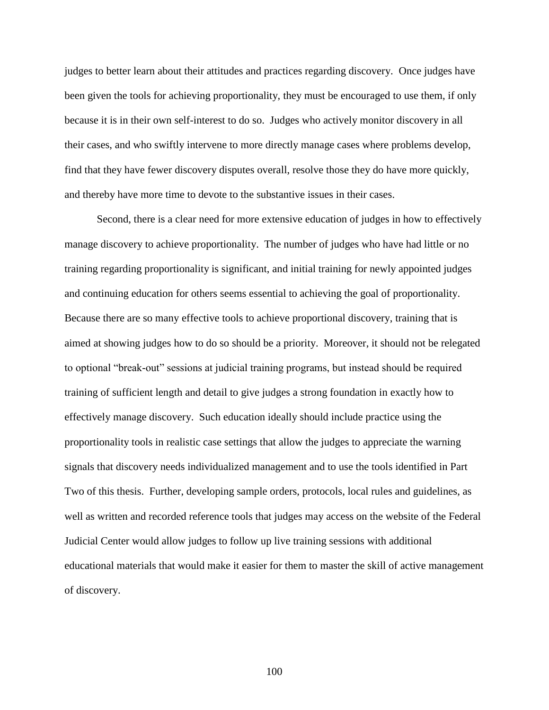judges to better learn about their attitudes and practices regarding discovery. Once judges have been given the tools for achieving proportionality, they must be encouraged to use them, if only because it is in their own self-interest to do so. Judges who actively monitor discovery in all their cases, and who swiftly intervene to more directly manage cases where problems develop, find that they have fewer discovery disputes overall, resolve those they do have more quickly, and thereby have more time to devote to the substantive issues in their cases.

Second, there is a clear need for more extensive education of judges in how to effectively manage discovery to achieve proportionality. The number of judges who have had little or no training regarding proportionality is significant, and initial training for newly appointed judges and continuing education for others seems essential to achieving the goal of proportionality. Because there are so many effective tools to achieve proportional discovery, training that is aimed at showing judges how to do so should be a priority. Moreover, it should not be relegated to optional "break-out" sessions at judicial training programs, but instead should be required training of sufficient length and detail to give judges a strong foundation in exactly how to effectively manage discovery. Such education ideally should include practice using the proportionality tools in realistic case settings that allow the judges to appreciate the warning signals that discovery needs individualized management and to use the tools identified in Part Two of this thesis. Further, developing sample orders, protocols, local rules and guidelines, as well as written and recorded reference tools that judges may access on the website of the Federal Judicial Center would allow judges to follow up live training sessions with additional educational materials that would make it easier for them to master the skill of active management of discovery.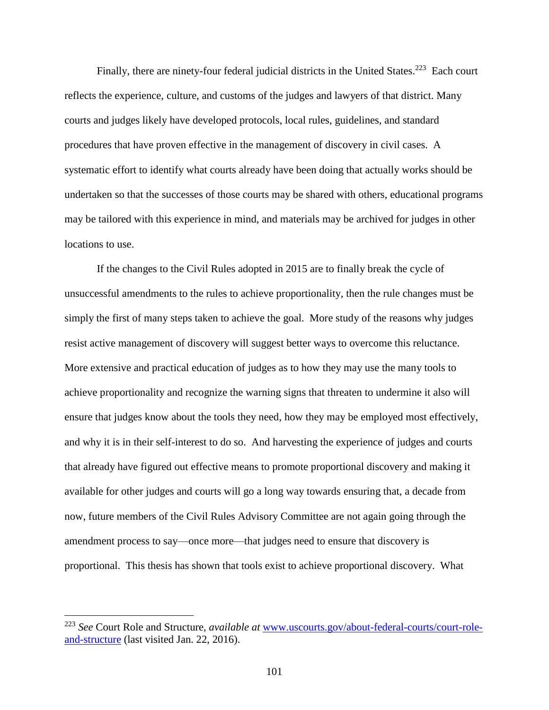Finally, there are ninety-four federal judicial districts in the United States.<sup>223</sup> Each court reflects the experience, culture, and customs of the judges and lawyers of that district. Many courts and judges likely have developed protocols, local rules, guidelines, and standard procedures that have proven effective in the management of discovery in civil cases. A systematic effort to identify what courts already have been doing that actually works should be undertaken so that the successes of those courts may be shared with others, educational programs may be tailored with this experience in mind, and materials may be archived for judges in other locations to use.

If the changes to the Civil Rules adopted in 2015 are to finally break the cycle of unsuccessful amendments to the rules to achieve proportionality, then the rule changes must be simply the first of many steps taken to achieve the goal. More study of the reasons why judges resist active management of discovery will suggest better ways to overcome this reluctance. More extensive and practical education of judges as to how they may use the many tools to achieve proportionality and recognize the warning signs that threaten to undermine it also will ensure that judges know about the tools they need, how they may be employed most effectively, and why it is in their self-interest to do so. And harvesting the experience of judges and courts that already have figured out effective means to promote proportional discovery and making it available for other judges and courts will go a long way towards ensuring that, a decade from now, future members of the Civil Rules Advisory Committee are not again going through the amendment process to say—once more—that judges need to ensure that discovery is proportional. This thesis has shown that tools exist to achieve proportional discovery. What

<sup>223</sup> *See* Court Role and Structure, *available at* [www.uscourts.gov/about-federal-courts/court-role](http://www.uscourts.gov/about-federal-courts/court-role-and-structure)[and-structure](http://www.uscourts.gov/about-federal-courts/court-role-and-structure) (last visited Jan. 22, 2016).